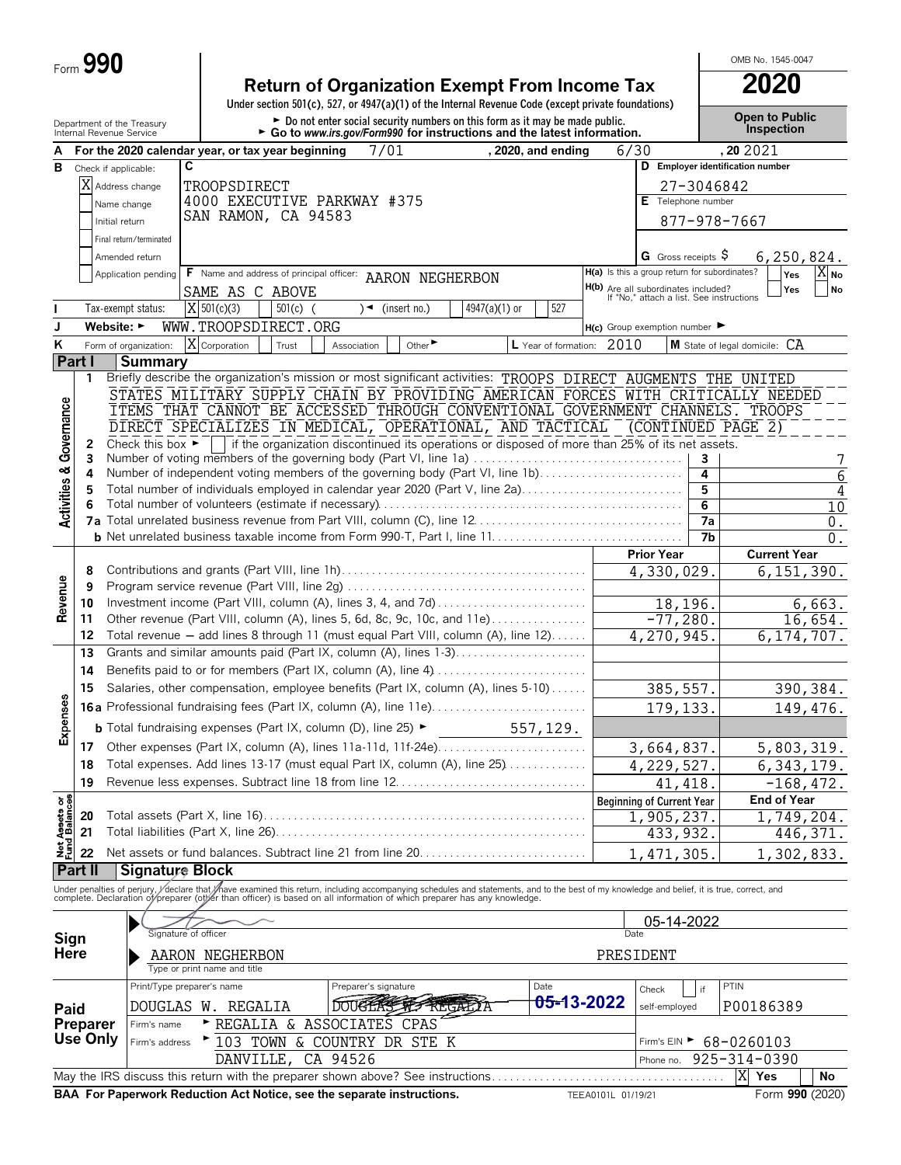| Form 990 |  |
|----------|--|
|          |  |

|                                        | Form 990                                               |                                      |                              |                                                                                          |                      |                               |                                                                                                                                                                                                                                                                                                                                                                                                                                                                                                                                            |                           |                                                                                    |            | OMB No. 1545-0047                   |              |
|----------------------------------------|--------------------------------------------------------|--------------------------------------|------------------------------|------------------------------------------------------------------------------------------|----------------------|-------------------------------|--------------------------------------------------------------------------------------------------------------------------------------------------------------------------------------------------------------------------------------------------------------------------------------------------------------------------------------------------------------------------------------------------------------------------------------------------------------------------------------------------------------------------------------------|---------------------------|------------------------------------------------------------------------------------|------------|-------------------------------------|--------------|
|                                        |                                                        |                                      |                              |                                                                                          |                      |                               | <b>Return of Organization Exempt From Income Tax</b><br>Under section $501(c)$ , 527, or $4947(a)(1)$ of the Internal Revenue Code (except private foundations)                                                                                                                                                                                                                                                                                                                                                                            |                           |                                                                                    |            | 2020                                |              |
|                                        | Department of the Treasury<br>Internal Revenue Service |                                      |                              |                                                                                          |                      |                               | Do not enter social security numbers on this form as it may be made public.<br>Go to www.irs.gov/Form990 for instructions and the latest information.                                                                                                                                                                                                                                                                                                                                                                                      |                           |                                                                                    |            | Open to Public<br><b>Inspection</b> |              |
| А                                      |                                                        |                                      |                              | For the 2020 calendar year, or tax year beginning                                        | 7/01                 |                               |                                                                                                                                                                                                                                                                                                                                                                                                                                                                                                                                            | , 2020, and ending        | 6/30                                                                               |            | , 20 20 21                          |              |
| в                                      | Check if applicable:                                   |                                      | C                            |                                                                                          |                      |                               |                                                                                                                                                                                                                                                                                                                                                                                                                                                                                                                                            |                           |                                                                                    |            | D Employer identification number    |              |
|                                        | X Address change                                       |                                      | TROOPSDIRECT                 |                                                                                          |                      |                               |                                                                                                                                                                                                                                                                                                                                                                                                                                                                                                                                            |                           |                                                                                    | 27-3046842 |                                     |              |
|                                        | Name change                                            |                                      |                              | 4000 EXECUTIVE PARKWAY #375                                                              |                      |                               |                                                                                                                                                                                                                                                                                                                                                                                                                                                                                                                                            |                           | $E$ Telephone number                                                               |            |                                     |              |
|                                        | Initial return                                         |                                      |                              | SAN RAMON, CA 94583                                                                      |                      |                               |                                                                                                                                                                                                                                                                                                                                                                                                                                                                                                                                            |                           |                                                                                    |            | 877-978-7667                        |              |
|                                        |                                                        | Final return/terminated              |                              |                                                                                          |                      |                               |                                                                                                                                                                                                                                                                                                                                                                                                                                                                                                                                            |                           |                                                                                    |            |                                     |              |
|                                        |                                                        | Amended return                       |                              |                                                                                          |                      |                               |                                                                                                                                                                                                                                                                                                                                                                                                                                                                                                                                            |                           | <b>G</b> Gross receipts $\varphi$<br>H(a) Is this a group return for subordinates? |            |                                     | 6, 250, 824. |
|                                        |                                                        | Application pending                  | SAME AS C ABOVE              | F Name and address of principal officer: AARON NEGHERBON                                 |                      |                               |                                                                                                                                                                                                                                                                                                                                                                                                                                                                                                                                            |                           |                                                                                    |            | Yes<br>Yes                          | X No<br>No   |
|                                        |                                                        | Tax-exempt status:                   | $X$ 501(c)(3)                | $501(c)$ (                                                                               |                      | $\sqrt{\bullet}$ (insert no.) | 4947(a)(1) or                                                                                                                                                                                                                                                                                                                                                                                                                                                                                                                              | 527                       | H(b) Are all subordinates included?<br>If "No," attach a list. See instructions    |            |                                     |              |
| J                                      | Website: $\blacktriangleright$                         |                                      |                              | WWW.TROOPSDIRECT.ORG                                                                     |                      |                               |                                                                                                                                                                                                                                                                                                                                                                                                                                                                                                                                            |                           | $H(c)$ Group exemption number                                                      |            |                                     |              |
| ĸ                                      |                                                        | Form of organization:                | X Corporation                | Trust                                                                                    | Association          | Other <sup>&gt;</sup>         |                                                                                                                                                                                                                                                                                                                                                                                                                                                                                                                                            | L Year of formation: 2010 |                                                                                    |            | M State of legal domicile: CA       |              |
|                                        | <b>Part I</b>                                          | <b>Summary</b>                       |                              |                                                                                          |                      |                               |                                                                                                                                                                                                                                                                                                                                                                                                                                                                                                                                            |                           |                                                                                    |            |                                     |              |
| Governance                             | 1<br>2<br>3                                            | Check this box $\blacktriangleright$ |                              |                                                                                          |                      |                               | Briefly describe the organization's mission or most significant activities: TROOPS DIRECT AUGMENTS THE UNITED<br>STATES MILITARY SUPPLY CHAIN BY PROVIDING AMERICAN FORCES WITH CRITICALLY NEEDED<br>TTEMS THAT CANNOT BE ACCESSED THROUGH CONVENTIONAL GOVERNMENT CHANNELS. TROOPS<br>DIRECT SPECIALIZES IN MEDICAL, OPERATIONAL, AND TACTICAL (CONTINUED PAGE 2)<br>If the organization discontinued its operations or disposed of more than 25% of its net assets.<br>Number of voting members of the governing body (Part VI, line 1a) |                           |                                                                                    | 3          |                                     | 7            |
|                                        | 4                                                      |                                      |                              |                                                                                          |                      |                               | Number of independent voting members of the governing body (Part VI, line 1b)                                                                                                                                                                                                                                                                                                                                                                                                                                                              |                           |                                                                                    | 4          |                                     | 6            |
| <b>Activities &amp;</b>                | 5                                                      |                                      |                              |                                                                                          |                      |                               | Total number of individuals employed in calendar year 2020 (Part V, line 2a)                                                                                                                                                                                                                                                                                                                                                                                                                                                               |                           |                                                                                    | 5          |                                     | 4            |
|                                        | 6                                                      |                                      |                              |                                                                                          |                      |                               |                                                                                                                                                                                                                                                                                                                                                                                                                                                                                                                                            |                           |                                                                                    | 6          |                                     | 10           |
|                                        |                                                        |                                      |                              |                                                                                          |                      |                               |                                                                                                                                                                                                                                                                                                                                                                                                                                                                                                                                            |                           |                                                                                    | 7a         |                                     | 0.           |
|                                        |                                                        |                                      |                              |                                                                                          |                      |                               |                                                                                                                                                                                                                                                                                                                                                                                                                                                                                                                                            |                           |                                                                                    | 7b         |                                     | $0$ .        |
|                                        | 8                                                      |                                      |                              |                                                                                          |                      |                               |                                                                                                                                                                                                                                                                                                                                                                                                                                                                                                                                            |                           | <b>Prior Year</b><br>4,330,029.                                                    |            | <b>Current Year</b>                 | 6,151,390.   |
|                                        | 9                                                      |                                      |                              |                                                                                          |                      |                               |                                                                                                                                                                                                                                                                                                                                                                                                                                                                                                                                            |                           |                                                                                    |            |                                     |              |
| Revenue                                | 10                                                     |                                      |                              |                                                                                          |                      |                               | Investment income (Part VIII, column (A), lines 3, 4, and 7d)                                                                                                                                                                                                                                                                                                                                                                                                                                                                              |                           | 18,196.                                                                            |            |                                     | 6,663.       |
|                                        | 11                                                     |                                      |                              |                                                                                          |                      |                               | Other revenue (Part VIII, column (A), lines 5, 6d, 8c, 9c, 10c, and 11e)                                                                                                                                                                                                                                                                                                                                                                                                                                                                   |                           | $-77,280.$                                                                         |            |                                     | 16,654.      |
|                                        | 12                                                     |                                      |                              |                                                                                          |                      |                               | Total revenue - add lines 8 through 11 (must equal Part VIII, column (A), line 12)                                                                                                                                                                                                                                                                                                                                                                                                                                                         |                           | 4,270,945.                                                                         |            |                                     | 6, 174, 707. |
|                                        | 13                                                     |                                      |                              |                                                                                          |                      |                               |                                                                                                                                                                                                                                                                                                                                                                                                                                                                                                                                            |                           |                                                                                    |            |                                     |              |
|                                        | 14                                                     |                                      |                              |                                                                                          |                      |                               |                                                                                                                                                                                                                                                                                                                                                                                                                                                                                                                                            |                           |                                                                                    |            |                                     |              |
| U)<br>Ф                                | 15                                                     |                                      |                              |                                                                                          |                      |                               | Salaries, other compensation, employee benefits (Part IX, column (A), lines 5-10)                                                                                                                                                                                                                                                                                                                                                                                                                                                          |                           | 385, 557.                                                                          |            |                                     | 390,384.     |
|                                        |                                                        |                                      |                              |                                                                                          |                      |                               | 16a Professional fundraising fees (Part IX, column (A), line 11e).                                                                                                                                                                                                                                                                                                                                                                                                                                                                         |                           | 179, 133.                                                                          |            |                                     | 149,476.     |
| Expens                                 |                                                        |                                      |                              | <b>b</b> Total fundraising expenses (Part IX, column (D), line 25) $\blacktriangleright$ |                      |                               | 557, 129.                                                                                                                                                                                                                                                                                                                                                                                                                                                                                                                                  |                           |                                                                                    |            |                                     |              |
|                                        | 17                                                     |                                      |                              |                                                                                          |                      |                               |                                                                                                                                                                                                                                                                                                                                                                                                                                                                                                                                            |                           | 3,664,837.                                                                         |            |                                     | 5,803,319.   |
|                                        | 18                                                     |                                      |                              |                                                                                          |                      |                               | Total expenses. Add lines 13-17 (must equal Part IX, column (A), line 25)                                                                                                                                                                                                                                                                                                                                                                                                                                                                  |                           | 4,229,527.                                                                         |            |                                     | 6, 343, 179. |
|                                        | 19                                                     |                                      |                              |                                                                                          |                      |                               |                                                                                                                                                                                                                                                                                                                                                                                                                                                                                                                                            |                           | 41, 418.                                                                           |            | <b>End of Year</b>                  | $-168,472.$  |
| <b>Net Assets or<br/>Fund Balances</b> | 20                                                     |                                      |                              |                                                                                          |                      |                               |                                                                                                                                                                                                                                                                                                                                                                                                                                                                                                                                            |                           | <b>Beginning of Current Year</b><br>1,905,237.                                     |            |                                     | 1,749,204.   |
|                                        | 21                                                     |                                      |                              |                                                                                          |                      |                               |                                                                                                                                                                                                                                                                                                                                                                                                                                                                                                                                            |                           | 433, 932.                                                                          |            |                                     | 446,371.     |
|                                        | 22                                                     |                                      |                              |                                                                                          |                      |                               |                                                                                                                                                                                                                                                                                                                                                                                                                                                                                                                                            |                           | 1, 471, 305.                                                                       |            |                                     | 1,302,833.   |
|                                        | Part II                                                | Signature Block                      |                              |                                                                                          |                      |                               |                                                                                                                                                                                                                                                                                                                                                                                                                                                                                                                                            |                           |                                                                                    |            |                                     |              |
|                                        |                                                        |                                      |                              |                                                                                          |                      |                               | Under penalties of perjury, ∕declare that ∕have examined this return, including accompanying schedules and statements, and to the best of my knowledge and belief, it is true, correct, and<br>complete. Declaration of preparer                                                                                                                                                                                                                                                                                                           |                           |                                                                                    |            |                                     |              |
|                                        |                                                        |                                      |                              |                                                                                          |                      |                               |                                                                                                                                                                                                                                                                                                                                                                                                                                                                                                                                            |                           | 05-14-2022                                                                         |            |                                     |              |
| Sign                                   |                                                        | Signature of officer                 |                              |                                                                                          |                      |                               |                                                                                                                                                                                                                                                                                                                                                                                                                                                                                                                                            |                           | Date                                                                               |            |                                     |              |
| <b>Here</b>                            |                                                        |                                      | AARON NEGHERBON              |                                                                                          |                      |                               |                                                                                                                                                                                                                                                                                                                                                                                                                                                                                                                                            |                           | PRESIDENT                                                                          |            |                                     |              |
|                                        |                                                        |                                      | Type or print name and title |                                                                                          |                      |                               |                                                                                                                                                                                                                                                                                                                                                                                                                                                                                                                                            |                           |                                                                                    |            |                                     |              |
|                                        |                                                        | Print/Type preparer's name           |                              |                                                                                          | Preparer's signature |                               |                                                                                                                                                                                                                                                                                                                                                                                                                                                                                                                                            | Date                      | Check                                                                              | if         | PTIN                                |              |
| Paid                                   |                                                        |                                      | DOUGLAS W. REGALIA           |                                                                                          |                      | <b>DOUGLAS TREGAZIA</b>       |                                                                                                                                                                                                                                                                                                                                                                                                                                                                                                                                            | $-05 - 13 - 2022$         | self-employed                                                                      |            | P00186389                           |              |
|                                        | Preparer                                               | Firm's name                          |                              | REGALIA & ASSOCIATES CPAS                                                                |                      |                               |                                                                                                                                                                                                                                                                                                                                                                                                                                                                                                                                            |                           |                                                                                    |            |                                     |              |
|                                        | Use Only                                               | Firm's address                       |                              | ▶ 103 TOWN & COUNTRY DR STE K                                                            |                      |                               |                                                                                                                                                                                                                                                                                                                                                                                                                                                                                                                                            |                           |                                                                                    |            | Firm's EIN > 68-0260103             |              |
|                                        |                                                        |                                      |                              | DANVILLE,                                                                                | CA 94526             |                               |                                                                                                                                                                                                                                                                                                                                                                                                                                                                                                                                            |                           |                                                                                    |            | Phone no. 925-314-0390<br>X Yes     | No           |
|                                        |                                                        |                                      |                              |                                                                                          |                      |                               |                                                                                                                                                                                                                                                                                                                                                                                                                                                                                                                                            |                           |                                                                                    |            |                                     |              |

**BAA For Paperwork Reduction Act Notice, see the separate instructions.** TEEA0101L 01/19/21 Form 990 (2020)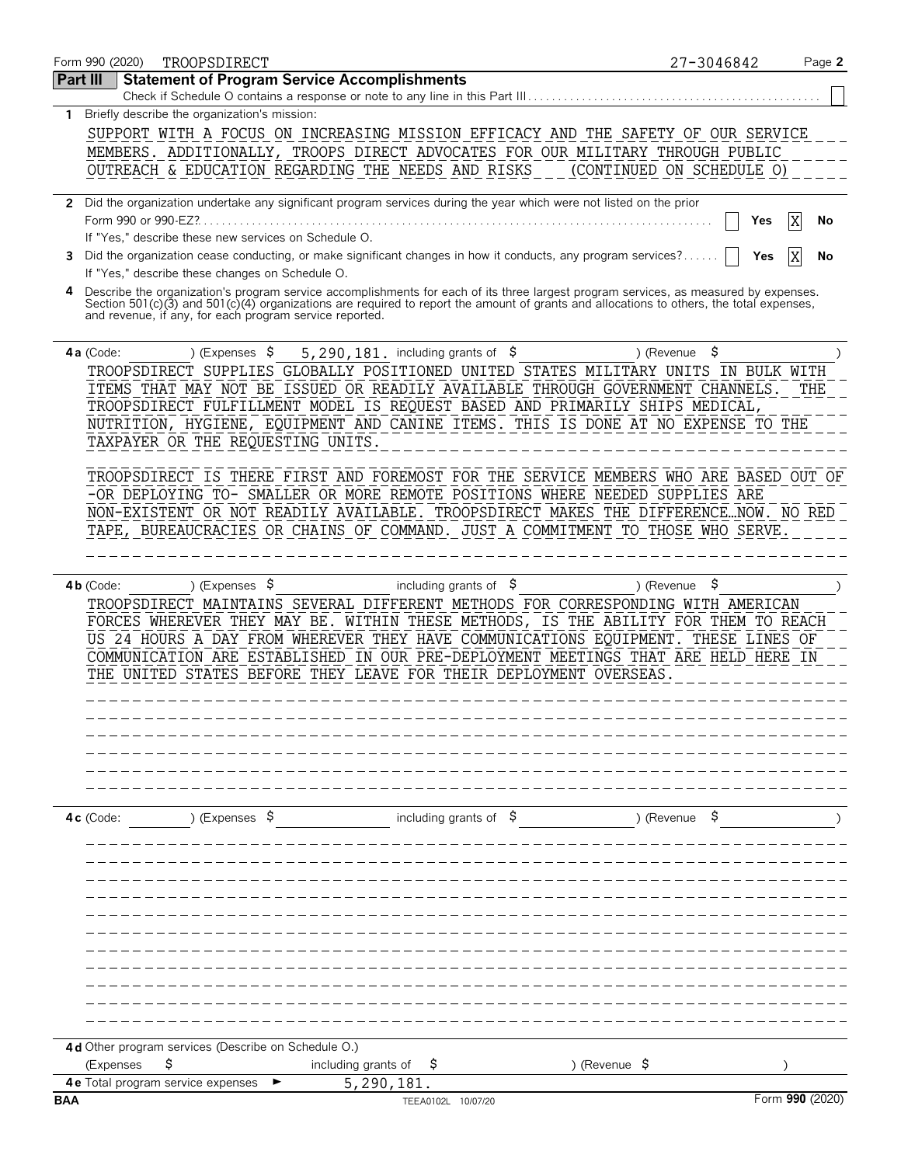|          | Form 990 (2020) | TROOPSDIRECT                                        |                        |                                                                                                                                                                                                     |            |                                   |                          |                           | 27-3046842 |                 |     | Page 2 |
|----------|-----------------|-----------------------------------------------------|------------------------|-----------------------------------------------------------------------------------------------------------------------------------------------------------------------------------------------------|------------|-----------------------------------|--------------------------|---------------------------|------------|-----------------|-----|--------|
| Part III |                 |                                                     |                        | <b>Statement of Program Service Accomplishments</b>                                                                                                                                                 |            |                                   |                          |                           |            |                 |     |        |
|          |                 | Briefly describe the organization's mission:        |                        | Check if Schedule O contains a response or note to any line in this Part III                                                                                                                        |            |                                   |                          |                           |            |                 |     |        |
|          |                 |                                                     |                        | SUPPORT WITH A FOCUS ON INCREASING MISSION EFFICACY AND THE SAFETY OF OUR SERVICE                                                                                                                   |            |                                   |                          |                           |            |                 |     |        |
|          |                 |                                                     |                        | MEMBERS. ADDITIONALLY, TROOPS DIRECT ADVOCATES FOR OUR MILITARY THROUGH PUBLIC                                                                                                                      |            |                                   |                          |                           |            |                 |     |        |
|          |                 |                                                     |                        | OUTREACH & EDUCATION REGARDING THE NEEDS AND RISKS                                                                                                                                                  |            |                                   |                          | (CONTINUED ON SCHEDULE O) |            |                 |     |        |
|          |                 |                                                     |                        | 2 Did the organization undertake any significant program services during the year which were not listed on the prior                                                                                |            |                                   |                          |                           |            |                 |     |        |
|          |                 | Form 990 or 990-EZ?                                 |                        |                                                                                                                                                                                                     | .          |                                   |                          |                           |            | Yes             | Χ   | No     |
|          |                 |                                                     |                        | If "Yes," describe these new services on Schedule O.                                                                                                                                                |            |                                   |                          |                           |            |                 |     |        |
|          |                 | If "Yes," describe these changes on Schedule O.     |                        | 3 Did the organization cease conducting, or make significant changes in how it conducts, any program services?                                                                                      |            |                                   |                          |                           |            | Yes             | X   | No     |
|          |                 |                                                     |                        | Describe the organization's program service accomplishments for each of its three largest program services, as measured by expenses.                                                                |            |                                   |                          |                           |            |                 |     |        |
|          |                 |                                                     |                        | Section 501(c)(3) and 501(c)(4) organizations are required to report the amount of grants and allocations to others, the total expenses,<br>and revenue, if any, for each program service reported. |            |                                   |                          |                           |            |                 |     |        |
|          |                 |                                                     |                        |                                                                                                                                                                                                     |            |                                   |                          |                           |            |                 |     |        |
|          | $4a$ (Code:     |                                                     | ) (Expenses $\sqrt{5}$ | 5, 290, 181. including grants of \$                                                                                                                                                                 |            |                                   |                          | ) (Revenue                | \$         |                 |     |        |
|          |                 |                                                     |                        | TROOPSDIRECT SUPPLIES GLOBALLY POSITIONED UNITED STATES MILITARY UNITS IN BULK WITH                                                                                                                 |            |                                   |                          |                           |            |                 |     |        |
|          |                 |                                                     |                        | ITEMS THAT MAY NOT BE ISSUED OR READILY AVAILABLE THROUGH GOVERNMENT CHANNELS.<br>TROOPSDIRECT FULFILLMENT MODEL IS REQUEST BASED AND PRIMARILY SHIPS MEDICAL,                                      |            |                                   |                          |                           |            |                 | THE |        |
|          |                 |                                                     |                        | NUTRITION, HYGIENE, EOUIPMENT AND CANINE ITEMS. THIS IS DONE AT NO EXPENSE TO THE                                                                                                                   |            |                                   |                          |                           |            |                 |     |        |
|          |                 |                                                     |                        | TAXPAYER OR THE REQUESTING UNITS                                                                                                                                                                    |            |                                   |                          |                           |            |                 |     |        |
|          |                 |                                                     |                        |                                                                                                                                                                                                     |            |                                   |                          |                           |            |                 |     |        |
|          |                 |                                                     |                        | TROOPSDIRECT IS THERE FIRST AND FOREMOST FOR THE SERVICE MEMBERS WHO ARE BASED OUT OF<br>-OR DEPLOYING TO- SMALLER OR MORE REMOTE POSITIONS WHERE NEEDED SUPPLIES ARE                               |            |                                   |                          |                           |            |                 |     |        |
|          |                 |                                                     |                        | NON-EXISTENT OR NOT READILY AVAILABLE. TROOPSDIRECT MAKES THE DIFFERENCENOW. NO RED                                                                                                                 |            |                                   |                          |                           |            |                 |     |        |
|          |                 |                                                     |                        | TAPE, BUREAUCRACIES OR CHAINS OF COMMAND. JUST A COMMITMENT TO THOSE WHO SERVE.                                                                                                                     |            |                                   |                          |                           |            |                 |     |        |
|          |                 |                                                     |                        |                                                                                                                                                                                                     |            |                                   |                          |                           |            |                 |     |        |
|          |                 |                                                     |                        |                                                                                                                                                                                                     |            |                                   |                          |                           |            |                 |     |        |
|          | $4b$ (Code:     |                                                     | ) (Expenses $\sqrt{5}$ | TROOPSDIRECT MAINTAINS SEVERAL DIFFERENT METHODS FOR CORRESPONDING WITH AMERICAN                                                                                                                    |            | including grants of $\frac{1}{2}$ |                          | ) (Revenue                | \$         |                 |     |        |
|          |                 |                                                     |                        | FORCES WHEREVER THEY MAY BE. WITHIN THESE METHODS, IS THE ABILITY FOR THEM TO REACH                                                                                                                 |            |                                   |                          |                           |            |                 |     |        |
|          |                 |                                                     |                        | US 24 HOURS A DAY FROM WHEREVER THEY HAVE COMMUNICATIONS EOUIPMENT. THESE LINES OF                                                                                                                  |            |                                   |                          |                           |            |                 |     |        |
|          |                 |                                                     |                        | COMMUNICATION ARE ESTABLISHED IN OUR PRE-DEPLOYMENT MEETINGS THAT ARE HELD HERE IN                                                                                                                  |            |                                   |                          |                           |            |                 |     |        |
|          |                 |                                                     |                        | THE UNITED STATES BEFORE THEY LEAVE FOR THEIR DEPLOYMENT OVERSEAS                                                                                                                                   |            |                                   |                          |                           |            |                 |     |        |
|          |                 |                                                     |                        |                                                                                                                                                                                                     |            |                                   |                          |                           |            |                 |     |        |
|          |                 |                                                     |                        |                                                                                                                                                                                                     |            |                                   |                          |                           |            |                 |     |        |
|          |                 |                                                     |                        |                                                                                                                                                                                                     |            |                                   |                          |                           |            |                 |     |        |
|          |                 |                                                     |                        |                                                                                                                                                                                                     |            |                                   |                          |                           |            |                 |     |        |
|          |                 |                                                     |                        |                                                                                                                                                                                                     |            |                                   |                          |                           |            |                 |     |        |
|          | $4c$ (Code:     |                                                     | ) (Expenses $\sqrt{5}$ |                                                                                                                                                                                                     |            | including grants of $\frac{1}{5}$ |                          | ) (Revenue                |            |                 |     |        |
|          |                 |                                                     |                        |                                                                                                                                                                                                     |            |                                   |                          |                           |            |                 |     |        |
|          |                 |                                                     |                        |                                                                                                                                                                                                     |            |                                   |                          |                           |            |                 |     |        |
|          |                 |                                                     |                        |                                                                                                                                                                                                     |            |                                   |                          |                           |            |                 |     |        |
|          |                 |                                                     |                        |                                                                                                                                                                                                     |            |                                   |                          |                           |            |                 |     |        |
|          |                 |                                                     |                        |                                                                                                                                                                                                     |            |                                   |                          |                           |            |                 |     |        |
|          |                 |                                                     |                        |                                                                                                                                                                                                     |            |                                   |                          |                           |            |                 |     |        |
|          |                 |                                                     |                        |                                                                                                                                                                                                     |            |                                   |                          |                           |            |                 |     |        |
|          |                 |                                                     |                        |                                                                                                                                                                                                     |            |                                   |                          |                           |            |                 |     |        |
|          |                 |                                                     |                        |                                                                                                                                                                                                     |            |                                   |                          |                           |            |                 |     |        |
|          |                 | 4d Other program services (Describe on Schedule O.) |                        |                                                                                                                                                                                                     |            |                                   |                          |                           |            |                 |     |        |
|          | (Expenses       | \$                                                  |                        | including grants of                                                                                                                                                                                 | Ş          |                                   | ) (Revenue $\frac{1}{2}$ |                           |            |                 |     |        |
|          |                 | 4e Total program service expenses                   |                        |                                                                                                                                                                                                     | 5,290,181. |                                   |                          |                           |            |                 |     |        |
| BAA      |                 |                                                     |                        |                                                                                                                                                                                                     |            | TEEA0102L 10/07/20                |                          |                           |            | Form 990 (2020) |     |        |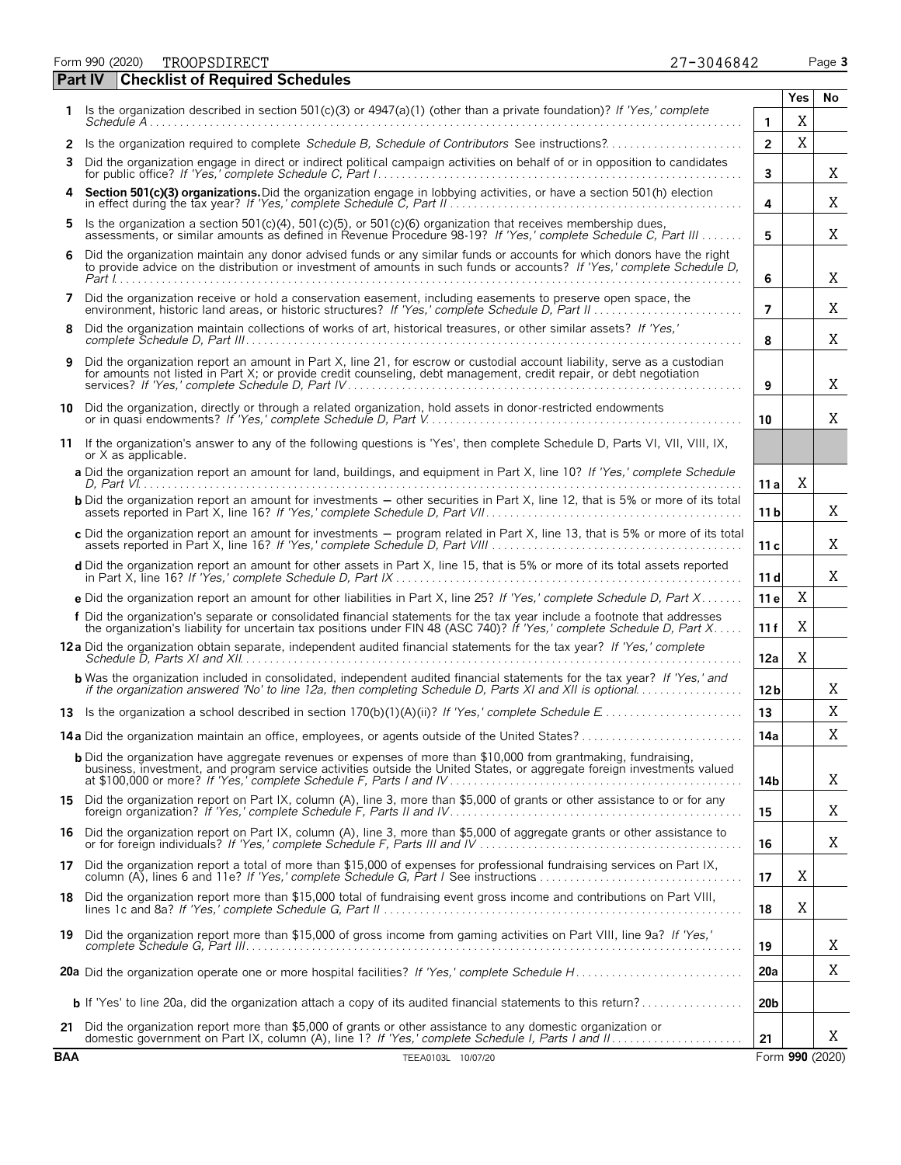Form 990 (2020) Page **3** TROOPSDIRECT 27-3046842

|                | <b>Checklist of Required Schedules</b><br><b>Part IV</b>                                                                                                                                                                                           |                 |            |    |
|----------------|----------------------------------------------------------------------------------------------------------------------------------------------------------------------------------------------------------------------------------------------------|-----------------|------------|----|
|                | Is the organization described in section 501(c)(3) or 4947(a)(1) (other than a private foundation)? If 'Yes,' complete                                                                                                                             |                 | <b>Yes</b> | No |
| 1              |                                                                                                                                                                                                                                                    | 1               | X          |    |
| 2              | Is the organization required to complete Schedule B, Schedule of Contributors See instructions?                                                                                                                                                    | $\overline{2}$  | X          |    |
| 3              | Did the organization engage in direct or indirect political campaign activities on behalf of or in opposition to candidates                                                                                                                        | 3               |            | Χ  |
| 4              | Section 501(c)(3) organizations. Did the organization engage in lobbying activities, or have a section 501(h) election                                                                                                                             | 4               |            | X  |
| 5              | Is the organization a section 501(c)(4), 501(c)(5), or 501(c)(6) organization that receives membership dues,<br>assessments, or similar amounts as defined in Revenue Procedure 98-19? If 'Yes,' complete Schedule C, Part III                     | 5               |            | Χ  |
| 6              | Did the organization maintain any donor advised funds or any similar funds or accounts for which donors have the right<br>to provide advice on the distribution or investment of amounts in such funds or accounts? If 'Yes,' complete Schedule D, | 6               |            | X  |
| $\overline{ }$ | Did the organization receive or hold a conservation easement, including easements to preserve open space, the                                                                                                                                      | $\overline{7}$  |            | Χ  |
| 8              | Did the organization maintain collections of works of art, historical treasures, or other similar assets? If 'Yes,'                                                                                                                                | 8               |            | Χ  |
| 9              | Did the organization report an amount in Part X, line 21, for escrow or custodial account liability, serve as a custodian<br>for amounts not listed in Part X; or provide credit counseling, debt management, credit repair, or debt negotiation   | 9               |            | X  |
|                | 10 Did the organization, directly or through a related organization, hold assets in donor-restricted endowments                                                                                                                                    | 10              |            | X  |
|                | 11 If the organization's answer to any of the following questions is 'Yes', then complete Schedule D, Parts VI, VII, VIII, IX,<br>or X as applicable.                                                                                              |                 |            |    |
|                | a Did the organization report an amount for land, buildings, and equipment in Part X, line 10? If 'Yes,' complete Schedule                                                                                                                         | 11 a            | X          |    |
|                | <b>b</b> Did the organization report an amount for investments – other securities in Part X, line 12, that is 5% or more of its total                                                                                                              | 11 b            |            | Χ  |
|                | c Did the organization report an amount for investments - program related in Part X, line 13, that is 5% or more of its total                                                                                                                      | 11c             |            | X  |
|                | d Did the organization report an amount for other assets in Part X, line 15, that is 5% or more of its total assets reported                                                                                                                       | 11d             |            | Χ  |
|                | e Did the organization report an amount for other liabilities in Part X, line 25? If 'Yes,' complete Schedule D, Part X                                                                                                                            | 11 <sub>e</sub> | X          |    |
|                | f Did the organization's separate or consolidated financial statements for the tax year include a footnote that addresses the organization's liability for uncertain tax positions under FIN 48 (ASC 740)? If 'Yes,' complete                      | 11f             | Χ          |    |
|                | 12a Did the organization obtain separate, independent audited financial statements for the tax year? If 'Yes,' complete                                                                                                                            | 12a             | Χ          |    |
|                | <b>b</b> Was the organization included in consolidated, independent audited financial statements for the tax year? If 'Yes,' and if the organization answered 'No' to line 12a, then completing Schedule D, Parts XI and XII is opt                | 12 <sub>b</sub> |            | Χ  |
|                |                                                                                                                                                                                                                                                    | 13              |            | X  |
|                |                                                                                                                                                                                                                                                    | 14a             |            | Χ  |
|                | <b>b</b> Did the organization have aggregate revenues or expenses of more than \$10,000 from grantmaking, fundraising,<br>business, investment, and program service activities outside the United States, or aggregate foreign investments valued  | 14b             |            | X  |
|                | 15 Did the organization report on Part IX, column (A), line 3, more than \$5,000 of grants or other assistance to or for any                                                                                                                       | 15              |            | Χ  |
| 16             | Did the organization report on Part IX, column (A), line 3, more than \$5,000 of aggregate grants or other assistance to                                                                                                                           | 16              |            | Χ  |
|                | 17 Did the organization report a total of more than \$15,000 of expenses for professional fundraising services on Part IX, column (A), lines 6 and 11e? If 'Yes,' complete Schedule G, Part I See instructions                                     | 17              | Χ          |    |
| 18             | Did the organization report more than \$15,000 total of fundraising event gross income and contributions on Part VIII,                                                                                                                             | 18              | Χ          |    |
|                | 19 Did the organization report more than \$15,000 of gross income from gaming activities on Part VIII, line 9a? If 'Yes,'                                                                                                                          |                 |            | Χ  |
|                |                                                                                                                                                                                                                                                    | 19<br>20a       |            | X  |
|                | <b>b</b> If 'Yes' to line 20a, did the organization attach a copy of its audited financial statements to this return?                                                                                                                              | 20 <sub>b</sub> |            |    |
|                |                                                                                                                                                                                                                                                    |                 |            |    |
| 21             | Did the organization report more than \$5,000 of grants or other assistance to any domestic organization or                                                                                                                                        | 21              |            | Χ  |

**BAA** TEEA0103L 10/07/20 Form **990** (2020)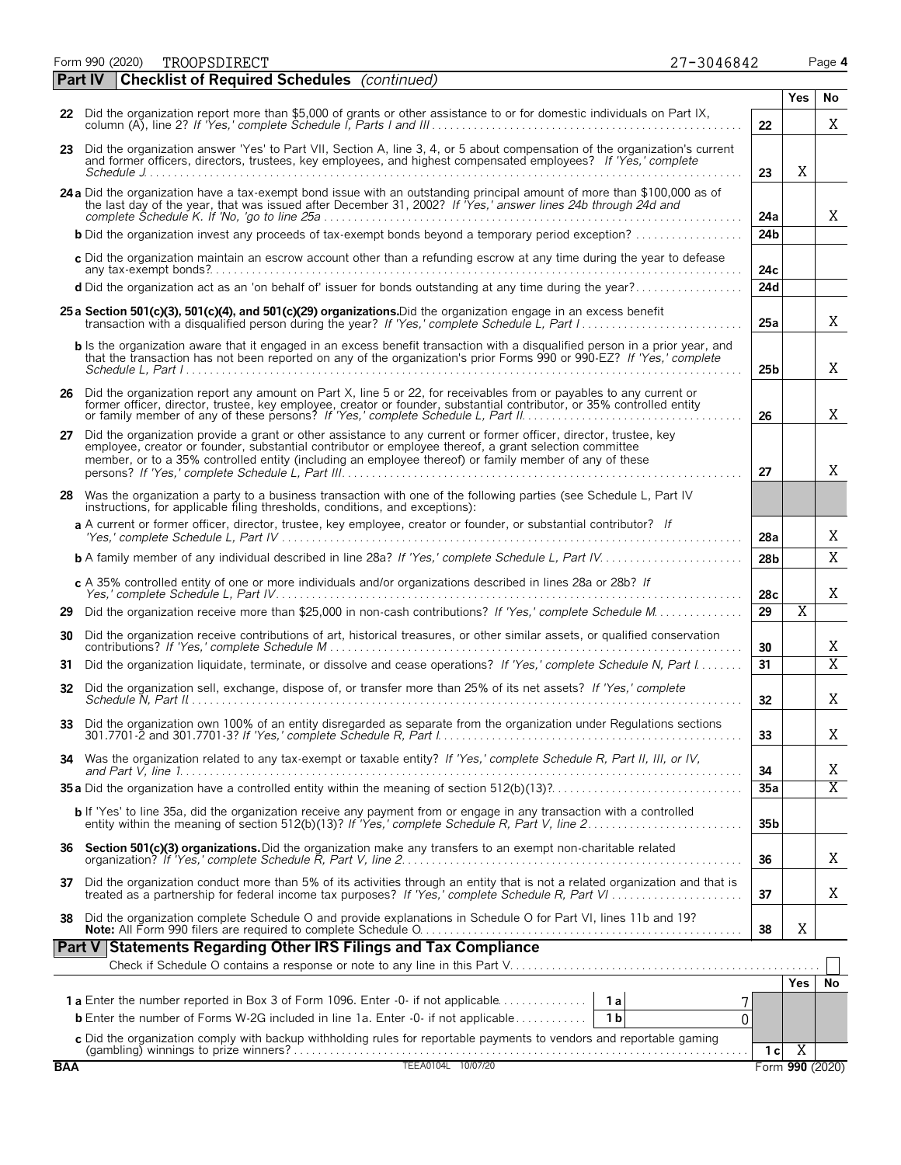Form 990 (2020) Page **4** TROOPSDIRECT 27-3046842

| 27-3046842 |  |  |
|------------|--|--|
|            |  |  |

|--|

|    | <b>Checklist of Required Schedules</b> (continued)<br><b>Part IV</b>                                                                                                                                                                                                                                                                  |                 |                       |                |
|----|---------------------------------------------------------------------------------------------------------------------------------------------------------------------------------------------------------------------------------------------------------------------------------------------------------------------------------------|-----------------|-----------------------|----------------|
|    |                                                                                                                                                                                                                                                                                                                                       |                 | <b>Yes</b>            | No             |
|    | 22 Did the organization report more than \$5,000 of grants or other assistance to or for domestic individuals on Part IX,                                                                                                                                                                                                             | 22              |                       | X              |
|    | 23 Did the organization answer 'Yes' to Part VII, Section A, line 3, 4, or 5 about compensation of the organization's current<br>and former officers, directors, trustees, key employees, and highest compensated employees? If 'Yes,' complete                                                                                       | 23              | X                     |                |
|    | 24 a Did the organization have a tax-exempt bond issue with an outstanding principal amount of more than \$100,000 as of<br>the last day of the year, that was issued after December 31, 2002? If Yes,' answer lines 24b through 24d and                                                                                              | 24a             |                       | Χ              |
|    |                                                                                                                                                                                                                                                                                                                                       | 24 <sub>b</sub> |                       |                |
|    | c Did the organization maintain an escrow account other than a refunding escrow at any time during the year to defease                                                                                                                                                                                                                | 24c             |                       |                |
|    | d Did the organization act as an 'on behalf of' issuer for bonds outstanding at any time during the year?                                                                                                                                                                                                                             | 24d             |                       |                |
|    | 25 a Section 501(c)(3), 501(c)(4), and 501(c)(29) organizations. Did the organization engage in an excess benefit                                                                                                                                                                                                                     | 25a             |                       | X              |
|    | b Is the organization aware that it engaged in an excess benefit transaction with a disqualified person in a prior year, and<br>that the transaction has not been reported on any of the organization's prior Forms 990 or 990-EZ? If 'Yes,' complete                                                                                 | 25 <sub>b</sub> |                       | X              |
| 26 | Did the organization report any amount on Part X, line 5 or 22, for receivables from or payables to any current or<br>former officer, director, trustee, key employee, creator or founder, substantial contributor, or 35% controlled entity                                                                                          | 26              |                       | X              |
| 27 | Did the organization provide a grant or other assistance to any current or former officer, director, trustee, key<br>employee, creator or founder, substantial contributor or employee thereof, a grant selection committee<br>member, or to a 35% controlled entity (including an employee thereof) or family member of any of these | 27              |                       | X              |
|    | 28 Was the organization a party to a business transaction with one of the following parties (see Schedule L, Part IV<br>instructions, for applicable filing thresholds, conditions, and exceptions):                                                                                                                                  |                 |                       |                |
|    | a A current or former officer, director, trustee, key employee, creator or founder, or substantial contributor? If                                                                                                                                                                                                                    | 28a             |                       | Χ              |
|    |                                                                                                                                                                                                                                                                                                                                       | 28 <sub>b</sub> |                       | X              |
|    | c A 35% controlled entity of one or more individuals and/or organizations described in lines 28a or 28b? If                                                                                                                                                                                                                           | 28c             |                       | Χ              |
| 29 |                                                                                                                                                                                                                                                                                                                                       | 29              | $\overline{X}$        |                |
| 30 | Did the organization receive contributions of art, historical treasures, or other similar assets, or qualified conservation                                                                                                                                                                                                           | 30              |                       | Χ              |
| 31 | Did the organization liquidate, terminate, or dissolve and cease operations? If 'Yes,' complete Schedule N, Part I                                                                                                                                                                                                                    | $\overline{31}$ |                       | $\overline{X}$ |
| 32 | Did the organization sell, exchange, dispose of, or transfer more than 25% of its net assets? If 'Yes,' complete                                                                                                                                                                                                                      | 32              |                       | Χ              |
| 33 | Did the organization own 100% of an entity disregarded as separate from the organization under Regulations sections                                                                                                                                                                                                                   | 33              |                       | Χ              |
| 34 | Was the organization related to any tax-exempt or taxable entity? If 'Yes,' complete Schedule R, Part II, III, or IV,                                                                                                                                                                                                                 | 34              |                       | Χ              |
|    |                                                                                                                                                                                                                                                                                                                                       | 35a             |                       | $\overline{X}$ |
|    | <b>b</b> If 'Yes' to line 35a, did the organization receive any payment from or engage in any transaction with a controlled entity within the meaning of section 512(b)(13)? If 'Yes,' complete Schedule R, Part V, line 2                                                                                                            | 35 <sub>b</sub> |                       |                |
| 36 | Section 501(c)(3) organizations. Did the organization make any transfers to an exempt non-charitable related                                                                                                                                                                                                                          | 36              |                       | Χ              |
|    | 37 Did the organization conduct more than 5% of its activities through an entity that is not a related organization and that is treated as a partnership for federal income tax purposes? If 'Yes,' complete Schedule R, Part                                                                                                         | 37              |                       | Χ              |
| 38 | Did the organization complete Schedule O and provide explanations in Schedule O for Part VI, lines 11b and 19?                                                                                                                                                                                                                        | 38              | Χ                     |                |
|    | Part V Statements Regarding Other IRS Filings and Tax Compliance                                                                                                                                                                                                                                                                      |                 |                       |                |
|    |                                                                                                                                                                                                                                                                                                                                       |                 | Yes                   | No             |
|    |                                                                                                                                                                                                                                                                                                                                       |                 |                       |                |
|    | <b>b</b> Enter the number of Forms W-2G included in line 1a. Enter -0- if not applicable<br>$^-1b$<br>$\Omega$                                                                                                                                                                                                                        |                 |                       |                |
|    | c Did the organization comply with backup withholding rules for reportable payments to vendors and reportable gaming                                                                                                                                                                                                                  | 1 с             | $\overline{\text{X}}$ |                |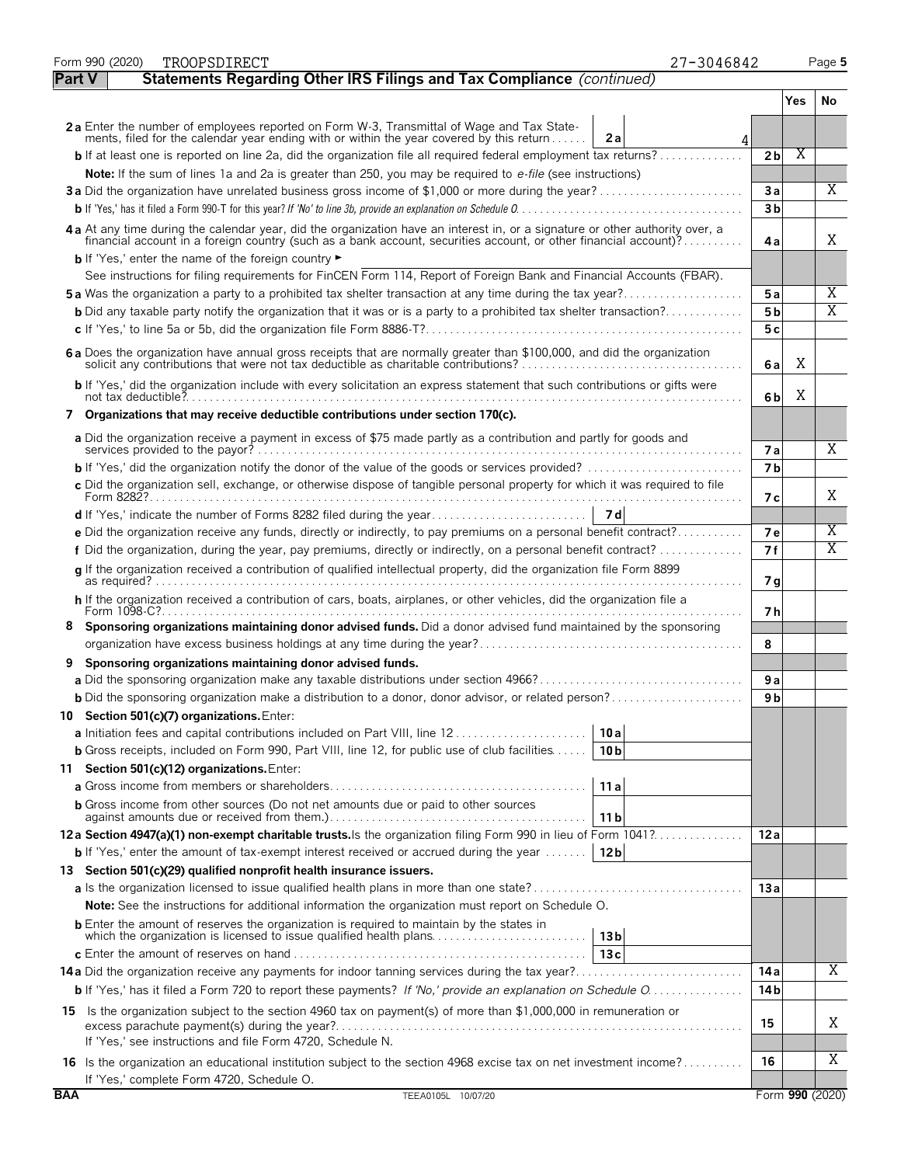|               | TROOPSDIRECT<br>Form 990 (2020)<br>27-3046842                                                                                                                                                                                                    |                |     | Page 5                |
|---------------|--------------------------------------------------------------------------------------------------------------------------------------------------------------------------------------------------------------------------------------------------|----------------|-----|-----------------------|
| <b>Part V</b> | Statements Regarding Other IRS Filings and Tax Compliance (continued)                                                                                                                                                                            |                |     |                       |
|               |                                                                                                                                                                                                                                                  |                | Yes | No                    |
|               | 2a Enter the number of employees reported on Form W-3, Transmittal of Wage and Tax State-<br>ments, filed for the calendar year ending with or within the year covered by this return<br>2a<br>4                                                 |                |     |                       |
|               |                                                                                                                                                                                                                                                  | 2 <sub>b</sub> | Χ   |                       |
|               | Note: If the sum of lines 1a and 2a is greater than 250, you may be required to e-file (see instructions)                                                                                                                                        |                |     |                       |
|               |                                                                                                                                                                                                                                                  | 3a             |     | Χ                     |
|               |                                                                                                                                                                                                                                                  | 3 <sub>b</sub> |     |                       |
|               | 4a At any time during the calendar year, did the organization have an interest in, or a signature or other authority over, a<br>financial account in a foreign country (such as a bank account, securities account, or other financial account)? | 4а             |     | Χ                     |
|               | <b>b</b> If 'Yes,' enter the name of the foreign country                                                                                                                                                                                         |                |     |                       |
|               | See instructions for filing requirements for FinCEN Form 114, Report of Foreign Bank and Financial Accounts (FBAR).                                                                                                                              |                |     |                       |
|               | <b>5a</b> Was the organization a party to a prohibited tax shelter transaction at any time during the tax year?                                                                                                                                  | 5a             |     | Χ                     |
|               | <b>b</b> Did any taxable party notify the organization that it was or is a party to a prohibited tax shelter transaction?                                                                                                                        | 5 <sub>b</sub> |     | $\overline{\text{X}}$ |
|               |                                                                                                                                                                                                                                                  | 5 c            |     |                       |
|               | 6 a Does the organization have annual gross receipts that are normally greater than \$100,000, and did the organization<br>solicit any contributions that were not tax deductible as charitable contributions?                                   | 6 a            | Χ   |                       |
|               | b If 'Yes,' did the organization include with every solicitation an express statement that such contributions or gifts were                                                                                                                      | 6 <sub>b</sub> | Χ   |                       |
|               | 7 Organizations that may receive deductible contributions under section 170(c).                                                                                                                                                                  |                |     |                       |
|               | a Did the organization receive a payment in excess of \$75 made partly as a contribution and partly for goods and                                                                                                                                | <b>7a</b>      |     | Χ                     |
|               | <b>b</b> If 'Yes,' did the organization notify the donor of the value of the goods or services provided? $\ldots$                                                                                                                                | 7 <sub>b</sub> |     |                       |
|               | c Did the organization sell, exchange, or otherwise dispose of tangible personal property for which it was required to file                                                                                                                      |                |     |                       |
|               |                                                                                                                                                                                                                                                  | 7 с            |     | Χ                     |
|               |                                                                                                                                                                                                                                                  |                |     |                       |
|               | e Did the organization receive any funds, directly or indirectly, to pay premiums on a personal benefit contract?                                                                                                                                | <b>7e</b>      |     | Χ                     |
|               |                                                                                                                                                                                                                                                  | 7f             |     | $\overline{\text{X}}$ |
|               | q If the organization received a contribution of qualified intellectual property, did the organization file Form 8899                                                                                                                            | 7 g            |     |                       |
|               | h If the organization received a contribution of cars, boats, airplanes, or other vehicles, did the organization file a<br>Form 1098-C?                                                                                                          | 7 h            |     |                       |
| 8             | Sponsoring organizations maintaining donor advised funds. Did a donor advised fund maintained by the sponsoring                                                                                                                                  |                |     |                       |
|               |                                                                                                                                                                                                                                                  | 8              |     |                       |
| 9             | Sponsoring organizations maintaining donor advised funds.                                                                                                                                                                                        |                |     |                       |
|               |                                                                                                                                                                                                                                                  | 9a             |     |                       |
|               | <b>b</b> Did the sponsoring organization make a distribution to a donor, donor advisor, or related person?                                                                                                                                       | 9 b            |     |                       |
|               | 10 Section 501(c)(7) organizations. Enter:                                                                                                                                                                                                       |                |     |                       |
|               | 10 a                                                                                                                                                                                                                                             |                |     |                       |
|               | <b>b</b> Gross receipts, included on Form 990, Part VIII, line 12, for public use of club facilities<br>10 b                                                                                                                                     |                |     |                       |
| 11.           | Section 501(c)(12) organizations. Enter:<br>11a                                                                                                                                                                                                  |                |     |                       |
|               | <b>b</b> Gross income from other sources (Do not net amounts due or paid to other sources                                                                                                                                                        |                |     |                       |
|               | 11 b                                                                                                                                                                                                                                             |                |     |                       |
|               | 12a Section 4947(a)(1) non-exempt charitable trusts. Is the organization filing Form 990 in lieu of Form 1041?                                                                                                                                   | 12a            |     |                       |
|               | <b>b</b> If 'Yes,' enter the amount of tax-exempt interest received or accrued during the year $\dots\dots$<br>12 <sub>b</sub>                                                                                                                   |                |     |                       |
|               | 13 Section 501(c)(29) qualified nonprofit health insurance issuers.                                                                                                                                                                              |                |     |                       |
|               |                                                                                                                                                                                                                                                  | 13 a           |     |                       |
|               | <b>Note:</b> See the instructions for additional information the organization must report on Schedule O.                                                                                                                                         |                |     |                       |
|               | <b>b</b> Enter the amount of reserves the organization is required to maintain by the states in<br>13 <sub>b</sub>                                                                                                                               |                |     |                       |
|               | 13c                                                                                                                                                                                                                                              |                |     |                       |
|               | 14a Did the organization receive any payments for indoor tanning services during the tax year?                                                                                                                                                   | 14 a           |     | Χ                     |
|               | <b>b</b> If 'Yes,' has it filed a Form 720 to report these payments? If 'No,' provide an explanation on Schedule O                                                                                                                               | 14 b           |     |                       |
|               | 15 Is the organization subject to the section 4960 tax on payment(s) of more than \$1,000,000 in remuneration or                                                                                                                                 | 15             |     | Χ                     |
|               | If 'Yes,' see instructions and file Form 4720, Schedule N.                                                                                                                                                                                       |                |     |                       |
|               | 16 Is the organization an educational institution subject to the section 4968 excise tax on net investment income?                                                                                                                               | 16             |     | Χ                     |
|               | If 'Yes,' complete Form 4720, Schedule O.                                                                                                                                                                                                        |                |     |                       |
| BAA           | TEEA0105L 10/07/20                                                                                                                                                                                                                               |                |     | Form 990 (2020)       |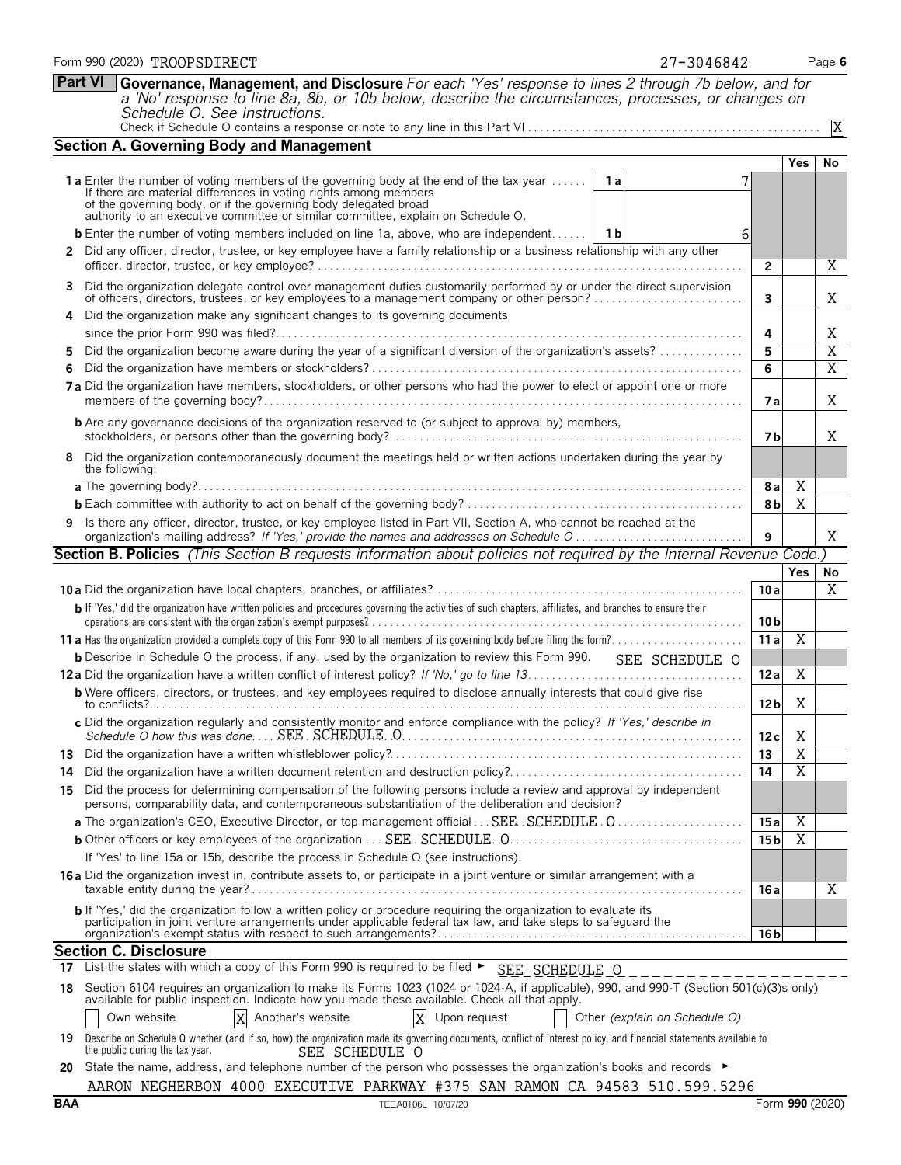|            | 3 Did the organization delegate control over management duties customarily performed by or under the direct supervision<br>of officers, directors, trustees, or key employees to a management company or other person?                   | 3               |                 | X                     |
|------------|------------------------------------------------------------------------------------------------------------------------------------------------------------------------------------------------------------------------------------------|-----------------|-----------------|-----------------------|
| 4          | Did the organization make any significant changes to its governing documents                                                                                                                                                             |                 |                 |                       |
|            |                                                                                                                                                                                                                                          | 4               |                 | Χ                     |
| 5          | Did the organization become aware during the year of a significant diversion of the organization's assets?                                                                                                                               | 5               |                 | $\overline{X}$        |
| 6          |                                                                                                                                                                                                                                          | 6               |                 | $\overline{\text{X}}$ |
|            | 7a Did the organization have members, stockholders, or other persons who had the power to elect or appoint one or more                                                                                                                   | 7а              |                 | Χ                     |
|            | <b>b</b> Are any governance decisions of the organization reserved to (or subject to approval by) members,                                                                                                                               |                 |                 |                       |
|            |                                                                                                                                                                                                                                          | <b>7b</b>       |                 | Χ                     |
| 8          | Did the organization contemporaneously document the meetings held or written actions undertaken during the year by<br>the following:                                                                                                     |                 |                 |                       |
|            |                                                                                                                                                                                                                                          | 8а              | X               |                       |
|            |                                                                                                                                                                                                                                          | 8b              | $\overline{X}$  |                       |
|            | 9 Is there any officer, director, trustee, or key employee listed in Part VII, Section A, who cannot be reached at the<br>organization's mailing address? If 'Yes,' provide the names and addresses on Schedule O                        | 9               |                 | X                     |
|            | Section B. Policies (This Section B requests information about policies not required by the Internal Revenue Code.)                                                                                                                      |                 |                 |                       |
|            |                                                                                                                                                                                                                                          |                 | <b>Yes</b>      | No                    |
|            |                                                                                                                                                                                                                                          | 10a             |                 | X                     |
|            | b If 'Yes,' did the organization have written policies and procedures governing the activities of such chapters, affiliates, and branches to ensure their                                                                                | 10 b            |                 |                       |
|            |                                                                                                                                                                                                                                          | 11a             | Χ               |                       |
|            | <b>b</b> Describe in Schedule O the process, if any, used by the organization to review this Form 990. SEE SCHEDULE O                                                                                                                    |                 |                 |                       |
|            |                                                                                                                                                                                                                                          | 12 a            | X               |                       |
|            | <b>b</b> Were officers, directors, or trustees, and key employees required to disclose annually interests that could give rise                                                                                                           | 12 <sub>b</sub> | Χ               |                       |
|            | c Did the organization regularly and consistently monitor and enforce compliance with the policy? If 'Yes,' describe in                                                                                                                  | 12c             | X               |                       |
| 13         |                                                                                                                                                                                                                                          | 13              | $\overline{X}$  |                       |
| 14         |                                                                                                                                                                                                                                          | 14              | $\overline{X}$  |                       |
| 15         | Did the process for determining compensation of the following persons include a review and approval by independent<br>persons, comparability data, and contemporaneous substantiation of the deliberation and decision?                  |                 |                 |                       |
|            | a The organization's CEO, Executive Director, or top management official SEE SCHEDULE . O                                                                                                                                                | 15a             | X               |                       |
|            |                                                                                                                                                                                                                                          | 15 <sub>b</sub> | $\overline{X}$  |                       |
|            | If 'Yes' to line 15a or 15b, describe the process in Schedule O (see instructions).                                                                                                                                                      |                 |                 |                       |
|            | 16 a Did the organization invest in, contribute assets to, or participate in a joint venture or similar arrangement with a                                                                                                               |                 |                 |                       |
|            |                                                                                                                                                                                                                                          | 16 a            |                 | X                     |
|            | <b>b</b> If 'Yes,' did the organization follow a written policy or procedure requiring the organization to evaluate its<br>participation in joint venture arrangements under applicable federal tax law, and take steps to safeguard the |                 |                 |                       |
|            |                                                                                                                                                                                                                                          | 16 <sub>b</sub> |                 |                       |
|            | <b>Section C. Disclosure</b>                                                                                                                                                                                                             |                 |                 |                       |
|            | 17 List the states with which a copy of this Form 990 is required to be filed $\blacktriangleright$<br><b>SEE SCHEDULE O</b>                                                                                                             |                 |                 |                       |
| 18         | Section 6104 requires an organization to make its Forms 1023 (1024 or 1024-A, if applicable), 990, and 990-T (Section 501(c)(3)s only)<br>available for public inspection. Indicate how you made these available. Check all that apply.  |                 |                 |                       |
|            | Another's website<br>Own website<br>X<br>IX<br>Upon request<br>Other (explain on Schedule O)                                                                                                                                             |                 |                 |                       |
| 19         | Describe on Schedule O whether (and if so, how) the organization made its governing documents, conflict of interest policy, and financial statements available to<br>the public during the tax year.<br>SEE SCHEDULE O                   |                 |                 |                       |
| 20         | State the name, address, and telephone number of the person who possesses the organization's books and records ▶                                                                                                                         |                 |                 |                       |
|            | AARON NEGHERBON 4000 EXECUTIVE PARKWAY #375 SAN RAMON CA 94583 510.599.5296                                                                                                                                                              |                 |                 |                       |
| <b>BAA</b> | TEEA0106L 10/07/20                                                                                                                                                                                                                       |                 | Form 990 (2020) |                       |

**Part VI Governance, Management, and Disclosure** *For each 'Yes' response to lines 2 through 7b below, and for*

officer, director, trustee, or key employee? . . . . . . . . . . . . . . . . . . . . . . . . . . . . . . . . . . . . . . . . . . . . . . . . . . . . . . . . . . . . . . . . . . . . . . . **2**

**1 a** Enter the number of voting members of the governing body at the end of the tax year . . . . . . **1 a** If there are material differences in voting rights among members

**b** Enter the number of voting members included on line 1a, above, who are independent. . . . . . **1b** 

**2** Did any officer, director, trustee, or key employee have a family relationship or a business relationship with any other

authority to an executive committee or similar committee, explain on Schedule O.

Check if Schedule O contains a response or note to any line in this Part VI . . . . . . . . . . . . . . . . . . . . . . . . . . . . . . . . . . . . . . . . . . . . . . . . .

*a 'No' response to line 8a, 8b, or 10b below, describe the circumstances, processes, or changes on*

6

7

**Yes No**

|  | 27-3046842 | $^$ oaqe 6 |
|--|------------|------------|
|--|------------|------------|

*Schedule O. See instructions.*

of the governing body, or if the governing body delegated broad

**Section A. Governing Body and Management**

X

X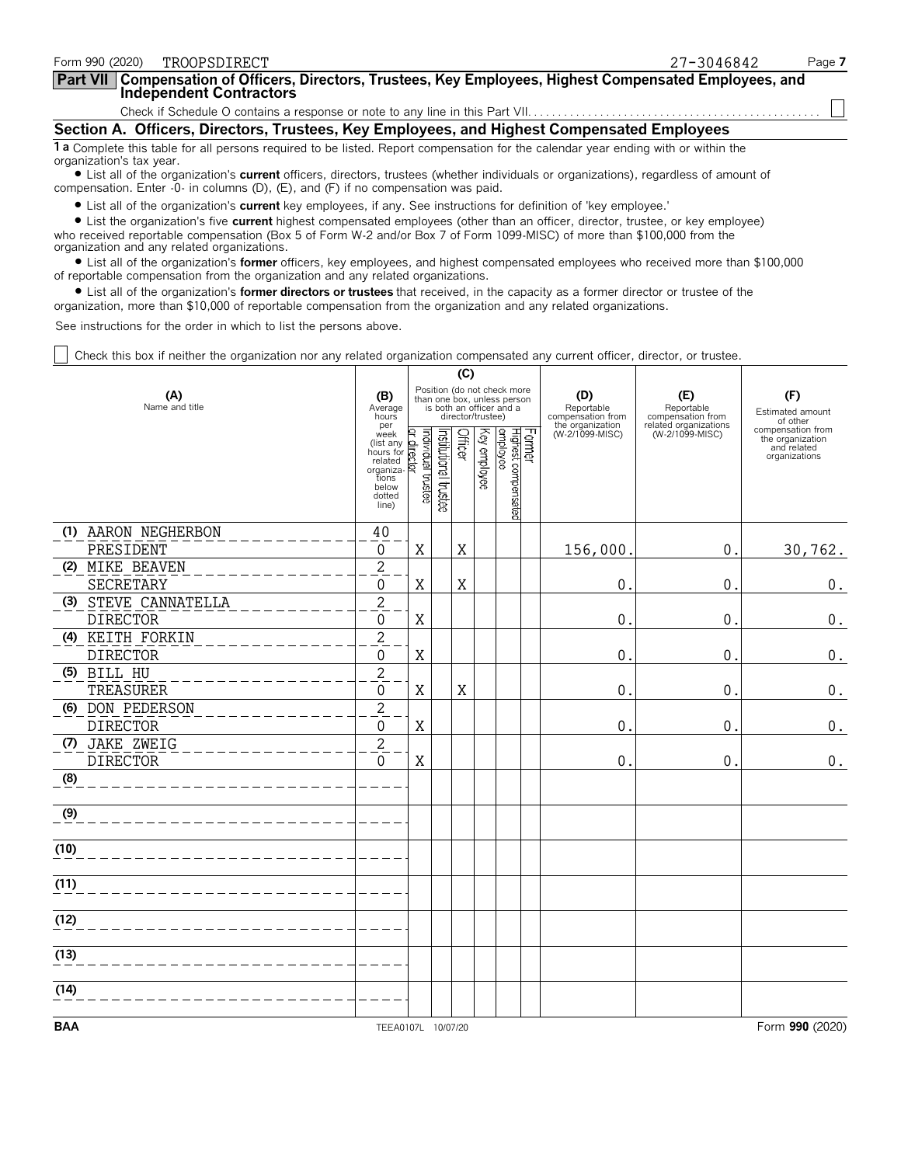| Form 990 (2020)          | TROOPSDIRECT                                                                                                                                                                                                                   | $27 - 3046842$ | Page 7 |
|--------------------------|--------------------------------------------------------------------------------------------------------------------------------------------------------------------------------------------------------------------------------|----------------|--------|
| <b>Part VII</b>          | Compensation of Officers, Directors, Trustees, Key Employees, Highest Compensated Employees, and<br><b>Independent Contractors</b>                                                                                             |                |        |
|                          |                                                                                                                                                                                                                                |                |        |
|                          | Section A. Officers, Directors, Trustees, Key Employees, and Highest Compensated Employees                                                                                                                                     |                |        |
| organization's tax year. | 1 a Complete this table for all persons required to be listed. Report compensation for the calendar year ending with or within the                                                                                             |                |        |
|                          | • List all of the organization's current officers, directors, trustees (whether individuals or organizations), regardless of amount of<br>compensation. Enter $-0$ - in columns (D), (E), and (F) if no compensation was paid. |                |        |
|                          | • List all of the organization's <b>current</b> key employees, if any. See instructions for definition of 'key employee.'                                                                                                      |                |        |

? List the organization's five **current** highest compensated employees (other than an officer, director, trustee, or key employee) who received reportable compensation (Box 5 of Form W-2 and/or Box 7 of Form 1099-MISC) of more than \$100,000 from the organization and any related organizations.

? List all of the organization's **former** officers, key employees, and highest compensated employees who received more than \$100,000 of reportable compensation from the organization and any related organizations.

? List all of the organization's **former directors or trustees** that received, in the capacity as a former director or trustee of the organization, more than \$10,000 of reportable compensation from the organization and any related organizations.

See instructions for the order in which to list the persons above.

Check this box if neither the organization nor any related organization compensated any current officer, director, or trustee.

|                                         |                                                                                             |                                   |                          | (C)     |                   |                                                            |                                                            |                                                                 |                                                                       |
|-----------------------------------------|---------------------------------------------------------------------------------------------|-----------------------------------|--------------------------|---------|-------------------|------------------------------------------------------------|------------------------------------------------------------|-----------------------------------------------------------------|-----------------------------------------------------------------------|
| (A)<br>Name and title                   | (B)<br>Average<br>hours<br>per                                                              |                                   | is both an officer and a |         | director/trustee) | Position (do not check more<br>than one box, unless person | (D)<br>Reportable<br>compensation from<br>the organization | (E)<br>Reportable<br>compensation from<br>related organizations | (F)<br>Estimated amount<br>of other                                   |
|                                         | week<br>(list any<br>hours for<br>related<br>organiza-<br>tions<br>below<br>dotted<br>line) | Individual trustee<br>or director | Institutional trustee    | Officer | Key employee      | Former<br>Highest compensated<br>employee                  | (W-2/1099-MISC)                                            | (W-2/1099-MISC)                                                 | compensation from<br>the organization<br>and related<br>organizations |
| (1) AARON NEGHERBON                     | 40                                                                                          |                                   |                          |         |                   |                                                            |                                                            |                                                                 |                                                                       |
| PRESIDENT                               | 0                                                                                           | Χ                                 |                          | Χ       |                   |                                                            | 156,000                                                    | 0                                                               | 30, 762.                                                              |
| (2) MIKE BEAVEN                         | $\overline{c}$                                                                              |                                   |                          |         |                   |                                                            |                                                            |                                                                 |                                                                       |
| SECRETARY                               | 0                                                                                           | Χ                                 |                          | Χ       |                   |                                                            | 0                                                          | 0                                                               | $\boldsymbol{0}$ .                                                    |
| (3) STEVE CANNATELLA<br><b>DIRECTOR</b> | $\overline{c}$<br>0                                                                         | Χ                                 |                          |         |                   |                                                            | 0                                                          | 0                                                               | $0$ .                                                                 |
| (4) KEITH FORKIN                        | $\overline{c}$                                                                              |                                   |                          |         |                   |                                                            |                                                            |                                                                 |                                                                       |
| <b>DIRECTOR</b>                         | 0                                                                                           | X                                 |                          |         |                   |                                                            | 0                                                          | 0                                                               | $0$ .                                                                 |
| (5) BILL HU                             | $\overline{c}$                                                                              |                                   |                          |         |                   |                                                            |                                                            |                                                                 |                                                                       |
| TREASURER                               | 0                                                                                           | X                                 |                          | X       |                   |                                                            | $\Omega$                                                   | 0                                                               | $0$ .                                                                 |
| (6) DON PEDERSON                        | 2                                                                                           |                                   |                          |         |                   |                                                            |                                                            |                                                                 |                                                                       |
| <b>DIRECTOR</b>                         | 0                                                                                           | Χ                                 |                          |         |                   |                                                            | 0                                                          | 0                                                               | $0$ .                                                                 |
| (7) JAKE ZWEIG                          | $\overline{c}$                                                                              |                                   |                          |         |                   |                                                            |                                                            |                                                                 |                                                                       |
| <b>DIRECTOR</b>                         | $\mathbf 0$                                                                                 | X                                 |                          |         |                   |                                                            | 0                                                          | 0                                                               | $0$ .                                                                 |
| (8)                                     |                                                                                             |                                   |                          |         |                   |                                                            |                                                            |                                                                 |                                                                       |
| (9)                                     |                                                                                             |                                   |                          |         |                   |                                                            |                                                            |                                                                 |                                                                       |
| (10)                                    |                                                                                             |                                   |                          |         |                   |                                                            |                                                            |                                                                 |                                                                       |
| (11)                                    |                                                                                             |                                   |                          |         |                   |                                                            |                                                            |                                                                 |                                                                       |
| (12)                                    |                                                                                             |                                   |                          |         |                   |                                                            |                                                            |                                                                 |                                                                       |
| (13)                                    |                                                                                             |                                   |                          |         |                   |                                                            |                                                            |                                                                 |                                                                       |
| (14)                                    |                                                                                             |                                   |                          |         |                   |                                                            |                                                            |                                                                 |                                                                       |
| <b>BAA</b>                              | TEEA0107L 10/07/20                                                                          |                                   |                          |         |                   |                                                            |                                                            |                                                                 | Form 990 (2020)                                                       |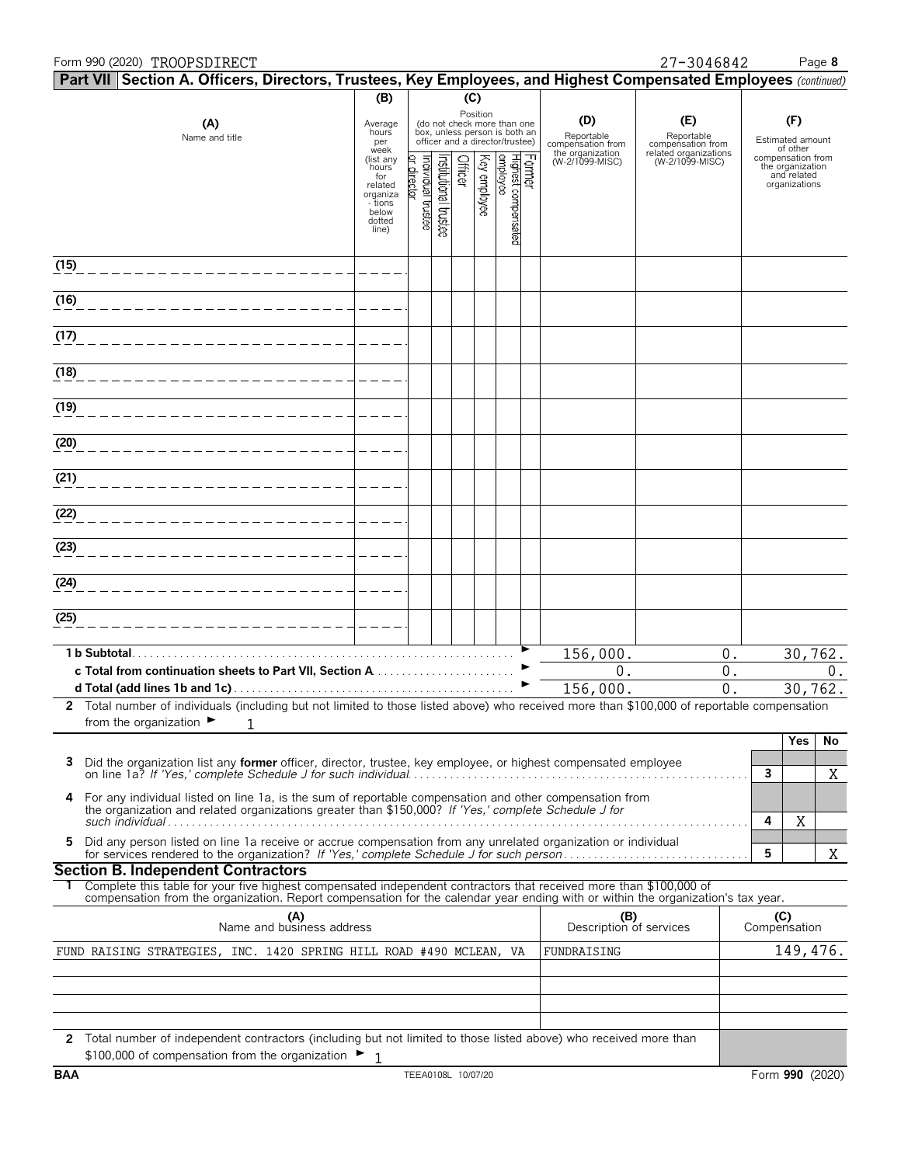#### Form 990 (2020) Page **8** TROOPSDIRECT 27-3046842

|      | Part VII Section A. Officers, Directors, Trustees, Key Employees, and Highest Compensated Employees (continued)                                                                                                                                                                                     |                                                                                         |                                                                                                             |                      |         |              |                                        |                                        |                                     |                                          |              |                                                                       |          |
|------|-----------------------------------------------------------------------------------------------------------------------------------------------------------------------------------------------------------------------------------------------------------------------------------------------------|-----------------------------------------------------------------------------------------|-------------------------------------------------------------------------------------------------------------|----------------------|---------|--------------|----------------------------------------|----------------------------------------|-------------------------------------|------------------------------------------|--------------|-----------------------------------------------------------------------|----------|
|      |                                                                                                                                                                                                                                                                                                     | (B)                                                                                     |                                                                                                             |                      | (C)     |              |                                        |                                        |                                     |                                          |              |                                                                       |          |
|      | (A)<br>Name and title                                                                                                                                                                                                                                                                               | Average<br>hours<br>per<br>week                                                         | Position<br>(do not check more than one<br>box, unless person is both an<br>officer and a director/trustee) |                      |         |              | (D)<br>Reportable<br>compensation from | (E)<br>Reportable<br>compensation from |                                     | (F)<br>Estimated amount<br>of other      |              |                                                                       |          |
|      |                                                                                                                                                                                                                                                                                                     | (list any<br>hours<br>for<br>related<br>organiza<br>- tions<br>below<br>dotted<br>line) | ⊆<br>Չ<br>ndividual trustee<br><b>irector</b>                                                               | nstitutional trustee | Officer | Key employee | Highest compensated<br>employee        | Former                                 | the organization<br>(W-2/1099-MISC) | related organizations<br>(W-2/1099-MISC) |              | compensation from<br>the organization<br>and related<br>organizations |          |
| (15) |                                                                                                                                                                                                                                                                                                     |                                                                                         |                                                                                                             |                      |         |              |                                        |                                        |                                     |                                          |              |                                                                       |          |
| (16) |                                                                                                                                                                                                                                                                                                     |                                                                                         |                                                                                                             |                      |         |              |                                        |                                        |                                     |                                          |              |                                                                       |          |
| (17) |                                                                                                                                                                                                                                                                                                     |                                                                                         |                                                                                                             |                      |         |              |                                        |                                        |                                     |                                          |              |                                                                       |          |
| (18) |                                                                                                                                                                                                                                                                                                     |                                                                                         |                                                                                                             |                      |         |              |                                        |                                        |                                     |                                          |              |                                                                       |          |
| (19) |                                                                                                                                                                                                                                                                                                     |                                                                                         |                                                                                                             |                      |         |              |                                        |                                        |                                     |                                          |              |                                                                       |          |
| (20) |                                                                                                                                                                                                                                                                                                     |                                                                                         |                                                                                                             |                      |         |              |                                        |                                        |                                     |                                          |              |                                                                       |          |
| (21) |                                                                                                                                                                                                                                                                                                     |                                                                                         |                                                                                                             |                      |         |              |                                        |                                        |                                     |                                          |              |                                                                       |          |
| (22) |                                                                                                                                                                                                                                                                                                     |                                                                                         |                                                                                                             |                      |         |              |                                        |                                        |                                     |                                          |              |                                                                       |          |
| (23) |                                                                                                                                                                                                                                                                                                     |                                                                                         |                                                                                                             |                      |         |              |                                        |                                        |                                     |                                          |              |                                                                       |          |
| (24) |                                                                                                                                                                                                                                                                                                     |                                                                                         |                                                                                                             |                      |         |              |                                        |                                        |                                     |                                          |              |                                                                       |          |
| (25) |                                                                                                                                                                                                                                                                                                     |                                                                                         |                                                                                                             |                      |         |              |                                        |                                        |                                     |                                          |              |                                                                       |          |
|      |                                                                                                                                                                                                                                                                                                     |                                                                                         |                                                                                                             |                      |         |              |                                        |                                        | 156,000.                            | 0.                                       | 30, 762.     |                                                                       |          |
|      | c Total from continuation sheets to Part VII, Section A                                                                                                                                                                                                                                             |                                                                                         |                                                                                                             |                      |         |              |                                        |                                        | 0.                                  | 0.                                       |              |                                                                       | 0.       |
|      |                                                                                                                                                                                                                                                                                                     |                                                                                         |                                                                                                             |                      |         |              |                                        |                                        | 156,000.                            | $\overline{0}$ .                         |              |                                                                       | 30, 762. |
|      | 2 Total number of individuals (including but not limited to those listed above) who received more than \$100,000 of reportable compensation<br>from the organization $\blacktriangleright$<br>1                                                                                                     |                                                                                         |                                                                                                             |                      |         |              |                                        |                                        |                                     |                                          |              |                                                                       |          |
|      | Did the organization list any <b>former</b> officer, director, trustee, key employee, or highest compensated employee                                                                                                                                                                               |                                                                                         |                                                                                                             |                      |         |              |                                        |                                        |                                     |                                          |              | Yes                                                                   | No       |
| 4    | For any individual listed on line 1a, is the sum of reportable compensation and other compensation from                                                                                                                                                                                             |                                                                                         |                                                                                                             |                      |         |              |                                        |                                        |                                     |                                          | 3            |                                                                       | X        |
|      | the organization and related organizations greater than \$150,000? If 'Yes,' complete Schedule J for                                                                                                                                                                                                |                                                                                         |                                                                                                             |                      |         |              |                                        |                                        |                                     |                                          | 4            | Χ                                                                     |          |
| 5    | Did any person listed on line 1a receive or accrue compensation from any unrelated organization or individual                                                                                                                                                                                       |                                                                                         |                                                                                                             |                      |         |              |                                        |                                        |                                     |                                          | 5            |                                                                       | X        |
|      | <b>Section B. Independent Contractors</b><br>Complete this table for your five highest compensated independent contractors that received more than \$100,000 of<br>compensation from the organization. Report compensation for the calendar year ending with or within the organization's tax year. |                                                                                         |                                                                                                             |                      |         |              |                                        |                                        |                                     |                                          |              |                                                                       |          |
|      | (A)<br>Name and business address                                                                                                                                                                                                                                                                    |                                                                                         |                                                                                                             |                      |         |              |                                        |                                        | (B)<br>Description of services      |                                          | Compensation | (C)                                                                   |          |
|      | FUND RAISING STRATEGIES, INC. 1420 SPRING HILL ROAD #490 MCLEAN, VA                                                                                                                                                                                                                                 |                                                                                         |                                                                                                             |                      |         |              |                                        |                                        | FUNDRAISING                         |                                          |              |                                                                       | 149,476. |
|      |                                                                                                                                                                                                                                                                                                     |                                                                                         |                                                                                                             |                      |         |              |                                        |                                        |                                     |                                          |              |                                                                       |          |
|      |                                                                                                                                                                                                                                                                                                     |                                                                                         |                                                                                                             |                      |         |              |                                        |                                        |                                     |                                          |              |                                                                       |          |
|      | 2 Total number of independent contractors (including but not limited to those listed above) who received more than<br>\$100,000 of compensation from the organization ▶                                                                                                                             |                                                                                         |                                                                                                             |                      |         |              |                                        |                                        |                                     |                                          |              |                                                                       |          |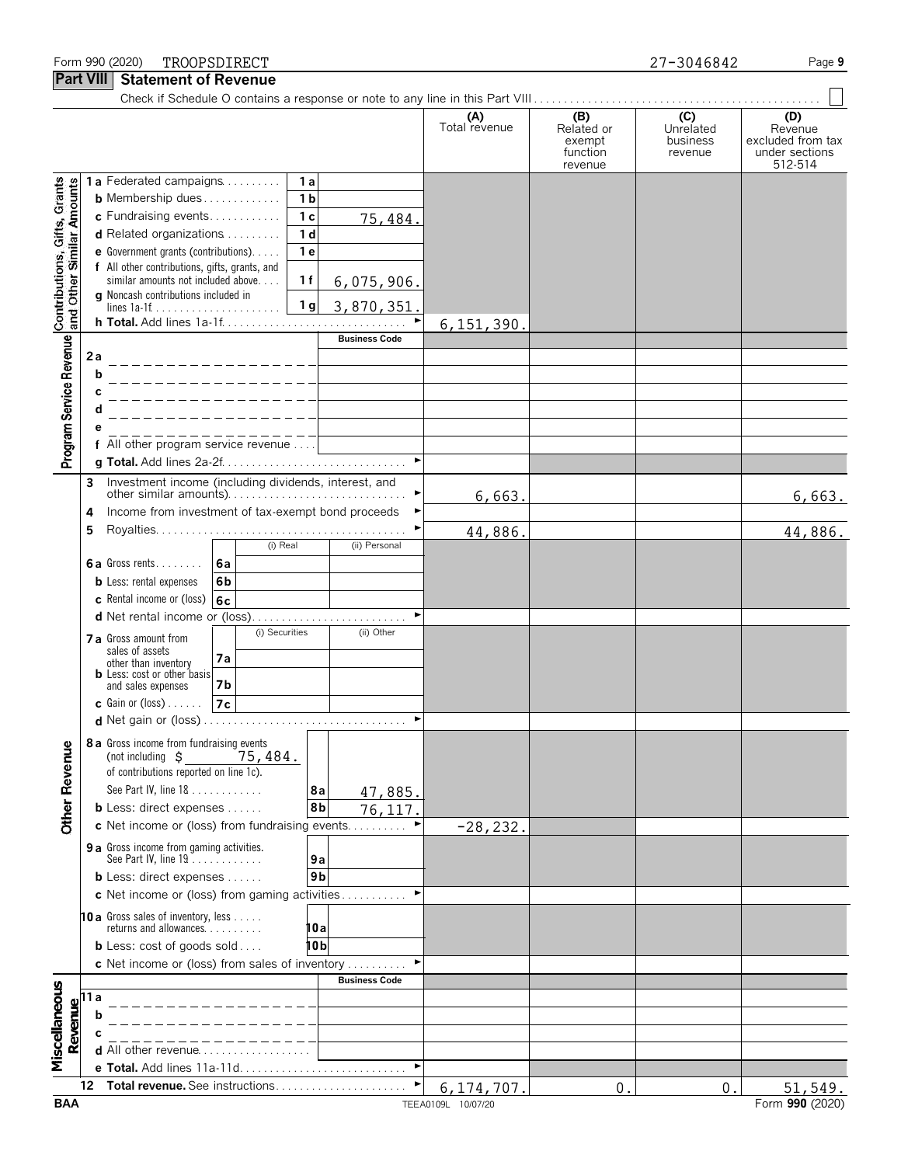| <u>. art vill</u>                                         |      | <b>PRIGRAME DE LA PROPITACIÓN</b>                                                                                       |                                |                      |                                                    |                                         |                                                                  |
|-----------------------------------------------------------|------|-------------------------------------------------------------------------------------------------------------------------|--------------------------------|----------------------|----------------------------------------------------|-----------------------------------------|------------------------------------------------------------------|
|                                                           |      |                                                                                                                         |                                | (A)<br>Total revenue | (B)<br>Related or<br>exempt<br>function<br>revenue | (C)<br>Unrelated<br>business<br>revenue | (D)<br>Revenue<br>excluded from tax<br>under sections<br>512-514 |
|                                                           |      | 1a Federated campaigns<br>1a                                                                                            |                                |                      |                                                    |                                         |                                                                  |
| Contributions, Gifts, Grants<br>and Other Similar Amounts |      | <b>b</b> Membership dues<br>1 <sub>b</sub>                                                                              |                                |                      |                                                    |                                         |                                                                  |
|                                                           |      | $c$ Fundraising events<br>1 <sub>c</sub>                                                                                | 75,484.                        |                      |                                                    |                                         |                                                                  |
|                                                           |      | d Related organizations<br>1 <sub>d</sub>                                                                               |                                |                      |                                                    |                                         |                                                                  |
|                                                           |      | 1 <sub>e</sub><br><b>e</b> Government grants (contributions). $\ldots$<br>f All other contributions, gifts, grants, and |                                |                      |                                                    |                                         |                                                                  |
|                                                           |      | similar amounts not included above.<br>1f                                                                               | 6,075,906.                     |                      |                                                    |                                         |                                                                  |
|                                                           |      | g Noncash contributions included in<br>1 <sub>g</sub><br>lines 1a-1f                                                    | 3,870,351                      |                      |                                                    |                                         |                                                                  |
|                                                           |      | h Total. Add lines 1a-1f                                                                                                |                                | 6, 151, 390.         |                                                    |                                         |                                                                  |
|                                                           |      |                                                                                                                         | <b>Business Code</b>           |                      |                                                    |                                         |                                                                  |
| Program Service Revenue                                   | 2 a  | ________________                                                                                                        |                                |                      |                                                    |                                         |                                                                  |
|                                                           | b    | _ _ _ _ _ _ _ _ _ _ _ _ _ _ _ _ _                                                                                       |                                |                      |                                                    |                                         |                                                                  |
|                                                           | C    |                                                                                                                         |                                |                      |                                                    |                                         |                                                                  |
|                                                           | d    |                                                                                                                         |                                |                      |                                                    |                                         |                                                                  |
|                                                           |      | _____________                                                                                                           |                                |                      |                                                    |                                         |                                                                  |
|                                                           |      | f All other program service revenue                                                                                     |                                |                      |                                                    |                                         |                                                                  |
|                                                           |      |                                                                                                                         | $\blacktriangleright$          |                      |                                                    |                                         |                                                                  |
|                                                           | 3    | Investment income (including dividends, interest, and                                                                   |                                | 6,663.               |                                                    |                                         | 6,663.                                                           |
|                                                           | 4    | Income from investment of tax-exempt bond proceeds                                                                      |                                |                      |                                                    |                                         |                                                                  |
|                                                           | 5    |                                                                                                                         |                                | 44,886.              |                                                    |                                         | 44,886.                                                          |
|                                                           |      | (i) Real                                                                                                                | (ii) Personal                  |                      |                                                    |                                         |                                                                  |
|                                                           |      | 6a Gross rents<br>6a                                                                                                    |                                |                      |                                                    |                                         |                                                                  |
|                                                           |      | <b>b</b> Less: rental expenses<br>6b                                                                                    |                                |                      |                                                    |                                         |                                                                  |
|                                                           |      | c Rental income or (loss) $6c$                                                                                          |                                |                      |                                                    |                                         |                                                                  |
|                                                           |      | d Net rental income or (loss)<br>(i) Securities                                                                         | ▶<br>(ii) Other                |                      |                                                    |                                         |                                                                  |
|                                                           |      | <b>7 a</b> Gross amount from<br>sales of assets                                                                         |                                |                      |                                                    |                                         |                                                                  |
|                                                           |      | 7a<br>other than inventory                                                                                              |                                |                      |                                                    |                                         |                                                                  |
|                                                           |      | <b>b</b> Less: cost or other basis<br>7b<br>and sales expenses                                                          |                                |                      |                                                    |                                         |                                                                  |
|                                                           |      | <b>c</b> Gain or (loss) $\ldots$ .<br>7с                                                                                |                                |                      |                                                    |                                         |                                                                  |
|                                                           |      |                                                                                                                         |                                |                      |                                                    |                                         |                                                                  |
|                                                           |      | 8 a Gross income from fundraising events                                                                                |                                |                      |                                                    |                                         |                                                                  |
|                                                           |      | (not including $\zeta$<br>75,484.                                                                                       |                                |                      |                                                    |                                         |                                                                  |
|                                                           |      | of contributions reported on line 1c).                                                                                  |                                |                      |                                                    |                                         |                                                                  |
|                                                           |      | See Part IV, line 18<br><b>b</b> Less: direct expenses $\ldots$ .                                                       | 8а<br>47,885.<br>8b<br>76,117. |                      |                                                    |                                         |                                                                  |
| <b>Other Revenue</b>                                      |      | c Net income or (loss) from fundraising events                                                                          |                                | $-28, 232.$          |                                                    |                                         |                                                                  |
|                                                           |      | 9 a Gross income from gaming activities.                                                                                |                                |                      |                                                    |                                         |                                                                  |
|                                                           |      | See Part IV, line 19                                                                                                    | 9а                             |                      |                                                    |                                         |                                                                  |
|                                                           |      | <b>b</b> Less: direct expenses $\ldots$ .                                                                               | 9 <sub>b</sub>                 |                      |                                                    |                                         |                                                                  |
|                                                           |      | c Net income or (loss) from gaming activities                                                                           |                                |                      |                                                    |                                         |                                                                  |
|                                                           |      | 10 a Gross sales of inventory, less                                                                                     |                                |                      |                                                    |                                         |                                                                  |
|                                                           |      | returns and allowances                                                                                                  | 10a                            |                      |                                                    |                                         |                                                                  |
|                                                           |      | <b>b</b> Less: cost of goods sold<br>c Net income or (loss) from sales of inventory                                     | 10 b                           |                      |                                                    |                                         |                                                                  |
|                                                           |      |                                                                                                                         | <b>Business Code</b>           |                      |                                                    |                                         |                                                                  |
|                                                           | 11 a |                                                                                                                         |                                |                      |                                                    |                                         |                                                                  |
| Revenue                                                   |      |                                                                                                                         |                                |                      |                                                    |                                         |                                                                  |
|                                                           |      |                                                                                                                         |                                |                      |                                                    |                                         |                                                                  |
| Miscellaneous                                             |      |                                                                                                                         |                                |                      |                                                    |                                         |                                                                  |
|                                                           |      | e Total. Add lines 11a-11d                                                                                              | ▶                              |                      |                                                    |                                         |                                                                  |
|                                                           | 12   |                                                                                                                         | $\blacktriangleright$          | 6, 174, 707.         | $\mathbf{0}$ .                                     | 0.                                      | 51,549.                                                          |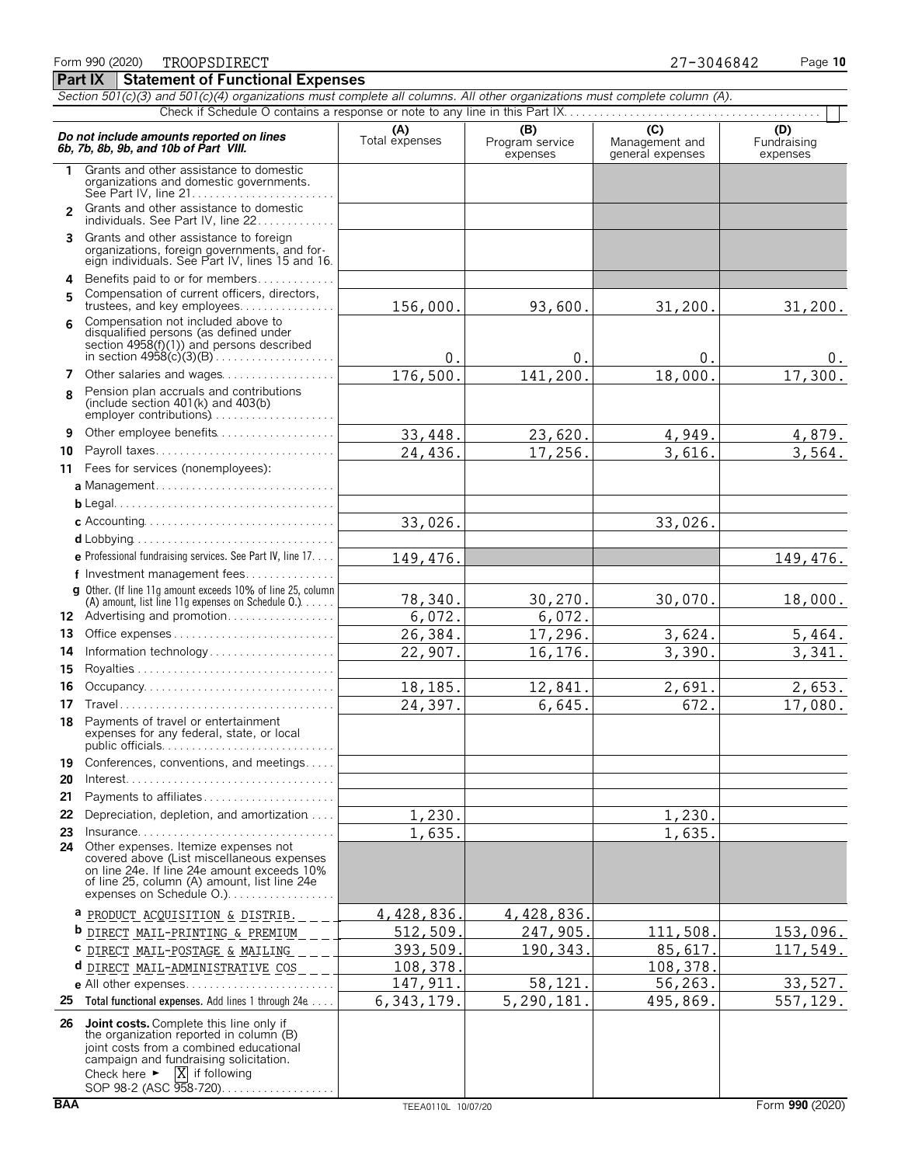|                | Section 501(c)(3) and 501(c)(4) organizations must complete all columns. All other organizations must complete column (A).                                                                                                                                                                          |                       |                                    |                                           |                                |
|----------------|-----------------------------------------------------------------------------------------------------------------------------------------------------------------------------------------------------------------------------------------------------------------------------------------------------|-----------------------|------------------------------------|-------------------------------------------|--------------------------------|
|                |                                                                                                                                                                                                                                                                                                     |                       |                                    |                                           |                                |
|                | Do not include amounts reported on lines<br>6b, 7b, 8b, 9b, and 10b of Part VIII.                                                                                                                                                                                                                   | (A)<br>Total expenses | (B)<br>Program service<br>expenses | (C)<br>Management and<br>general expenses | (D)<br>Fundraising<br>expenses |
| 1.             | Grants and other assistance to domestic<br>organizations and domestic governments.                                                                                                                                                                                                                  |                       |                                    |                                           |                                |
| $\mathfrak{p}$ | Grants and other assistance to domestic<br>individuals. See Part IV, line 22.                                                                                                                                                                                                                       |                       |                                    |                                           |                                |
|                | 3 Grants and other assistance to foreign<br>organizations, foreign governments, and for-<br>eign individuals. See Part IV, lines 15 and 16.                                                                                                                                                         |                       |                                    |                                           |                                |
| 4              | Benefits paid to or for members                                                                                                                                                                                                                                                                     |                       |                                    |                                           |                                |
| 5              | Compensation of current officers, directors,<br>trustees, and key employees                                                                                                                                                                                                                         | 156,000.              | 93,600.                            | 31,200.                                   | 31,200.                        |
| 6              | Compensation not included above to<br>disqualified persons (as defined under<br>section $4958(f)(1)$ and persons described                                                                                                                                                                          | 0.                    | 0.                                 | 0.                                        | 0.                             |
| 7              | Other salaries and wages                                                                                                                                                                                                                                                                            | 176,500.              | 141,200.                           | 18,000.                                   | 17,300.                        |
| 8              | Pension plan accruals and contributions<br>(include section 401(k) and 403(b)<br>employer contributions)                                                                                                                                                                                            |                       |                                    |                                           |                                |
| 9              | Other employee benefits                                                                                                                                                                                                                                                                             | 33,448.               | 23,620.                            | 4,949.                                    | 4,879.                         |
| 10             | Payroll taxes                                                                                                                                                                                                                                                                                       | 24,436.               | 17,256.                            | 3,616.                                    | 3,564.                         |
|                | 11 Fees for services (nonemployees):                                                                                                                                                                                                                                                                |                       |                                    |                                           |                                |
|                | a Management                                                                                                                                                                                                                                                                                        |                       |                                    |                                           |                                |
|                |                                                                                                                                                                                                                                                                                                     |                       |                                    |                                           |                                |
|                |                                                                                                                                                                                                                                                                                                     | 33,026.               |                                    | 33,026.                                   |                                |
|                | d Lobbying                                                                                                                                                                                                                                                                                          |                       |                                    |                                           |                                |
|                | e Professional fundraising services. See Part IV, line 17.                                                                                                                                                                                                                                          | 149,476.              |                                    |                                           | 149,476.                       |
|                | f Investment management fees                                                                                                                                                                                                                                                                        |                       |                                    |                                           |                                |
|                | g Other. (If line 11g amount exceeds 10% of line 25, column<br>(A) amount, list line 11g expenses on Schedule 0.).                                                                                                                                                                                  | 78,340.               | 30,270.                            | 30,070.                                   | 18,000.                        |
|                | 12 Advertising and promotion                                                                                                                                                                                                                                                                        | 6,072.                | 6,072.                             |                                           |                                |
| 13             |                                                                                                                                                                                                                                                                                                     | 26,384.               | 17,296.                            | 3,624.                                    | 5,464.                         |
| 14             | Information technology                                                                                                                                                                                                                                                                              | 22,907.               | 16,176.                            | 3,390.                                    | 3,341.                         |
| 15             |                                                                                                                                                                                                                                                                                                     |                       |                                    |                                           |                                |
| 16             |                                                                                                                                                                                                                                                                                                     | 18,185.               | 12,841                             | 2,691.                                    | 2,653.                         |
| 17             |                                                                                                                                                                                                                                                                                                     | 24,397.               | 6,645.                             | 672.                                      | 17,080.                        |
| 18             | Payments of travel or entertainment<br>expenses for any federal, state, or local<br>public officials                                                                                                                                                                                                |                       |                                    |                                           |                                |
| 19<br>20       | Conferences, conventions, and meetings<br>$Interest. \ldots \ldots \ldots \ldots \ldots \ldots \ldots \ldots \ldots \ldots \ldots \ldots \ldots$                                                                                                                                                    |                       |                                    |                                           |                                |
| 21             | Payments to affiliates                                                                                                                                                                                                                                                                              |                       |                                    |                                           |                                |
| 22             | Depreciation, depletion, and amortization                                                                                                                                                                                                                                                           | 1,230.                |                                    | 1,230.                                    |                                |
| 23<br>24       | $insurance. \ldots \ldots \ldots \ldots \ldots \ldots \ldots \ldots \ldots \ldots$<br>Other expenses. Itemize expenses not<br>covered above (List miscellaneous expenses<br>on line 24e. If line 24e amount exceeds 10%<br>of line 25, column (A) amount, list line 24e<br>expenses on Schedule O.) | 1,635.                |                                    | 1,635.                                    |                                |
|                | a <b>PRODUCT ACQUISITION &amp; DISTRIB.</b>                                                                                                                                                                                                                                                         | 4,428,836.            | 4,428,836.                         |                                           |                                |
| b              | DIRECT MAIL-PRINTING & PREMIUM                                                                                                                                                                                                                                                                      | 512,509.              | 247,905.                           | 111,508.                                  | 153,096.                       |
| C              | DIRECT MAIL-POSTAGE & MAILING                                                                                                                                                                                                                                                                       | 393,509.              | 190, 343.                          | 85,617                                    | 117,549.                       |
| d              | DIRECT MAIL-ADMINISTRATIVE COS                                                                                                                                                                                                                                                                      | 108,378.              |                                    | 108,378.                                  |                                |
|                | e All other expenses                                                                                                                                                                                                                                                                                | 147, 911.             | 58,121.                            | 56,263.                                   | 33,527.                        |
| 25             | Total functional expenses. Add lines 1 through 24e                                                                                                                                                                                                                                                  | 6, 343, 179.          | 5,290,181.                         | 495,869.                                  | 557,129.                       |
| 26             | Joint costs. Complete this line only if<br>the organization reported in column (B)<br>joint costs from a combined educational<br>campaign and fundraising solicitation.<br>$\overline{X}$ if following<br>Check here $\blacktriangleright$<br>SOP 98-2 (ASC 958-720)                                |                       |                                    |                                           |                                |

**Part IX | Statement of Functional Expenses**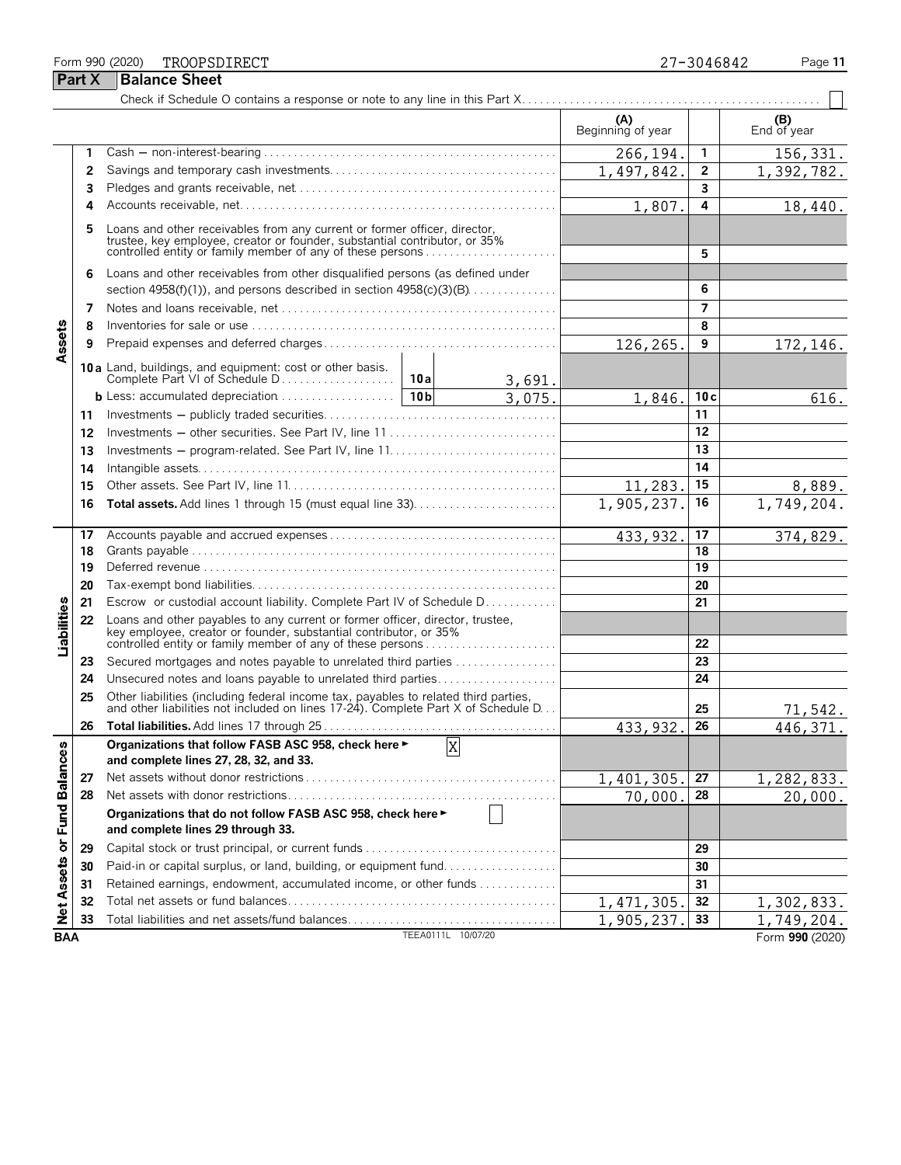#### Form 990 (2020) Page **11** TROOPSDIRECT 27-3046842

Assets

Liabilities

|                             |    |                                                                                                                                                                                                                       |                    |                  | (A)<br>Beginning of year |                | (B)<br>End of year |
|-----------------------------|----|-----------------------------------------------------------------------------------------------------------------------------------------------------------------------------------------------------------------------|--------------------|------------------|--------------------------|----------------|--------------------|
|                             | 1  |                                                                                                                                                                                                                       |                    |                  | 266,194.                 | $\mathbf{1}$   | 156,331.           |
|                             | 2  |                                                                                                                                                                                                                       |                    |                  | 1,497,842.               | 2              | 1,392,782.         |
|                             | 3  |                                                                                                                                                                                                                       |                    |                  |                          | 3              |                    |
|                             | 4  |                                                                                                                                                                                                                       |                    |                  | 1,807.                   | 4              | 18,440.            |
|                             | 5  | Loans and other receivables from any current or former officer, director,<br>trustee, key employee, creator or founder, substantial contributor, or 35%<br>controlled entity or family member of any of these persons |                    | 5                |                          |                |                    |
|                             | 6  | Loans and other receivables from other disqualified persons (as defined under                                                                                                                                         |                    |                  |                          |                |                    |
|                             |    | section $4958(f)(1)$ , and persons described in section $4958(c)(3)(B)$                                                                                                                                               |                    |                  |                          | 6              |                    |
|                             | 7  |                                                                                                                                                                                                                       |                    |                  |                          | $\overline{ }$ |                    |
|                             | 8  |                                                                                                                                                                                                                       |                    |                  |                          | 8              |                    |
| Assets                      | 9  |                                                                                                                                                                                                                       |                    |                  | 126,265.                 | 9              | 172,146.           |
|                             |    |                                                                                                                                                                                                                       |                    |                  |                          |                |                    |
|                             |    |                                                                                                                                                                                                                       | 10 <sub>b</sub>    | 3,691.<br>3,075. |                          |                |                    |
|                             |    |                                                                                                                                                                                                                       | 1,846              | 10c              | 616.                     |                |                    |
|                             | 11 |                                                                                                                                                                                                                       |                    |                  |                          | 11             |                    |
|                             | 12 |                                                                                                                                                                                                                       |                    |                  |                          | 12             |                    |
|                             | 13 |                                                                                                                                                                                                                       |                    |                  |                          | 13             |                    |
|                             | 14 |                                                                                                                                                                                                                       |                    | 14               |                          |                |                    |
|                             | 15 |                                                                                                                                                                                                                       |                    |                  |                          |                |                    |
|                             | 16 | Total assets. Add lines 1 through 15 (must equal line 33)                                                                                                                                                             |                    |                  | 1,905,237.               | 16             | 1,749,204.         |
|                             | 17 |                                                                                                                                                                                                                       | 433, 932.          | 17               | 374,829.                 |                |                    |
|                             | 18 |                                                                                                                                                                                                                       |                    |                  |                          | 18             |                    |
|                             | 19 |                                                                                                                                                                                                                       |                    |                  |                          | 19             |                    |
|                             | 20 |                                                                                                                                                                                                                       |                    |                  |                          | 20             |                    |
|                             | 21 | Escrow or custodial account liability. Complete Part IV of Schedule D.                                                                                                                                                |                    |                  |                          | 21             |                    |
| Liabilities                 | 22 | Loans and other payables to any current or former officer, director, trustee,<br>key employee, creator or founder, substantial contributor, or 35%<br>controlled entity or family member of any of these persons      |                    |                  |                          | 22             |                    |
|                             | 23 | Secured mortgages and notes payable to unrelated third parties                                                                                                                                                        |                    |                  |                          | 23             |                    |
|                             | 24 | Unsecured notes and loans payable to unrelated third parties                                                                                                                                                          |                    |                  |                          | 24             |                    |
|                             | 25 | Other liabilities (including federal income tax, payables to related third parties, and other liabilities not included on lines 17-24). Complete Part X of Schedule D                                                 |                    |                  |                          | 25             | 71,542.            |
|                             | 26 |                                                                                                                                                                                                                       |                    |                  | 433,932                  | 26             | 446,371.           |
|                             |    | Organizations that follow FASB ASC 958, check here ►<br>and complete lines 27, 28, 32, and 33.                                                                                                                        | $\overline{X}$     |                  |                          |                |                    |
|                             | 27 |                                                                                                                                                                                                                       |                    |                  | 1,401,305                | 27             | 1,282,833.         |
|                             | 28 |                                                                                                                                                                                                                       |                    |                  | 70,000                   | 28             | 20,000.            |
| Net Assets or Fund Balances |    | Organizations that do not follow FASB ASC 958, check here ►                                                                                                                                                           |                    |                  |                          |                |                    |
|                             |    | and complete lines 29 through 33.                                                                                                                                                                                     |                    |                  |                          | 29             |                    |
|                             | 29 |                                                                                                                                                                                                                       |                    |                  |                          |                |                    |
|                             | 30 | Paid-in or capital surplus, or land, building, or equipment fund                                                                                                                                                      |                    |                  | 30                       |                |                    |
|                             | 31 | Retained earnings, endowment, accumulated income, or other funds                                                                                                                                                      |                    |                  |                          | 31             |                    |
|                             | 32 |                                                                                                                                                                                                                       |                    |                  | 1,471,305                | 32             | 1,302,833.         |
|                             | 33 | Total liabilities and net assets/fund balances                                                                                                                                                                        |                    |                  | 1,905,237.               | 33             | 1,749,204.         |
| BAA                         |    |                                                                                                                                                                                                                       | TEEA0111L 10/07/20 |                  |                          |                | Form 990 (2020)    |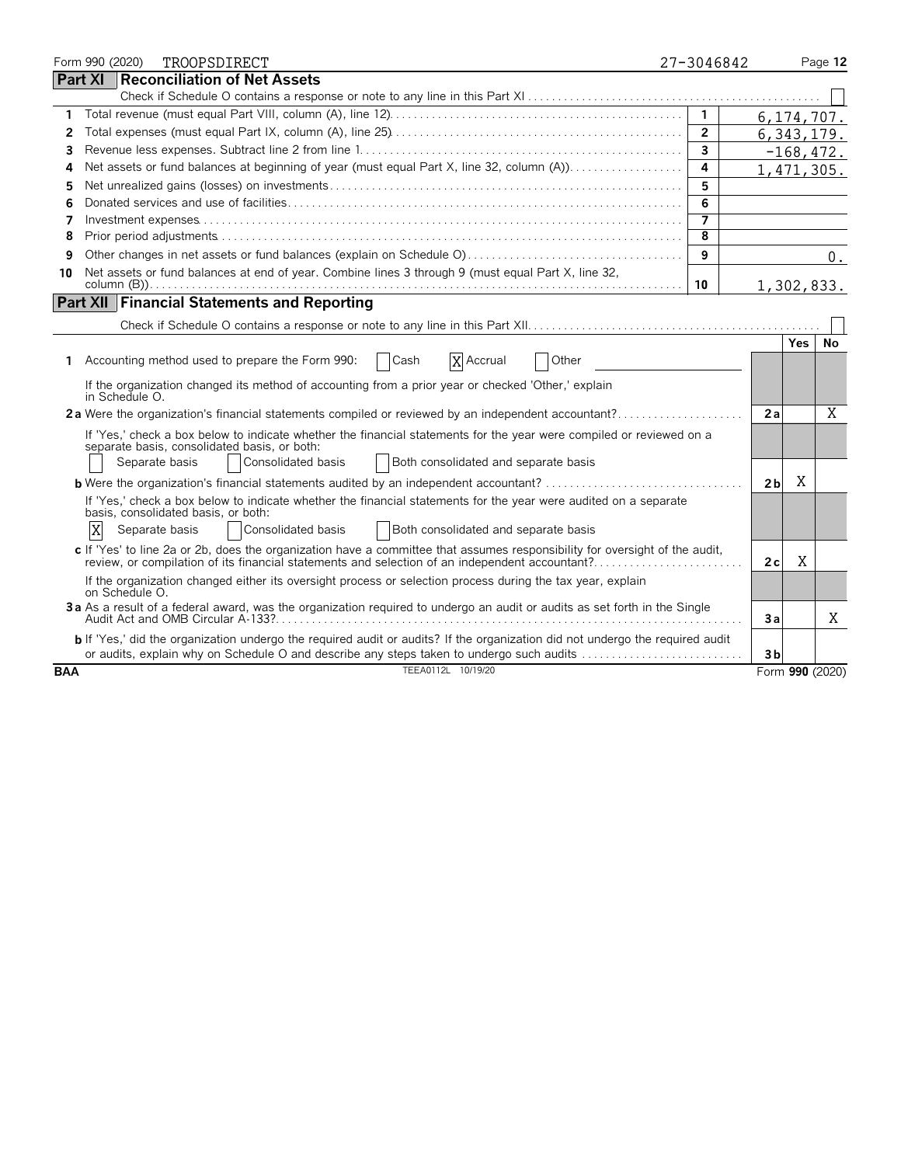|            | Form 990 (2020)<br>TROOPSDIRECT                                                                                                                                                                                                                      | 27-3046842              |                |            | Page 12         |
|------------|------------------------------------------------------------------------------------------------------------------------------------------------------------------------------------------------------------------------------------------------------|-------------------------|----------------|------------|-----------------|
|            | <b>Part XI</b><br>Reconciliation of Net Assets                                                                                                                                                                                                       |                         |                |            |                 |
|            |                                                                                                                                                                                                                                                      |                         |                |            |                 |
| 1          |                                                                                                                                                                                                                                                      | $\mathbf{1}$            | 6, 174, 707.   |            |                 |
| 2          |                                                                                                                                                                                                                                                      | $\overline{2}$          | 6, 343, 179.   |            |                 |
| 3          |                                                                                                                                                                                                                                                      | $\overline{3}$          |                |            | $-168,472.$     |
| 4          | Net assets or fund balances at beginning of year (must equal Part X, line 32, column (A))                                                                                                                                                            | $\overline{\mathbf{A}}$ | 1,471,305.     |            |                 |
| 5          |                                                                                                                                                                                                                                                      | 5                       |                |            |                 |
| 6          |                                                                                                                                                                                                                                                      | 6                       |                |            |                 |
| 7          |                                                                                                                                                                                                                                                      | $\overline{7}$          |                |            |                 |
| 8          |                                                                                                                                                                                                                                                      | 8                       |                |            |                 |
| 9          |                                                                                                                                                                                                                                                      | 9                       |                |            | 0.              |
| 10         | Net assets or fund balances at end of year. Combine lines 3 through 9 (must equal Part X, line 32,                                                                                                                                                   | 10                      | 1,302,833.     |            |                 |
|            | <b>Part XII Financial Statements and Reporting</b>                                                                                                                                                                                                   |                         |                |            |                 |
|            |                                                                                                                                                                                                                                                      |                         |                |            |                 |
|            |                                                                                                                                                                                                                                                      |                         |                | <b>Yes</b> | No              |
|            | Accounting method used to prepare the Form 990:<br>Cash<br>X Accrual<br>Other                                                                                                                                                                        |                         |                |            |                 |
|            | If the organization changed its method of accounting from a prior year or checked 'Other,' explain<br>in Schedule O.                                                                                                                                 |                         |                |            |                 |
|            | 2a Were the organization's financial statements compiled or reviewed by an independent accountant?                                                                                                                                                   |                         | 2a             |            | X               |
|            | If 'Yes,' check a box below to indicate whether the financial statements for the year were compiled or reviewed on a<br>separate basis, consolidated basis, or both:<br>Both consolidated and separate basis<br>Separate basis<br>Consolidated basis |                         |                |            |                 |
|            | <b>b</b> Were the organization's financial statements audited by an independent accountant?                                                                                                                                                          |                         | 2 <sub>b</sub> | X          |                 |
|            | If 'Yes,' check a box below to indicate whether the financial statements for the year were audited on a separate<br>basis, consolidated basis, or both:<br>X<br>Both consolidated and separate basis<br>Separate basis<br>Consolidated basis         |                         |                |            |                 |
|            | c If 'Yes' to line 2a or 2b, does the organization have a committee that assumes responsibility for oversight of the audit,                                                                                                                          |                         | 2 c            | Χ          |                 |
|            | If the organization changed either its oversight process or selection process during the tax year, explain<br>on Schedule O.                                                                                                                         |                         |                |            |                 |
|            | 3a As a result of a federal award, was the organization required to undergo an audit or audits as set forth in the Single                                                                                                                            |                         | Зa             |            | Χ               |
|            | <b>b</b> If 'Yes,' did the organization undergo the required audit or audits? If the organization did not undergo the required audit<br>or audits, explain why on Schedule O and describe any steps taken to undergo such audits                     |                         | 3 <sub>b</sub> |            |                 |
| <b>BAA</b> | TEEA0112L 10/19/20                                                                                                                                                                                                                                   |                         |                |            | Form 990 (2020) |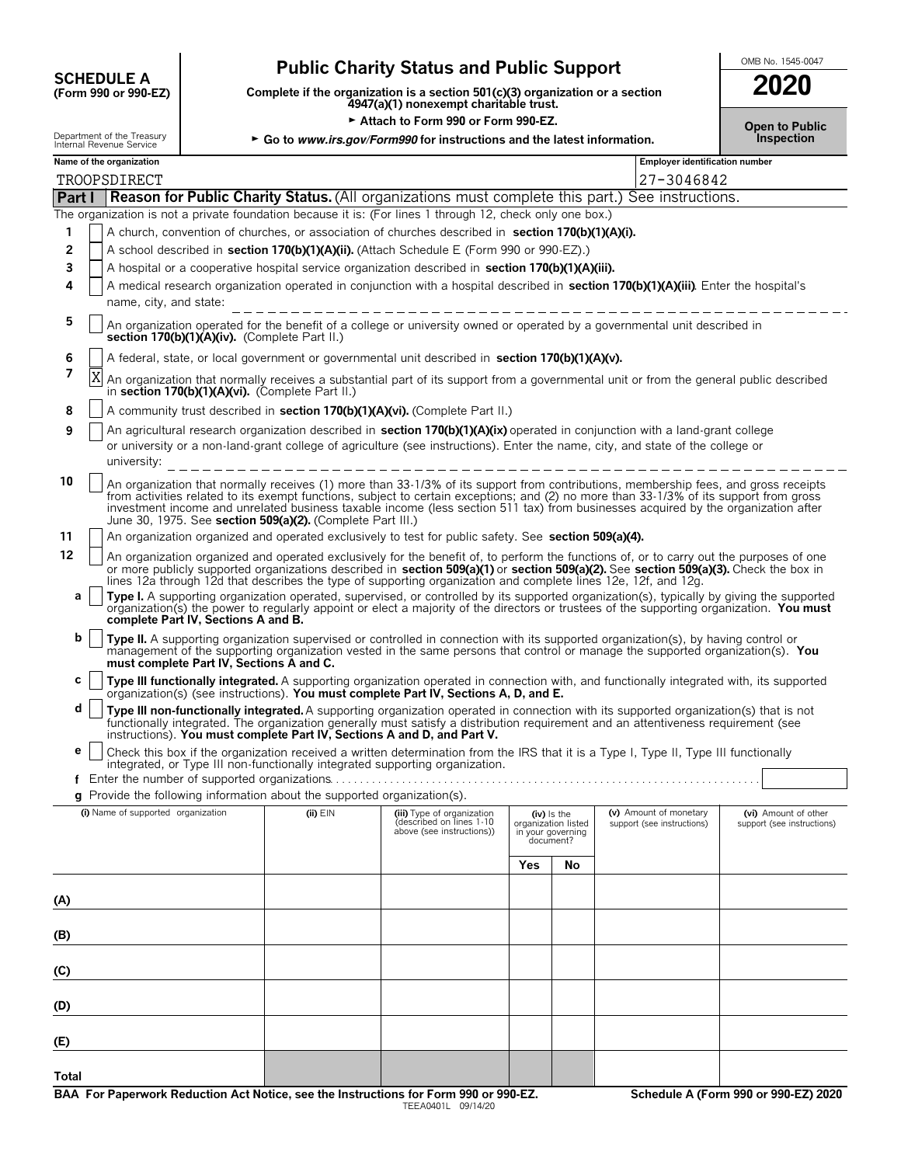# **CHEDULE A** Public Charity Status and Public Support<br>
(Form 990 or 990-EZ) Complete if the organization is a section 501(c)(3) organization or a section

**(Form 990 or 990-EZ) Complete if the organization is a section 501(c)(3) organization or a section 2020 4947(a)(1) nonexempt charitable trust.**

► Attach to Form 990 or Form 990-EZ.<br>gov/Form990 for instructions and the latest information. **Democial condensation** Department of the Treasury **Go to** *www.irs.gov/Form990* **for instructions and the latest information.**<br>Internal Revenue Service

|  | Name of the organization |
|--|--------------------------|

| Name of the organization                                                                                                                                                                                                                                                                                                                                                                                                                                                               |                                                                                           |                                                                                     |                     |                                                 | <b>Employer identification number</b>                |                                                    |  |
|----------------------------------------------------------------------------------------------------------------------------------------------------------------------------------------------------------------------------------------------------------------------------------------------------------------------------------------------------------------------------------------------------------------------------------------------------------------------------------------|-------------------------------------------------------------------------------------------|-------------------------------------------------------------------------------------|---------------------|-------------------------------------------------|------------------------------------------------------|----------------------------------------------------|--|
| TROOPSDIRECT                                                                                                                                                                                                                                                                                                                                                                                                                                                                           |                                                                                           |                                                                                     |                     |                                                 | 27-3046842                                           |                                                    |  |
| <b>Reason for Public Charity Status.</b> (All organizations must complete this part.) See instructions.<br>Part I                                                                                                                                                                                                                                                                                                                                                                      |                                                                                           |                                                                                     |                     |                                                 |                                                      |                                                    |  |
| The organization is not a private foundation because it is: (For lines 1 through 12, check only one box.)                                                                                                                                                                                                                                                                                                                                                                              |                                                                                           |                                                                                     |                     |                                                 |                                                      |                                                    |  |
| A church, convention of churches, or association of churches described in section 170(b)(1)(A)(i).<br>1                                                                                                                                                                                                                                                                                                                                                                                |                                                                                           |                                                                                     |                     |                                                 |                                                      |                                                    |  |
| 2                                                                                                                                                                                                                                                                                                                                                                                                                                                                                      | A school described in section 170(b)(1)(A)(ii). (Attach Schedule E (Form 990 or 990-EZ).) |                                                                                     |                     |                                                 |                                                      |                                                    |  |
| 3<br>A hospital or a cooperative hospital service organization described in section 170(b)(1)(A)(iii).                                                                                                                                                                                                                                                                                                                                                                                 |                                                                                           |                                                                                     |                     |                                                 |                                                      |                                                    |  |
| A medical research organization operated in conjunction with a hospital described in section 170(b)(1)(A)(iii). Enter the hospital's<br>4                                                                                                                                                                                                                                                                                                                                              |                                                                                           |                                                                                     |                     |                                                 |                                                      |                                                    |  |
| name, city, and state:                                                                                                                                                                                                                                                                                                                                                                                                                                                                 |                                                                                           |                                                                                     |                     |                                                 |                                                      |                                                    |  |
| 5<br>An organization operated for the benefit of a college or university owned or operated by a governmental unit described in<br>section 170(b)(1)(A)(iv). (Complete Part II.)                                                                                                                                                                                                                                                                                                        |                                                                                           |                                                                                     |                     |                                                 |                                                      |                                                    |  |
| A federal, state, or local government or governmental unit described in section 170(b)(1)(A)(v).<br>6                                                                                                                                                                                                                                                                                                                                                                                  |                                                                                           |                                                                                     |                     |                                                 |                                                      |                                                    |  |
| 7<br>Χ<br>An organization that normally receives a substantial part of its support from a governmental unit or from the general public described<br>in section 170(b)(1)(A)(vi). (Complete Part II.)                                                                                                                                                                                                                                                                                   |                                                                                           |                                                                                     |                     |                                                 |                                                      |                                                    |  |
| A community trust described in section 170(b)(1)(A)(vi). (Complete Part II.)<br>8                                                                                                                                                                                                                                                                                                                                                                                                      |                                                                                           |                                                                                     |                     |                                                 |                                                      |                                                    |  |
| An agricultural research organization described in section 170(b)(1)(A)(ix) operated in conjunction with a land-grant college<br>9<br>or university or a non-land-grant college of agriculture (see instructions). Enter the name, city, and state of the college or                                                                                                                                                                                                                   |                                                                                           |                                                                                     |                     |                                                 |                                                      |                                                    |  |
|                                                                                                                                                                                                                                                                                                                                                                                                                                                                                        |                                                                                           |                                                                                     |                     |                                                 |                                                      |                                                    |  |
| 10<br>An organization that normally receives (1) more than 33-1/3% of its support from contributions, membership fees, and gross receipts<br>from activities related to its exempt functions, subject to certain exceptions; and (2) no more than 33-1/3% of its support from gross<br>investment income and unrelated business taxable income (less section 511 tax) from businesses acquired by the organization after<br>June 30, 1975. See section 509(a)(2). (Complete Part III.) |                                                                                           |                                                                                     |                     |                                                 |                                                      |                                                    |  |
| 11<br>An organization organized and operated exclusively to test for public safety. See section 509(a)(4).                                                                                                                                                                                                                                                                                                                                                                             |                                                                                           |                                                                                     |                     |                                                 |                                                      |                                                    |  |
| 12<br>An organization organized and operated exclusively for the benefit of, to perform the functions of, or to carry out the purposes of one<br>or more publicly supported organizations described in section $509(a)(1)$ or section $509(a)(2)$ . See section $509(a)(3)$ . Check the box in<br>lines 12a through 12d that describes the type of supporting organization and complete lines 12e, 12f, and 12g.                                                                       |                                                                                           |                                                                                     |                     |                                                 |                                                      |                                                    |  |
| Type I. A supporting organization operated, supervised, or controlled by its supported organization(s), typically by giving the supported<br>a<br>organization(s) the power to regularly appoint or elect a majority of the directors or trustees of the supporting organization. You must<br>complete Part IV, Sections A and B.                                                                                                                                                      |                                                                                           |                                                                                     |                     |                                                 |                                                      |                                                    |  |
| b<br>Type II. A supporting organization supervised or controlled in connection with its supported organization(s), by having control or<br>management of the supporting organization vested in the same persons that control or manage the supported organization(s). You<br>must complete Part IV, Sections A and C.                                                                                                                                                                  |                                                                                           |                                                                                     |                     |                                                 |                                                      |                                                    |  |
| c<br>Type III functionally integrated. A supporting organization operated in connection with, and functionally integrated with, its supported<br>organization(s) (see instructions). You must complete Part IV, Sections A, D, and E.                                                                                                                                                                                                                                                  |                                                                                           |                                                                                     |                     |                                                 |                                                      |                                                    |  |
| d<br>Type III non-functionally integrated. A supporting organization operated in connection with its supported organization(s) that is not<br>functionally integrated. The organization generally must satisfy a distribution requirement and an attentiveness requirement (see                                                                                                                                                                                                        |                                                                                           |                                                                                     |                     |                                                 |                                                      |                                                    |  |
| instructions). You must complete Part IV, Sections A and D, and Part V.<br>Check this box if the organization received a written determination from the IRS that it is a Type I, Type II, Type III functionally<br>е<br>integrated, or Type III non-functionally integrated supporting organization.                                                                                                                                                                                   |                                                                                           |                                                                                     |                     |                                                 |                                                      |                                                    |  |
|                                                                                                                                                                                                                                                                                                                                                                                                                                                                                        |                                                                                           |                                                                                     |                     |                                                 |                                                      |                                                    |  |
| g Provide the following information about the supported organization(s).                                                                                                                                                                                                                                                                                                                                                                                                               |                                                                                           |                                                                                     |                     |                                                 |                                                      |                                                    |  |
| (i) Name of supported organization                                                                                                                                                                                                                                                                                                                                                                                                                                                     | (ii) EIN                                                                                  | (iii) Type of organization<br>(described on lines 1-10<br>above (see instructions)) | organization listed | $(iv)$ is the<br>in your governing<br>document? | (v) Amount of monetary<br>support (see instructions) | (vi) Amount of other<br>support (see instructions) |  |
|                                                                                                                                                                                                                                                                                                                                                                                                                                                                                        |                                                                                           |                                                                                     | Yes                 | No                                              |                                                      |                                                    |  |
|                                                                                                                                                                                                                                                                                                                                                                                                                                                                                        |                                                                                           |                                                                                     |                     |                                                 |                                                      |                                                    |  |
| (A)                                                                                                                                                                                                                                                                                                                                                                                                                                                                                    |                                                                                           |                                                                                     |                     |                                                 |                                                      |                                                    |  |
| (B)                                                                                                                                                                                                                                                                                                                                                                                                                                                                                    |                                                                                           |                                                                                     |                     |                                                 |                                                      |                                                    |  |
|                                                                                                                                                                                                                                                                                                                                                                                                                                                                                        |                                                                                           |                                                                                     |                     |                                                 |                                                      |                                                    |  |
| (C)                                                                                                                                                                                                                                                                                                                                                                                                                                                                                    |                                                                                           |                                                                                     |                     |                                                 |                                                      |                                                    |  |
| (D)                                                                                                                                                                                                                                                                                                                                                                                                                                                                                    |                                                                                           |                                                                                     |                     |                                                 |                                                      |                                                    |  |
| (E)                                                                                                                                                                                                                                                                                                                                                                                                                                                                                    |                                                                                           |                                                                                     |                     |                                                 |                                                      |                                                    |  |
| <b>Total</b>                                                                                                                                                                                                                                                                                                                                                                                                                                                                           |                                                                                           |                                                                                     |                     |                                                 |                                                      |                                                    |  |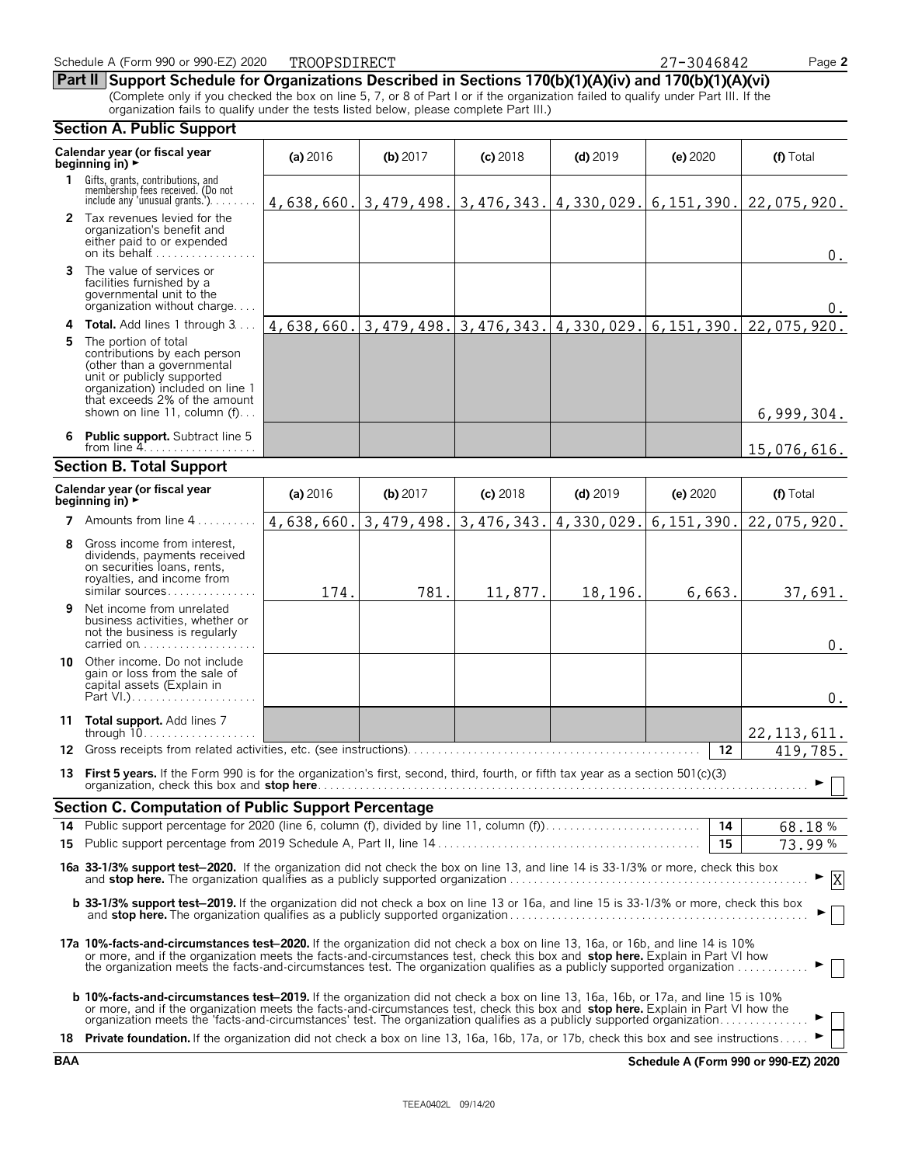## **Part II Support Schedule for Organizations Described in Sections 170(b)(1)(A)(iv) and 170(b)(1)(A)(vi)**

(Complete only if you checked the box on line 5, 7, or 8 of Part I or if the organization failed to qualify under Part III. If the organization fails to qualify under the tests listed below, please complete Part III.)

|              | <b>Section A. Public Support</b>                                                                                                                                                                                                                                                                                                                                                            |            |            |                                                     |            |            |                           |  |
|--------------|---------------------------------------------------------------------------------------------------------------------------------------------------------------------------------------------------------------------------------------------------------------------------------------------------------------------------------------------------------------------------------------------|------------|------------|-----------------------------------------------------|------------|------------|---------------------------|--|
|              | Calendar year (or fiscal year<br>beginning in) $\blacktriangleright$                                                                                                                                                                                                                                                                                                                        | (a) 2016   | $(b)$ 2017 | $(c)$ 2018                                          | $(d)$ 2019 | $(e)$ 2020 | (f) Total                 |  |
| $\mathbf{1}$ | Gifts, grants, contributions, and<br>membership fees received. (Do not<br>include any 'unusual grants.').                                                                                                                                                                                                                                                                                   | 4,638,660. |            | $\vert$ 3,479,498. 3,476,343. 4,330,029. 6,151,390. |            |            | 22,075,920.               |  |
|              | 2 Tax revenues levied for the<br>organization's benefit and<br>either paid to or expended<br>on its behalf                                                                                                                                                                                                                                                                                  |            |            |                                                     |            |            | $0$ .                     |  |
|              | <b>3</b> The value of services or<br>facilities furnished by a<br>governmental unit to the<br>organization without charge                                                                                                                                                                                                                                                                   |            |            |                                                     |            |            | $0$ .                     |  |
| 5.           | 4 Total. Add lines 1 through 3<br>The portion of total<br>contributions by each person<br>(other than a governmental<br>unit or publicly supported<br>organization) included on line 1<br>that exceeds 2% of the amount<br>shown on line 11, column (f)                                                                                                                                     | 4,638,660. | 3,479,498. | $3,476,343.$ 4, 330, 029.                           |            | 6,151,390. | 22,075,920.<br>6,999,304. |  |
|              | 6 Public support. Subtract line 5<br>from line $4$                                                                                                                                                                                                                                                                                                                                          |            |            |                                                     |            |            | 15,076,616.               |  |
|              | <b>Section B. Total Support</b>                                                                                                                                                                                                                                                                                                                                                             |            |            |                                                     |            |            |                           |  |
|              | Calendar year (or fiscal year<br>beginning in) $\rightarrow$                                                                                                                                                                                                                                                                                                                                | (a) 2016   | (b) $2017$ | $(c)$ 2018                                          | $(d)$ 2019 | (e) 2020   | (f) Total                 |  |
|              | <b>7</b> Amounts from line 4                                                                                                                                                                                                                                                                                                                                                                | 4,638,660. | 3,479,498. | 3,476,343.                                          | 4,330,029. | 6,151,390  | 22,075,920.               |  |
| 8            | Gross income from interest,<br>dividends, payments received<br>on securities loans, rents,<br>royalties, and income from<br>similar sources                                                                                                                                                                                                                                                 | 174.       | 781.       | 11,877.                                             | 18,196.    | 6,663.     | 37,691.                   |  |
| 9            | Net income from unrelated<br>business activities, whether or<br>not the business is regularly<br>carried on $\ldots$ , $\ldots$ ,                                                                                                                                                                                                                                                           |            |            |                                                     |            |            | 0.                        |  |
| 10           | Other income. Do not include<br>gain or loss from the sale of<br>capital assets (Explain in<br>Part VI.                                                                                                                                                                                                                                                                                     |            |            |                                                     |            |            | $0$ .                     |  |
|              | 11 Total support. Add lines 7                                                                                                                                                                                                                                                                                                                                                               |            |            |                                                     |            |            | 22, 113, 611.             |  |
|              | 12 Gross receipts from related activities, etc. (see instructions).                                                                                                                                                                                                                                                                                                                         |            |            |                                                     |            | 12         | 419,785.                  |  |
|              | 13 First 5 years. If the Form 990 is for the organization's first, second, third, fourth, or fifth tax year as a section 501(c)(3)                                                                                                                                                                                                                                                          |            |            |                                                     |            |            | - ⊡                       |  |
|              | <b>Section C. Computation of Public Support Percentage</b>                                                                                                                                                                                                                                                                                                                                  |            |            |                                                     |            |            |                           |  |
|              |                                                                                                                                                                                                                                                                                                                                                                                             |            |            |                                                     |            | 14         | 68.18%                    |  |
|              |                                                                                                                                                                                                                                                                                                                                                                                             |            |            |                                                     |            | 15         | 73.99%                    |  |
|              | 16a 33-1/3% support test-2020. If the organization did not check the box on line 13, and line 14 is 33-1/3% or more, check this box                                                                                                                                                                                                                                                         |            |            |                                                     |            |            | $\boldsymbol{X}$          |  |
|              | <b>b 33-1/3% support test-2019.</b> If the organization did not check a box on line 13 or 16a, and line 15 is 33-1/3% or more, check this box                                                                                                                                                                                                                                               |            |            |                                                     |            |            |                           |  |
|              | 17a 10%-facts-and-circumstances test-2020. If the organization did not check a box on line 13, 16a, or 16b, and line 14 is 10%<br>or more, and if the organization meets the facts-and-circumstances test, check this box and stop here. Explain in Part VI how<br>the organization meets the facts-and-circumstances test. The organization qualifies as a publicly supported organization |            |            |                                                     |            |            |                           |  |
|              | <b>b 10%-facts-and-circumstances test-2019.</b> If the organization did not check a box on line 13, 16a, 16b, or 17a, and line 15 is 10%<br>or more, and if the organization meets the facts-and-circumstances test, check this box and stop here. Explain in Part VI how the organization meets the 'facts-and-circumstances' test. The organization qualifies as a publi                  |            |            |                                                     |            |            |                           |  |
|              | 18 Private foundation. If the organization did not check a box on line 13, 16a, 16b, 17a, or 17b, check this box and see instructions                                                                                                                                                                                                                                                       |            |            |                                                     |            |            |                           |  |

**BAA Schedule A (Form 990 or 990-EZ) 2020**

j.

l,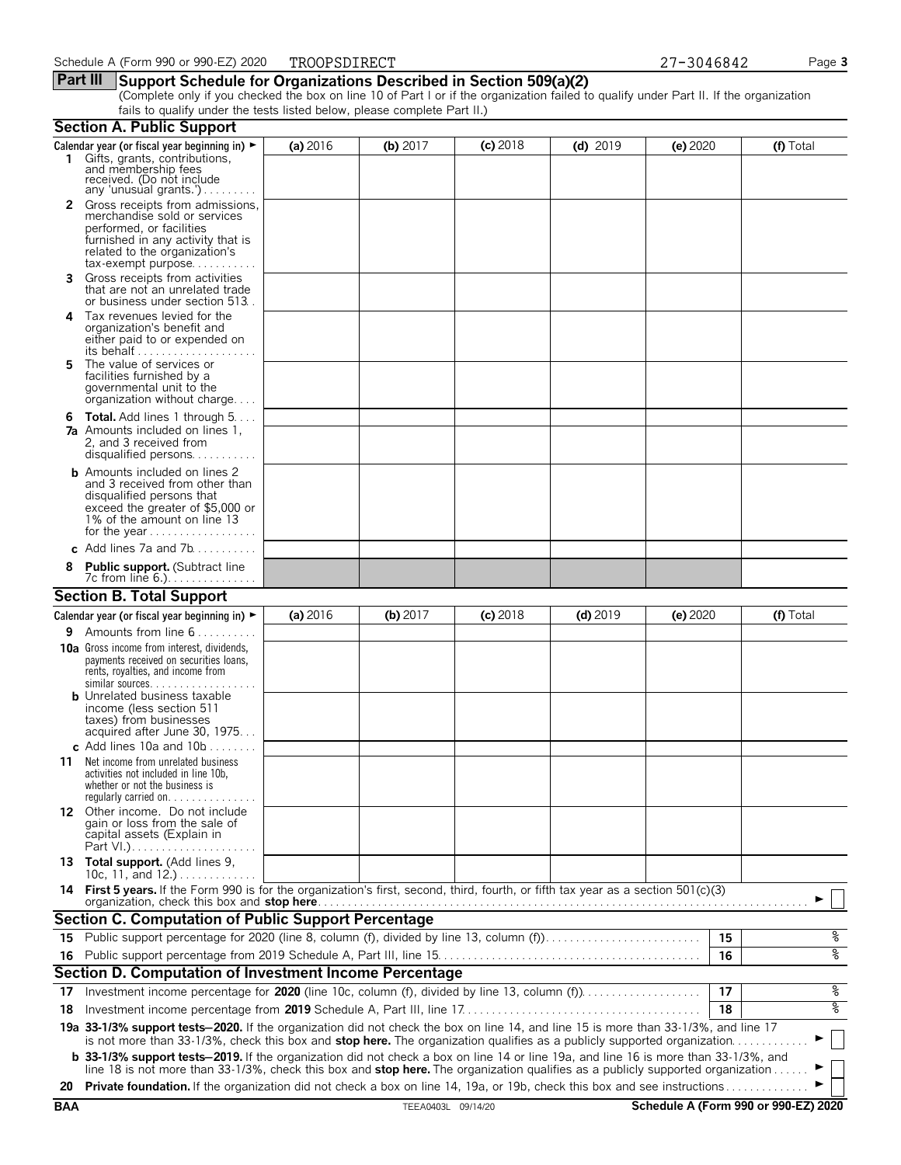#### **Part III Support Schedule for Organizations Described in Section 509(a)(2)**

(Complete only if you checked the box on line 10 of Part I or if the organization failed to qualify under Part II. If the organization fails to qualify under the tests listed below, please complete Part II.)

|    | <b>Section A. Public Support</b>                                                                                                                                                                                                                                                |          |            |            |            |            |           |
|----|---------------------------------------------------------------------------------------------------------------------------------------------------------------------------------------------------------------------------------------------------------------------------------|----------|------------|------------|------------|------------|-----------|
|    | Calendar year (or fiscal year beginning in) ►<br>1 Gifts, grants, contributions, and membership fees<br>received. (Do not include                                                                                                                                               | (a) 2016 | (b) $2017$ | $(c)$ 2018 | $(d)$ 2019 | (e) $2020$ | (f) Total |
|    | any 'unusual grants.')<br>2 Gross receipts from admissions,<br>merchandise sold or services<br>performed, or facilities<br>furnished in any activity that is<br>related to the organization's<br>$tax\text{-}exempt \text{ purpose.} \dots \dots \dots$                         |          |            |            |            |            |           |
| 3. | Gross receipts from activities<br>that are not an unrelated trade<br>or business under section 513.                                                                                                                                                                             |          |            |            |            |            |           |
| 4  | Tax revenues levied for the<br>organization's benefit and<br>either paid to or expended on<br>its behalf                                                                                                                                                                        |          |            |            |            |            |           |
| 5  | The value of services or<br>facilities furnished by a<br>governmental unit to the<br>organization without charge                                                                                                                                                                |          |            |            |            |            |           |
| 6  | <b>Total.</b> Add lines 1 through 5.<br><b>7a</b> Amounts included on lines 1.<br>2, and 3 received from                                                                                                                                                                        |          |            |            |            |            |           |
|    | <b>b</b> Amounts included on lines 2<br>and 3 received from other than<br>disqualified persons that<br>exceed the greater of \$5,000 or<br>1% of the amount on line 13                                                                                                          |          |            |            |            |            |           |
|    | c Add lines 7a and 7b                                                                                                                                                                                                                                                           |          |            |            |            |            |           |
| 8  | <b>Public support.</b> (Subtract line<br>7c from line 6.).                                                                                                                                                                                                                      |          |            |            |            |            |           |
|    | <b>Section B. Total Support</b>                                                                                                                                                                                                                                                 |          |            |            |            |            |           |
|    | Calendar year (or fiscal year beginning in) $\blacktriangleright$                                                                                                                                                                                                               | (a) 2016 | $(b)$ 2017 | $(c)$ 2018 | $(d)$ 2019 | (e) 2020   | (f) Total |
| 9. | Amounts from line 6                                                                                                                                                                                                                                                             |          |            |            |            |            |           |
|    | <b>10a</b> Gross income from interest, dividends,<br>payments received on securities loans,<br>rents, royalties, and income from<br>$similar$ sources.<br><b>b</b> Unrelated business taxable<br>income (less section 511<br>taxes) from businesses                             |          |            |            |            |            |           |
|    | acquired after June 30, 1975                                                                                                                                                                                                                                                    |          |            |            |            |            |           |
| 11 | c Add lines 10a and $10b$<br>Net income from unrelated business<br>activities not included in line 10b,<br>whether or not the business is                                                                                                                                       |          |            |            |            |            |           |
|    | 12 Other income. Do not include<br>gain or loss from the sale of<br>capital assets (Explain in                                                                                                                                                                                  |          |            |            |            |            |           |
|    | 13 Total support. (Add lines 9,<br>10c, 11, and 12.)                                                                                                                                                                                                                            |          |            |            |            |            |           |
|    | 14 First 5 years. If the Form 990 is for the organization's first, second, third, fourth, or fifth tax year as a section 501(c)(3)<br>organization, check this box and stop here                                                                                                |          |            |            |            |            |           |
|    | <b>Section C. Computation of Public Support Percentage</b>                                                                                                                                                                                                                      |          |            |            |            |            |           |
|    | 15 Public support percentage for 2020 (line 8, column (f), divided by line 13, column (f)                                                                                                                                                                                       |          |            |            |            | 15         | နွ        |
|    |                                                                                                                                                                                                                                                                                 |          |            |            |            | 16         | နွ        |
|    | Section D. Computation of Investment Income Percentage                                                                                                                                                                                                                          |          |            |            |            |            |           |
| 17 |                                                                                                                                                                                                                                                                                 |          |            |            |            | 17         | %         |
| 18 |                                                                                                                                                                                                                                                                                 |          |            |            |            | 18         | ०७        |
|    | 19a 33-1/3% support tests-2020. If the organization did not check the box on line 14, and line 15 is more than 33-1/3%, and line 17<br>is not more than 33-1/3%, check this box and stop here. The organization qualifies as a publicly supported organization. $\ldots \ldots$ |          |            |            |            |            |           |
|    | <b>b</b> 33-1/3% support tests-2019. If the organization did not check a box on line 14 or line 19a, and line 16 is more than 33-1/3%, and<br>line 18 is not more than 33-1/3%, check this box and stop here. The organization qualifies as a publicly supported organization   |          |            |            |            |            |           |
|    | 20 Private foundation. If the organization did not check a box on line 14, 19a, or 19b, check this box and see instructions                                                                                                                                                     |          |            |            |            |            |           |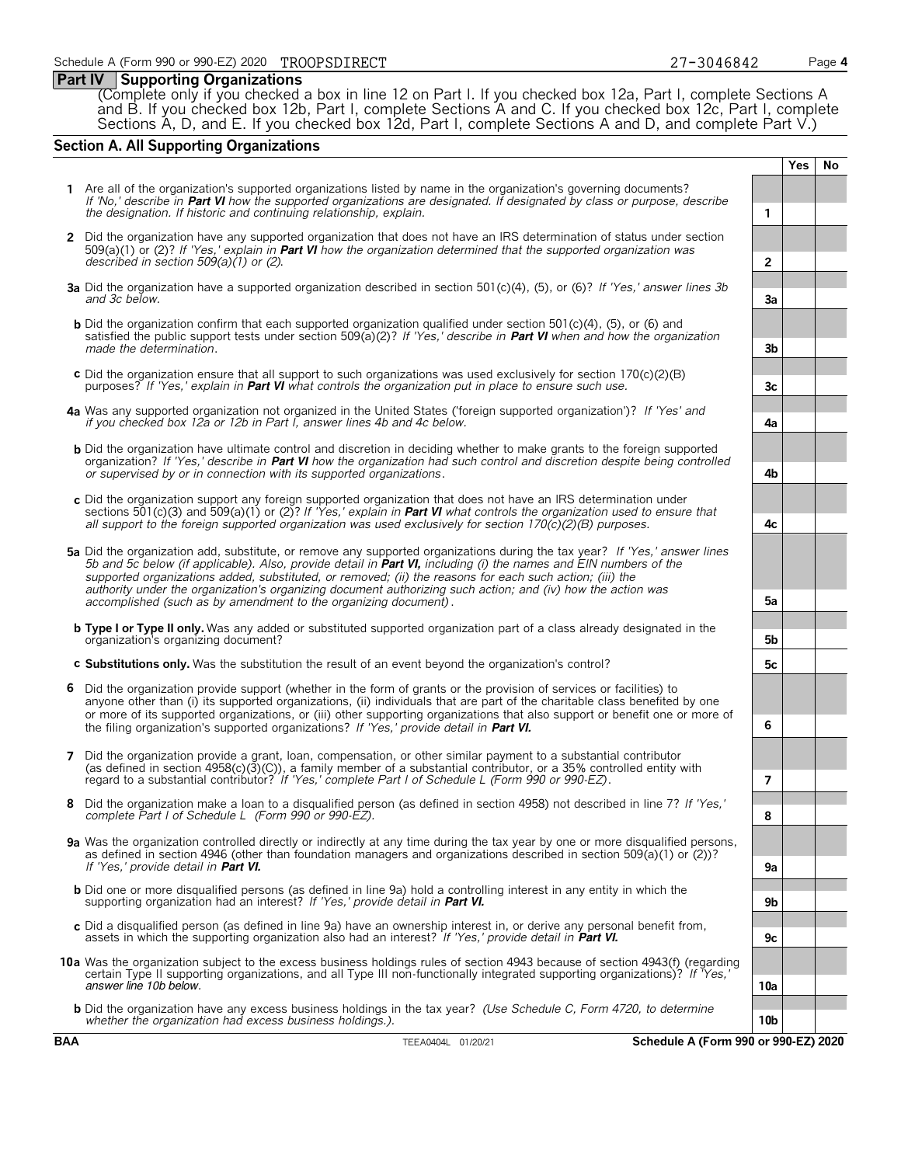#### **Part IV Supporting Organizations**

(Complete only if you checked a box in line 12 on Part I. If you checked box 12a, Part I, complete Sections A and B. If you checked box 12b, Part I, complete Sections A and C. If you checked box 12c, Part I, complete Sections A, D, and E. If you checked box 12d, Part I, complete Sections A and D, and complete Part V.)

## **Section A. All Supporting Organizations**

| <b>BAA</b>     | Schedule A (Form 990 or 990-EZ) 2020<br>TEEA0404L 01/20/21                                                                                                                                                                                                                                                                                                                                                                                                                                                                                           |                 |  |
|----------------|------------------------------------------------------------------------------------------------------------------------------------------------------------------------------------------------------------------------------------------------------------------------------------------------------------------------------------------------------------------------------------------------------------------------------------------------------------------------------------------------------------------------------------------------------|-----------------|--|
|                | <b>b</b> Did the organization have any excess business holdings in the tax year? (Use Schedule C, Form 4720, to determine<br>whether the organization had excess business holdings.).                                                                                                                                                                                                                                                                                                                                                                | 10 <sub>b</sub> |  |
|                | 10a Was the organization subject to the excess business holdings rules of section 4943 because of section 4943(f) (regarding<br>certain Type II supporting organizations, and all Type III non-functionally integrated supporting organizations)? If 'Yes,'<br>answer line 10b below.                                                                                                                                                                                                                                                                | 10a             |  |
|                | c Did a disqualified person (as defined in line 9a) have an ownership interest in, or derive any personal benefit from,<br>assets in which the supporting organization also had an interest? If 'Yes,' provide detail in Part VI.                                                                                                                                                                                                                                                                                                                    | 9с              |  |
|                | <b>b</b> Did one or more disqualified persons (as defined in line 9a) hold a controlling interest in any entity in which the<br>supporting organization had an interest? If 'Yes,' provide detail in Part VI.                                                                                                                                                                                                                                                                                                                                        | 9b              |  |
|                | 9a Was the organization controlled directly or indirectly at any time during the tax year by one or more disqualified persons,<br>as defined in section 4946 (other than foundation managers and organizations described in section 509(a)(1) or (2))?<br>If 'Yes,' provide detail in Part VI.                                                                                                                                                                                                                                                       | 9a              |  |
|                | Did the organization make a loan to a disqualified person (as defined in section 4958) not described in line 7? If 'Yes,'<br>complete Part I of Schedule L (Form 990 or 990-EZ).                                                                                                                                                                                                                                                                                                                                                                     | 8               |  |
| $\overline{7}$ | Did the organization provide a grant, loan, compensation, or other similar payment to a substantial contributor<br>(as defined in section $4958(c)(3)(C)$ ), a family member of a substantial contributor, or a 35% controlled entity with<br>regard to a substantial contributor? If 'Yes,' complete Part I of Schedule L (Form 990 or 990-EZ).                                                                                                                                                                                                     | $\overline{7}$  |  |
|                | Did the organization provide support (whether in the form of grants or the provision of services or facilities) to<br>anyone other than (i) its supported organizations, (ii) individuals that are part of the charitable class benefited by one<br>or more of its supported organizations, or (iii) other supporting organizations that also support or benefit one or more of<br>the filing organization's supported organizations? If 'Yes,' provide detail in Part VI.                                                                           | 6               |  |
|                | c Substitutions only. Was the substitution the result of an event beyond the organization's control?                                                                                                                                                                                                                                                                                                                                                                                                                                                 | 5с              |  |
|                | <b>b</b> Type I or Type II only. Was any added or substituted supported organization part of a class already designated in the<br>organization's organizing document?                                                                                                                                                                                                                                                                                                                                                                                | 5b              |  |
|                | 5a Did the organization add, substitute, or remove any supported organizations during the tax year? If 'Yes,' answer lines<br>5b and 5c below (if applicable). Also, provide detail in <b>Part VI</b> , including (i) the names and EIN numbers of the<br>supported organizations added, substituted, or removed; (ii) the reasons for each such action; (iii) the<br>authority under the organization's organizing document authorizing such action; and (iv) how the action was<br>accomplished (such as by amendment to the organizing document). | 5a              |  |
|                | c Did the organization support any foreign supported organization that does not have an IRS determination under<br>sections 501(c)(3) and 509(a)(1) or (2)? If 'Yes,' explain in <b>Part VI</b> what controls the organization used to ensure that<br>all support to the foreign supported organization was used exclusively for section $170(c)(2)(B)$ purposes.                                                                                                                                                                                    | 4c              |  |
|                | <b>b</b> Did the organization have ultimate control and discretion in deciding whether to make grants to the foreign supported<br>organization? If 'Yes,' describe in Part VI how the organization had such control and discretion despite being controlled<br>or supervised by or in connection with its supported organizations.                                                                                                                                                                                                                   | 4b              |  |
|                | 4a Was any supported organization not organized in the United States ('foreign supported organization')? If 'Yes' and<br>if you checked box 12a or 12b in Part I, answer lines 4b and 4c below.                                                                                                                                                                                                                                                                                                                                                      | 4a              |  |
|                | <b>c</b> Did the organization ensure that all support to such organizations was used exclusively for section 170(c)(2)(B)<br>purposes? If 'Yes,' explain in Part VI what controls the organization put in place to ensure such use.                                                                                                                                                                                                                                                                                                                  | 3c              |  |
|                | <b>b</b> Did the organization confirm that each supported organization qualified under section 501(c)(4), (5), or (6) and<br>satisfied the public support tests under section 509( $a$ )(2)? If 'Yes,' describe in Part VI when and how the organization<br>made the determination.                                                                                                                                                                                                                                                                  | 3b              |  |
|                | 3a Did the organization have a supported organization described in section 501(c)(4), (5), or (6)? If 'Yes,' answer lines 3b<br>and 3c below.                                                                                                                                                                                                                                                                                                                                                                                                        | За              |  |
|                | 2 Did the organization have any supported organization that does not have an IRS determination of status under section<br>509(a)(1) or (2)? If 'Yes,' explain in Part VI how the organization determined that the supported organization was<br>described in section $509(a)(1)$ or (2).                                                                                                                                                                                                                                                             | $\mathbf{2}$    |  |
|                | 1 Are all of the organization's supported organizations listed by name in the organization's governing documents?<br>If 'No,' describe in Part VI how the supported organizations are designated. If designated by class or purpose, describe<br>the designation. If historic and continuing relationship, explain.                                                                                                                                                                                                                                  | $\mathbf{1}$    |  |
|                |                                                                                                                                                                                                                                                                                                                                                                                                                                                                                                                                                      |                 |  |

**Yes No**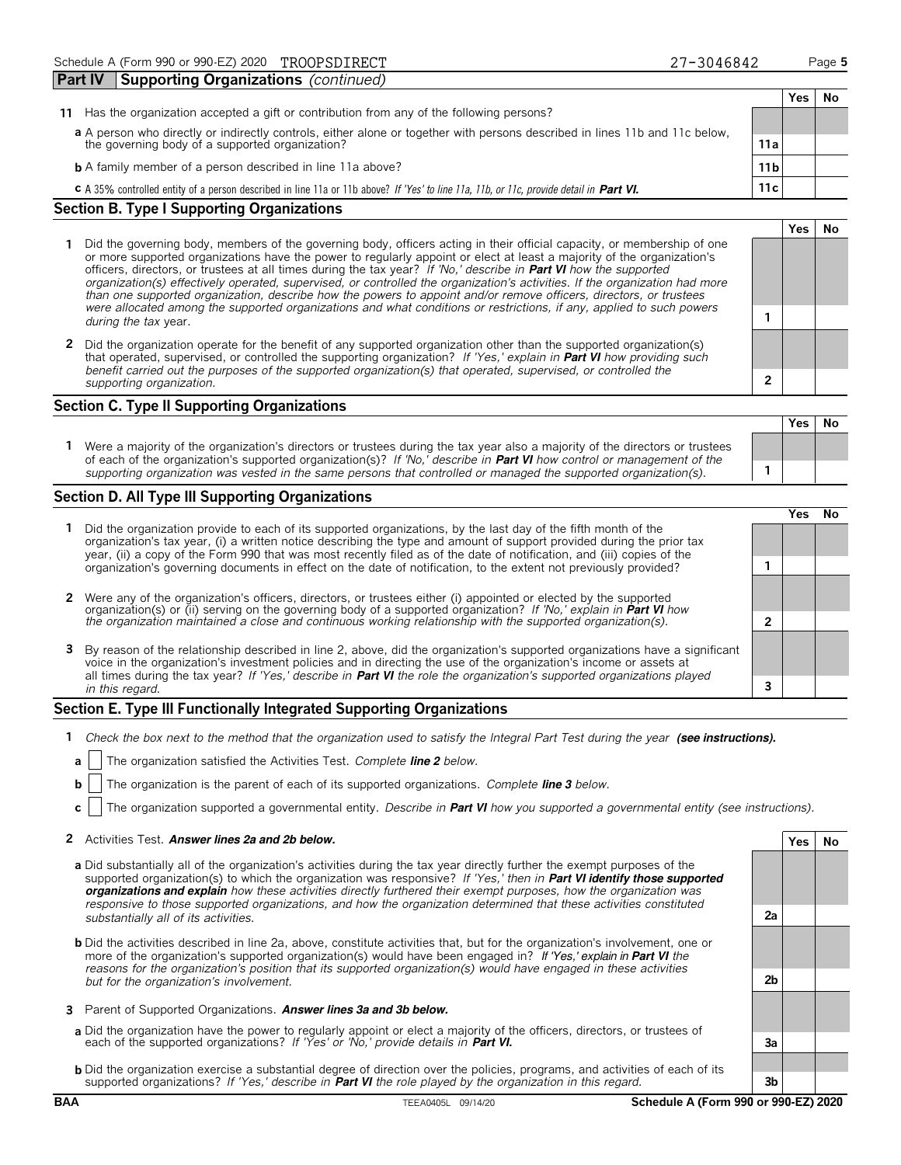| 11 Has the organization accepted a gift or contribution from any of the following persons?                                              |                 |  |  |  |
|-----------------------------------------------------------------------------------------------------------------------------------------|-----------------|--|--|--|
| a A person who directly or indirectly controls, either alone or together with persons described in lines 11b and 11c below,             |                 |  |  |  |
| the governing body of a supported organization?<br>11a                                                                                  |                 |  |  |  |
| <b>b</b> A family member of a person described in line 11a above?                                                                       | 11 <sub>b</sub> |  |  |  |
| C A 35% controlled entity of a person described in line 11a or 11b above? If 'Yes' to line 11a, 11b, or 11c, provide detail in Part VI. | 11c             |  |  |  |
| . .<br>. .                                                                                                                              |                 |  |  |  |

#### **Section B. Type I Supporting Organizations**

- **1** Did the governing body, members of the governing body, officers acting in their official capacity, or membership of one or more supported organizations have the power to regularly appoint or elect at least a majority of the organization's officers, directors, or trustees at all times during the tax year? *If 'No,' describe in* **Part VI** *how the supported organization(s) effectively operated, supervised, or controlled the organization's activities. If the organization had more than one supported organization, describe how the powers to appoint and/or remove officers, directors, or trustees were allocated among the supported organizations and what conditions or restrictions, if any, applied to such powers* **1** *during the tax* year.
- **2** Did the organization operate for the benefit of any supported organization other than the supported organization(s) that operated, supervised, or controlled the supporting organization? *If 'Yes,' explain in* **Part VI** *how providing such benefit carried out the purposes of the supported organization(s) that operated, supervised, or controlled the supporting organization.* **2**

#### **Section C. Type II Supporting Organizations**

**Yes No 1** Were a majority of the organization's directors or trustees during the tax year also a majority of the directors or trustees of each of the organization's supported organization(s)? *If 'No,' describe in* **Part VI** *how control or management of the supporting organization was vested in the same persons that controlled or managed the supported organization(s).* **1**

#### **Section D. All Type III Supporting Organizations**

|                                                                                                                                                                                                                                                                                                                                                                                |  | res) |  |  |  |
|--------------------------------------------------------------------------------------------------------------------------------------------------------------------------------------------------------------------------------------------------------------------------------------------------------------------------------------------------------------------------------|--|------|--|--|--|
| Did the organization provide to each of its supported organizations, by the last day of the fifth month of the<br>organization's tax year, (i) a written notice describing the type and amount of support provided during the prior tax<br>year, (ii) a copy of the Form 990 that was most recently filed as of the date of notification, and (iii) copies of the              |  |      |  |  |  |
| organization's governing documents in effect on the date of notification, to the extent not previously provided?                                                                                                                                                                                                                                                               |  |      |  |  |  |
| 2 Were any of the organization's officers, directors, or trustees either (i) appointed or elected by the supported                                                                                                                                                                                                                                                             |  |      |  |  |  |
| organization(s) or (ii) serving on the governing body of a supported organization? If 'No,' explain in <b>Part VI</b> how the organization maintained a close and continuous working relationship with the supported organization(s                                                                                                                                            |  |      |  |  |  |
| 3 By reason of the relationship described in line 2, above, did the organization's supported organizations have a significant<br>voice in the organization's investment policies and in directing the use of the organization's income or assets at<br>all times during the tax year? If 'Yes,' describe in Part VI the role the organization's supported organizations played |  |      |  |  |  |
| in this regard.                                                                                                                                                                                                                                                                                                                                                                |  |      |  |  |  |

#### **Section E. Type III Functionally Integrated Supporting Organizations**

- **1** *Check the box next to the method that the organization used to satisfy the Integral Part Test during the year* (see instructions).
- **a** The organization satisfied the Activities Test. *Complete line 2 below.*
- **b** The organization is the parent of each of its supported organizations. *Complete line 3 below.*
- **c** The organization supported a governmental entity. *Describe in* **Part VI** *how you supported a governmental entity (see instructions).*

#### **2** Activities Test. **Answer lines 2a and 2b below. Yes No**

- **a** Did substantially all of the organization's activities during the tax year directly further the exempt purposes of the supported organization(s) to which the organization was responsive? *If 'Yes,' then in* **Part VI identify those supported organizations and explain** *how these activities directly furthered their exempt purposes, how the organization was responsive to those supported organizations, and how the organization determined that these activities constituted substantially all of its activities.* **2a**
- **b** Did the activities described in line 2a, above, constitute activities that, but for the organization's involvement, one or more of the organization's supported organization(s) would have been engaged in? If 'Yes,' explain in **Part VI** *the reasons for the organization's position that its supported organization(s) would have engaged in these activities but for the organization's involvement.* **2b**
- **3** Parent of Supported Organizations. **Answer lines 3a and 3b below.**
- **a** Did the organization have the power to regularly appoint or elect a majority of the officers, directors, or trustees of each of the supported organizations? *If 'Yes' or 'No,' provide details in* **Part VI. 3a**
- **b** Did the organization exercise a substantial degree of direction over the policies, programs, and activities of each of its supported organizations? *If 'Yes,' describe in* **Part VI** *the role played by the organization in this regard.* **3b**

**Yes No**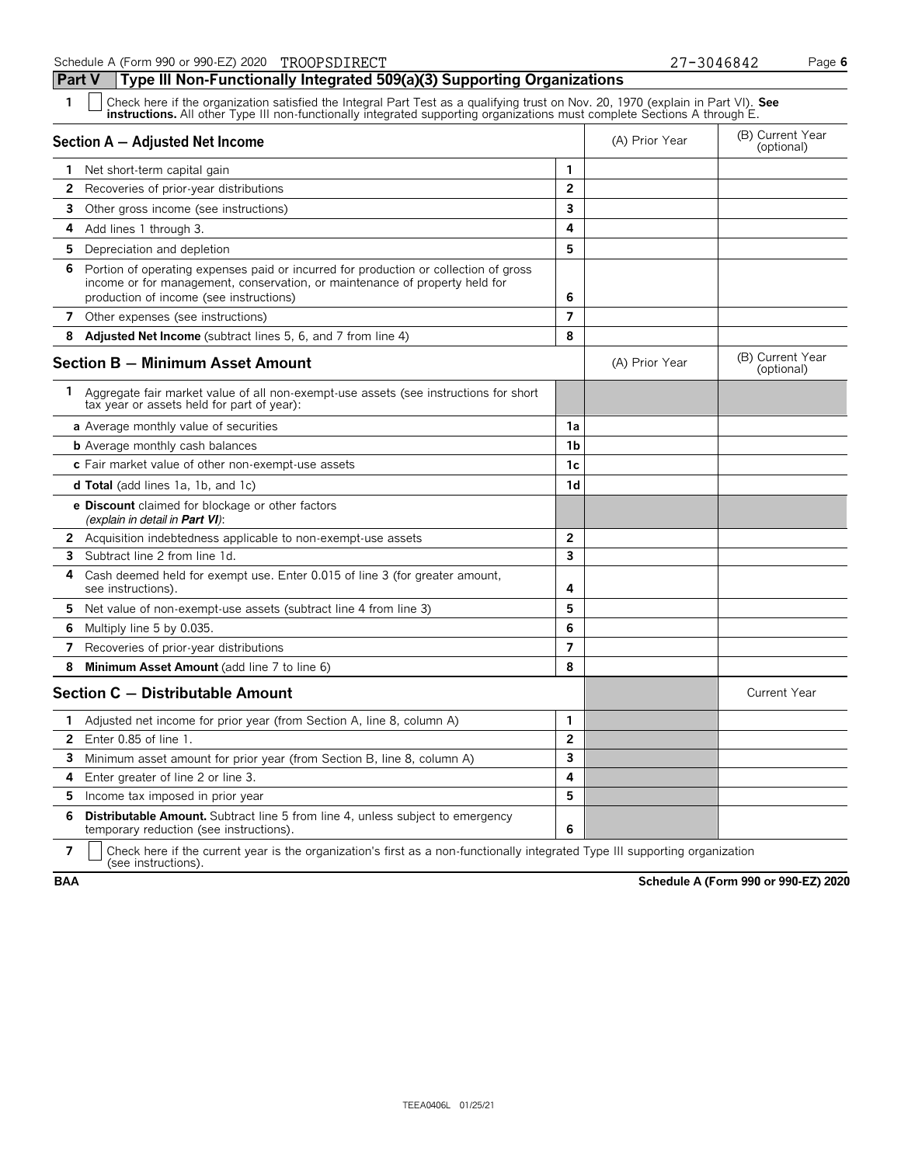|              | Section A - Adjusted Net Income                                                                                                                                                                                |                | (A) Prior Year | (B) Current Year<br>(optional) |
|--------------|----------------------------------------------------------------------------------------------------------------------------------------------------------------------------------------------------------------|----------------|----------------|--------------------------------|
| $\mathbf{1}$ | Net short-term capital gain                                                                                                                                                                                    | 1              |                |                                |
| 2            | Recoveries of prior-year distributions                                                                                                                                                                         | $\overline{2}$ |                |                                |
| 3            | Other gross income (see instructions)                                                                                                                                                                          | 3              |                |                                |
| 4            | Add lines 1 through 3.                                                                                                                                                                                         | 4              |                |                                |
| 5            | Depreciation and depletion                                                                                                                                                                                     | 5              |                |                                |
| 6            | Portion of operating expenses paid or incurred for production or collection of gross<br>income or for management, conservation, or maintenance of property held for<br>production of income (see instructions) | 6              |                |                                |
|              | 7 Other expenses (see instructions)                                                                                                                                                                            | $\overline{7}$ |                |                                |
| 8            | <b>Adjusted Net Income</b> (subtract lines 5, 6, and 7 from line 4)                                                                                                                                            | 8              |                |                                |
|              | <b>Section B - Minimum Asset Amount</b>                                                                                                                                                                        |                | (A) Prior Year | (B) Current Year<br>(optional) |
|              | 1 Aggregate fair market value of all non-exempt-use assets (see instructions for short<br>tax year or assets held for part of year):                                                                           |                |                |                                |
|              | <b>a</b> Average monthly value of securities                                                                                                                                                                   | 1a             |                |                                |
|              | <b>b</b> Average monthly cash balances                                                                                                                                                                         | 1b             |                |                                |
|              | c Fair market value of other non-exempt-use assets                                                                                                                                                             | 1c             |                |                                |
|              | <b>d Total</b> (add lines 1a, 1b, and 1c)                                                                                                                                                                      | 1d             |                |                                |
|              | <b>e Discount</b> claimed for blockage or other factors<br>(explain in detail in <b>Part VI</b> ):                                                                                                             |                |                |                                |
|              | <b>2</b> Acquisition indebtedness applicable to non-exempt-use assets                                                                                                                                          | $\overline{2}$ |                |                                |
| 3            | Subtract line 2 from line 1d.                                                                                                                                                                                  | 3              |                |                                |
| 4            | Cash deemed held for exempt use. Enter 0.015 of line 3 (for greater amount,<br>see instructions)                                                                                                               | 4              |                |                                |
| 5.           | Net value of non-exempt-use assets (subtract line 4 from line 3)                                                                                                                                               | 5              |                |                                |
| 6            | Multiply line 5 by 0.035.                                                                                                                                                                                      | 6              |                |                                |
| 7            | Recoveries of prior-year distributions                                                                                                                                                                         | $\overline{7}$ |                |                                |
| 8            | Minimum Asset Amount (add line 7 to line 6)                                                                                                                                                                    | 8              |                |                                |
|              | Section C - Distributable Amount                                                                                                                                                                               |                |                | <b>Current Year</b>            |
| $\mathbf{1}$ | Adjusted net income for prior year (from Section A, line 8, column A)                                                                                                                                          | 1              |                |                                |
| 2            | Enter 0.85 of line 1.                                                                                                                                                                                          | $\overline{2}$ |                |                                |
| 3            | Minimum asset amount for prior year (from Section B, line 8, column A)                                                                                                                                         | 3              |                |                                |
| 4            | Enter greater of line 2 or line 3.                                                                                                                                                                             | 4              |                |                                |
| 5            | Income tax imposed in prior year                                                                                                                                                                               | 5              |                |                                |
| 6            | <b>Distributable Amount.</b> Subtract line 5 from line 4, unless subject to emergency<br>temporary reduction (see instructions).                                                                               | 6              |                |                                |

**7**  $\Box$  Check here if the current year is the organization's first as a non-functionally integrated Type III supporting organization (see instructions).

**BAA Schedule A (Form 990 or 990-EZ) 2020**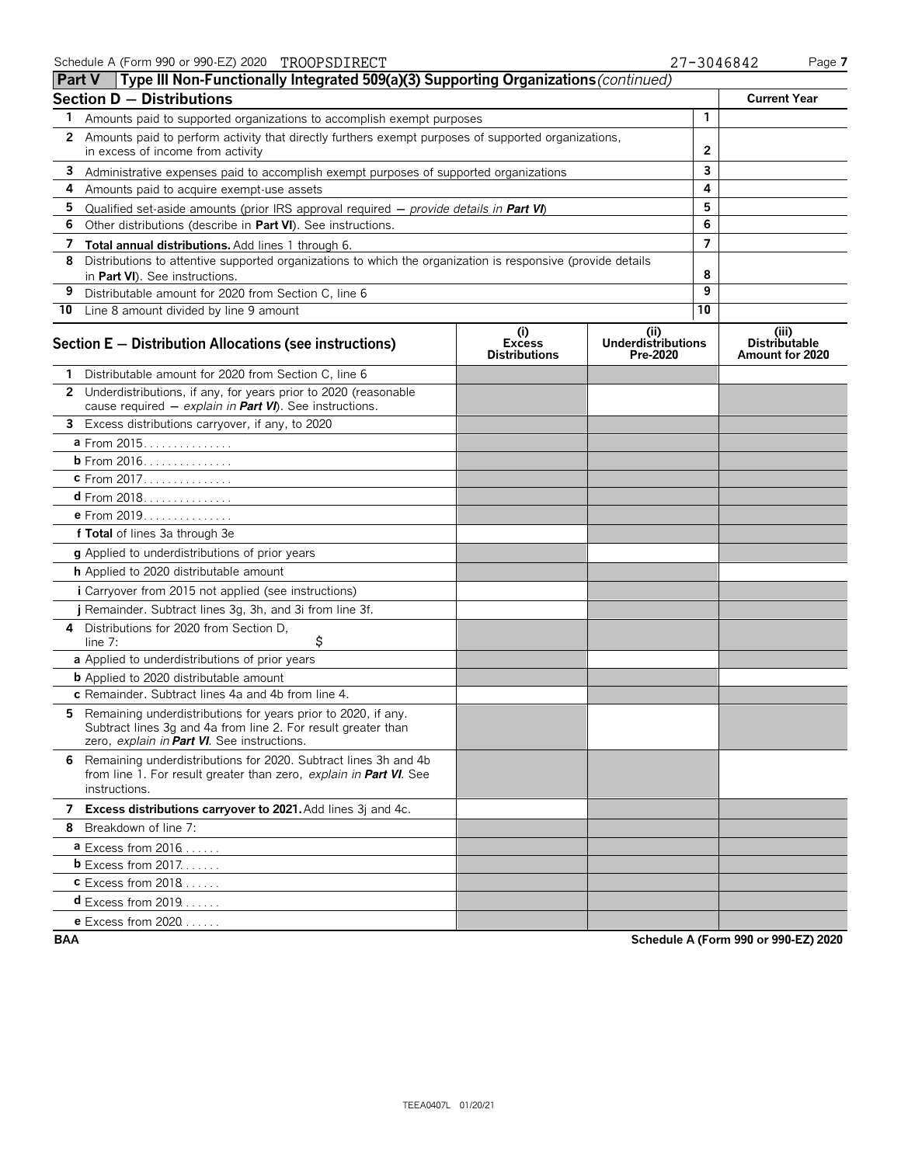|              | Type III Non-Functionally Integrated 509(a)(3) Supporting Organizations (continued)<br><b>Part V</b>                                                                          |                                              |                                              |                |                                                  |
|--------------|-------------------------------------------------------------------------------------------------------------------------------------------------------------------------------|----------------------------------------------|----------------------------------------------|----------------|--------------------------------------------------|
|              | <b>Section D - Distributions</b>                                                                                                                                              |                                              |                                              |                | <b>Current Year</b>                              |
| 1.           | Amounts paid to supported organizations to accomplish exempt purposes                                                                                                         |                                              |                                              | $\mathbf{1}$   |                                                  |
| $\mathbf{2}$ | Amounts paid to perform activity that directly furthers exempt purposes of supported organizations,                                                                           |                                              |                                              |                |                                                  |
|              | in excess of income from activity                                                                                                                                             |                                              |                                              | 2              |                                                  |
| 3            | Administrative expenses paid to accomplish exempt purposes of supported organizations                                                                                         |                                              |                                              | 3              |                                                  |
| 4            | Amounts paid to acquire exempt-use assets                                                                                                                                     |                                              |                                              | 4              |                                                  |
| 5            | Qualified set-aside amounts (prior IRS approval required $-$ provide details in <b>Part VI</b> )                                                                              |                                              |                                              | 5              |                                                  |
| 6            | Other distributions (describe in Part VI). See instructions.                                                                                                                  |                                              |                                              | 6              |                                                  |
| 7            | Total annual distributions. Add lines 1 through 6.                                                                                                                            |                                              |                                              | $\overline{7}$ |                                                  |
| 8            | Distributions to attentive supported organizations to which the organization is responsive (provide details<br>in Part VI). See instructions.                                 |                                              |                                              | 8              |                                                  |
| 9            | Distributable amount for 2020 from Section C, line 6                                                                                                                          |                                              |                                              | 9              |                                                  |
|              | 10 Line 8 amount divided by line 9 amount                                                                                                                                     |                                              |                                              | 10             |                                                  |
|              | Section E - Distribution Allocations (see instructions)                                                                                                                       | (i)<br><b>Excess</b><br><b>Distributions</b> | (i)<br><b>Underdistributions</b><br>Pre-2020 |                | (iii)<br><b>Distributable</b><br>Amount for 2020 |
| 1.           | Distributable amount for 2020 from Section C, line 6                                                                                                                          |                                              |                                              |                |                                                  |
|              | 2 Underdistributions, if any, for years prior to 2020 (reasonable<br>cause required $-$ explain in <b>Part VI</b> ). See instructions.                                        |                                              |                                              |                |                                                  |
|              | 3 Excess distributions carryover, if any, to 2020                                                                                                                             |                                              |                                              |                |                                                  |
|              | a From 2015.                                                                                                                                                                  |                                              |                                              |                |                                                  |
|              | <b>b</b> From 2016.                                                                                                                                                           |                                              |                                              |                |                                                  |
|              | C From 2017.                                                                                                                                                                  |                                              |                                              |                |                                                  |
|              | $d$ From 2018.                                                                                                                                                                |                                              |                                              |                |                                                  |
|              | e From 2019.                                                                                                                                                                  |                                              |                                              |                |                                                  |
|              | f Total of lines 3a through 3e                                                                                                                                                |                                              |                                              |                |                                                  |
|              | g Applied to underdistributions of prior years                                                                                                                                |                                              |                                              |                |                                                  |
|              | h Applied to 2020 distributable amount                                                                                                                                        |                                              |                                              |                |                                                  |
|              | i Carryover from 2015 not applied (see instructions)                                                                                                                          |                                              |                                              |                |                                                  |
|              | j Remainder. Subtract lines 3g, 3h, and 3i from line 3f.                                                                                                                      |                                              |                                              |                |                                                  |
| 4            | Distributions for 2020 from Section D.<br>\$<br>line $7:$                                                                                                                     |                                              |                                              |                |                                                  |
|              | a Applied to underdistributions of prior years                                                                                                                                |                                              |                                              |                |                                                  |
|              | <b>b</b> Applied to 2020 distributable amount                                                                                                                                 |                                              |                                              |                |                                                  |
|              | c Remainder. Subtract lines 4a and 4b from line 4.                                                                                                                            |                                              |                                              |                |                                                  |
| 5.           | Remaining underdistributions for years prior to 2020, if any.<br>Subtract lines 3g and 4a from line 2. For result greater than<br>zero, explain in Part VI. See instructions. |                                              |                                              |                |                                                  |
|              | 6 Remaining underdistributions for 2020. Subtract lines 3h and 4b<br>from line 1. For result greater than zero, explain in Part VI. See<br>instructions.                      |                                              |                                              |                |                                                  |
|              | 7 Excess distributions carryover to 2021. Add lines 3j and 4c.                                                                                                                |                                              |                                              |                |                                                  |
|              | 8 Breakdown of line 7:                                                                                                                                                        |                                              |                                              |                |                                                  |
|              | <b>a</b> Excess from 2016                                                                                                                                                     |                                              |                                              |                |                                                  |
|              | $b$ Excess from 2017.                                                                                                                                                         |                                              |                                              |                |                                                  |
|              | $c$ Excess from 2018                                                                                                                                                          |                                              |                                              |                |                                                  |
|              | <b>d</b> Excess from $2019$                                                                                                                                                   |                                              |                                              |                |                                                  |
|              | <b>e</b> Excess from 2020                                                                                                                                                     |                                              |                                              |                |                                                  |

**BAA Schedule A (Form 990 or 990-EZ) 2020**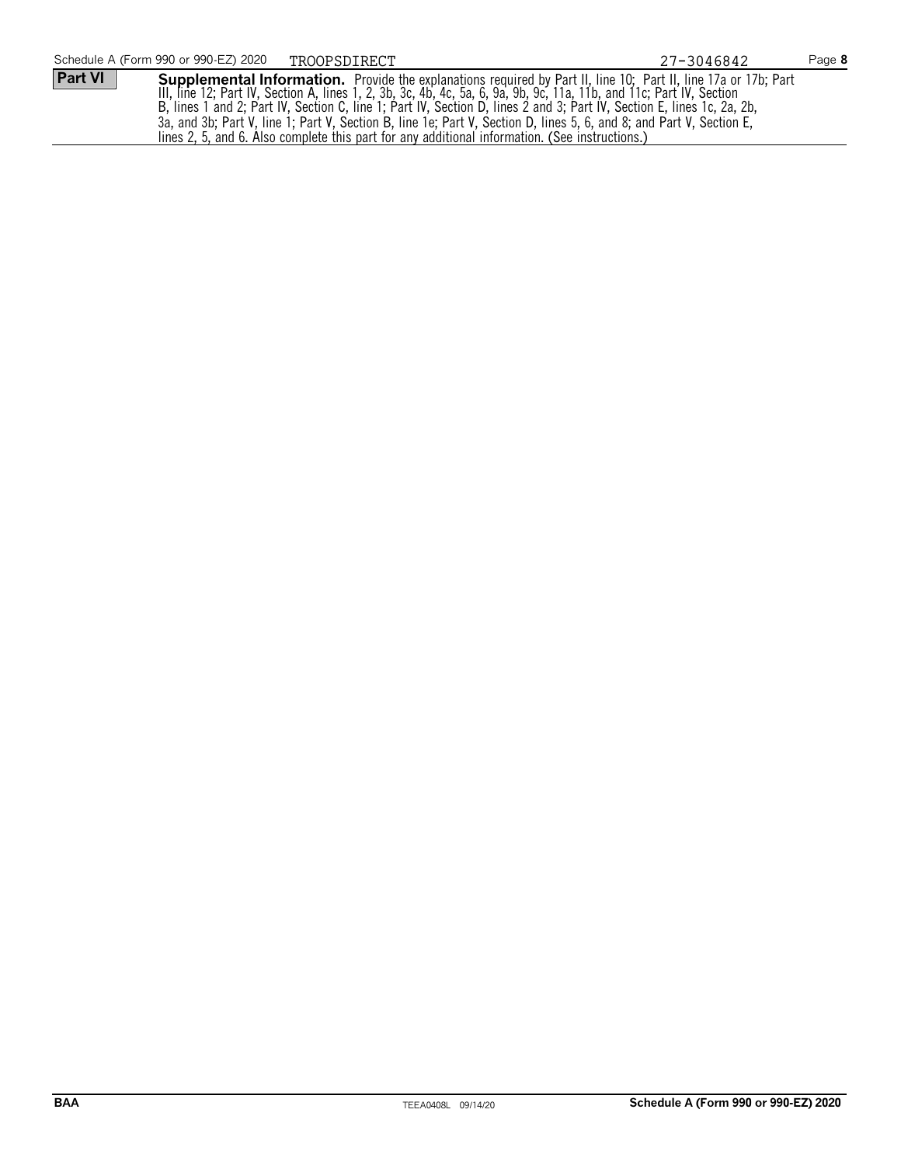**Part VI** | Supplemental Information. Provide the explanations required by Part II, line 10; Part II, line 17a or 17b; Part III, line 12; Part IV, Section A, lines 1, 2, 3b, 3c, 4b, 4c, 5a, 6, 9a, 9b, 9c, 11a, 11b, and 11c; Part IV, Section B, lines 1 and 2; Part IV, Section C, line 1; Part IV, Section D, lines 2 and 3; Part IV, Section E, lines 1c, 2a, 2b, 3a, and 3b; Part V, line 1; Part V, Section B, line 1e; Part V, Section D, lines 5, 6, and 8; and Part V, Section E, lines 2, 5, and 6. Also complete this part for any additional information. (See instructions.)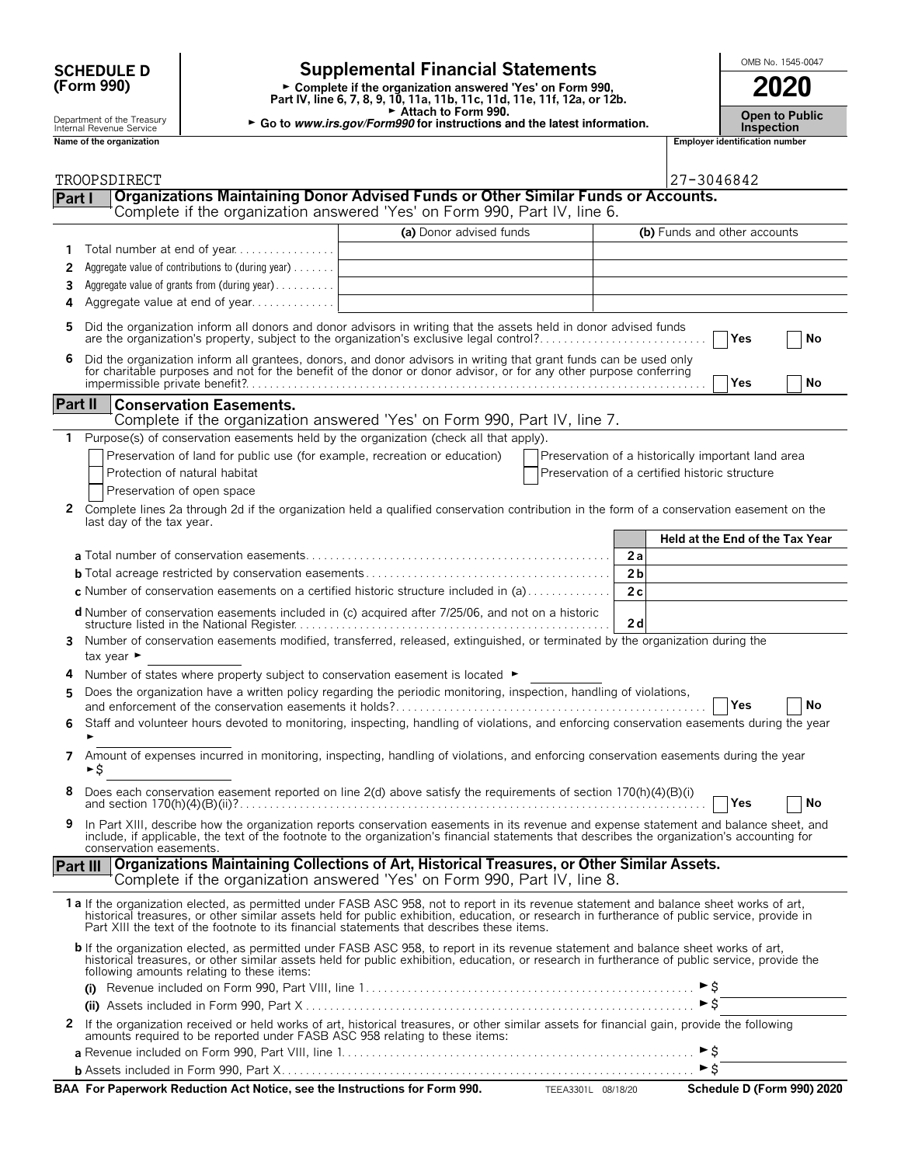# **(Form 990)**

## **SCHEDULE D**  $\begin{bmatrix} \text{OMB No. 1545-0047} \\ \text{OMB No. 1545-0047} \end{bmatrix}$

**Part IV, line 6, 7, 8, 9, 10, 11a, 11b, 11c, 11d, 11e, 11f, 12a, or 12b.**<br>
Part IV, line 6, 7, 8, 9, 10, 11a, 11b, 11c, 11d, 11e, 11f, 12a, or 12b.

G **Attach to Form 990.**

Department of the Treasury ★ Go to *www.irs.gov/Form990* for instructions and the latest information.<br>Internal Revenue Service ★ Go to *www.irs.gov/Form990* for instructions and the latest information. Inspection

|         | Name of the organization                                                                                                                                                                                                                                                                                                                                                                |                         |                                                | <b>Employer identification number</b>              |
|---------|-----------------------------------------------------------------------------------------------------------------------------------------------------------------------------------------------------------------------------------------------------------------------------------------------------------------------------------------------------------------------------------------|-------------------------|------------------------------------------------|----------------------------------------------------|
|         | TROOPSDIRECT                                                                                                                                                                                                                                                                                                                                                                            |                         |                                                | 27-3046842                                         |
| Part I  | Organizations Maintaining Donor Advised Funds or Other Similar Funds or Accounts.<br>Complete if the organization answered 'Yes' on Form 990, Part IV, line 6.                                                                                                                                                                                                                          |                         |                                                |                                                    |
|         |                                                                                                                                                                                                                                                                                                                                                                                         | (a) Donor advised funds |                                                | (b) Funds and other accounts                       |
| 1       | Total number at end of year $\ldots$                                                                                                                                                                                                                                                                                                                                                    |                         |                                                |                                                    |
| 2       | Aggregate value of contributions to (during year)                                                                                                                                                                                                                                                                                                                                       |                         |                                                |                                                    |
| 3       | Aggregate value of grants from (during year)                                                                                                                                                                                                                                                                                                                                            |                         |                                                |                                                    |
| 4       | Aggregate value at end of year                                                                                                                                                                                                                                                                                                                                                          |                         |                                                |                                                    |
| 5       | Did the organization inform all donors and donor advisors in writing that the assets held in donor advised funds<br>are the organization's property, subject to the organization's exclusive legal control?                                                                                                                                                                             |                         |                                                | Yes<br>No                                          |
| 6       | Did the organization inform all grantees, donors, and donor advisors in writing that grant funds can be used only<br>for charitable purposes and not for the benefit of the donor or donor advisor, or for any other purpose conf                                                                                                                                                       |                         |                                                | Yes<br>No                                          |
| Part II | <b>Conservation Easements.</b><br>Complete if the organization answered 'Yes' on Form 990, Part IV, line 7.                                                                                                                                                                                                                                                                             |                         |                                                |                                                    |
|         | Purpose(s) of conservation easements held by the organization (check all that apply).                                                                                                                                                                                                                                                                                                   |                         |                                                |                                                    |
|         | Preservation of land for public use (for example, recreation or education)                                                                                                                                                                                                                                                                                                              |                         |                                                | Preservation of a historically important land area |
|         | Protection of natural habitat                                                                                                                                                                                                                                                                                                                                                           |                         | Preservation of a certified historic structure |                                                    |
|         | Preservation of open space                                                                                                                                                                                                                                                                                                                                                              |                         |                                                |                                                    |
| 2       | Complete lines 2a through 2d if the organization held a qualified conservation contribution in the form of a conservation easement on the<br>last day of the tax year.                                                                                                                                                                                                                  |                         |                                                | Held at the End of the Tax Year                    |
|         |                                                                                                                                                                                                                                                                                                                                                                                         |                         | 2a                                             |                                                    |
|         |                                                                                                                                                                                                                                                                                                                                                                                         |                         | 2 <sub>b</sub>                                 |                                                    |
|         | c Number of conservation easements on a certified historic structure included in (a)                                                                                                                                                                                                                                                                                                    |                         | 2c                                             |                                                    |
|         | <b>d</b> Number of conservation easements included in (c) acquired after 7/25/06, and not on a historic                                                                                                                                                                                                                                                                                 |                         | 2d                                             |                                                    |
|         | 3 Number of conservation easements modified, transferred, released, extinguished, or terminated by the organization during the<br>tax year $\blacktriangleright$                                                                                                                                                                                                                        |                         |                                                |                                                    |
| 4       | Number of states where property subject to conservation easement is located $\blacktriangleright$                                                                                                                                                                                                                                                                                       |                         |                                                |                                                    |
| 5       | Does the organization have a written policy regarding the periodic monitoring, inspection, handling of violations,                                                                                                                                                                                                                                                                      |                         |                                                | Yes<br>No                                          |
|         | Staff and volunteer hours devoted to monitoring, inspecting, handling of violations, and enforcing conservation easements during the year                                                                                                                                                                                                                                               |                         |                                                |                                                    |
| 7       | Amount of expenses incurred in monitoring, inspecting, handling of violations, and enforcing conservation easements during the year<br>►S                                                                                                                                                                                                                                               |                         |                                                |                                                    |
| 8       | Does each conservation easement reported on line 2(d) above satisfy the requirements of section 170(h)(4)(B)(i)                                                                                                                                                                                                                                                                         |                         |                                                | No<br>Yes                                          |
| 9       | In Part XIII, describe how the organization reports conservation easements in its revenue and expense statement and balance sheet, and<br>include, if applicable, the text of the footnote to the organization's financial statements that describes the organization's accounting for<br>conservation easements.                                                                       |                         |                                                |                                                    |
|         | <b>Organizations Maintaining Collections of Art, Historical Treasures, or Other Similar Assets.</b><br>Part III<br>Complete if the organization answered 'Yes' on Form 990, Part IV, line 8.                                                                                                                                                                                            |                         |                                                |                                                    |
|         | 1 a If the organization elected, as permitted under FASB ASC 958, not to report in its revenue statement and balance sheet works of art,<br>historical treasures, or other similar assets held for public exhibition, education, or research in furtherance of public service, provide in<br>Part XIII the text of the footnote to its financial statements that describes these items. |                         |                                                |                                                    |
|         | <b>b</b> If the organization elected, as permitted under FASB ASC 958, to report in its revenue statement and balance sheet works of art,<br>historical treasures, or other similar assets held for public exhibition, education, or research in furtherance of public service, provide the<br>following amounts relating to these items:                                               |                         |                                                |                                                    |
|         |                                                                                                                                                                                                                                                                                                                                                                                         |                         |                                                |                                                    |
|         |                                                                                                                                                                                                                                                                                                                                                                                         |                         |                                                | $\blacktriangleright$ \$                           |
|         | 2 If the organization received or held works of art, historical treasures, or other similar assets for financial gain, provide the following<br>amounts required to be reported under FASB ASC 958 relating to these items:                                                                                                                                                             |                         |                                                |                                                    |
|         |                                                                                                                                                                                                                                                                                                                                                                                         |                         |                                                | $\triangleright$ \$                                |
|         |                                                                                                                                                                                                                                                                                                                                                                                         |                         |                                                |                                                    |

**BAA For Paperwork Reduction Act Notice, see the Instructions for Form 990.** TEEA3301L 08/18/20 Schedule D (Form 990) 2020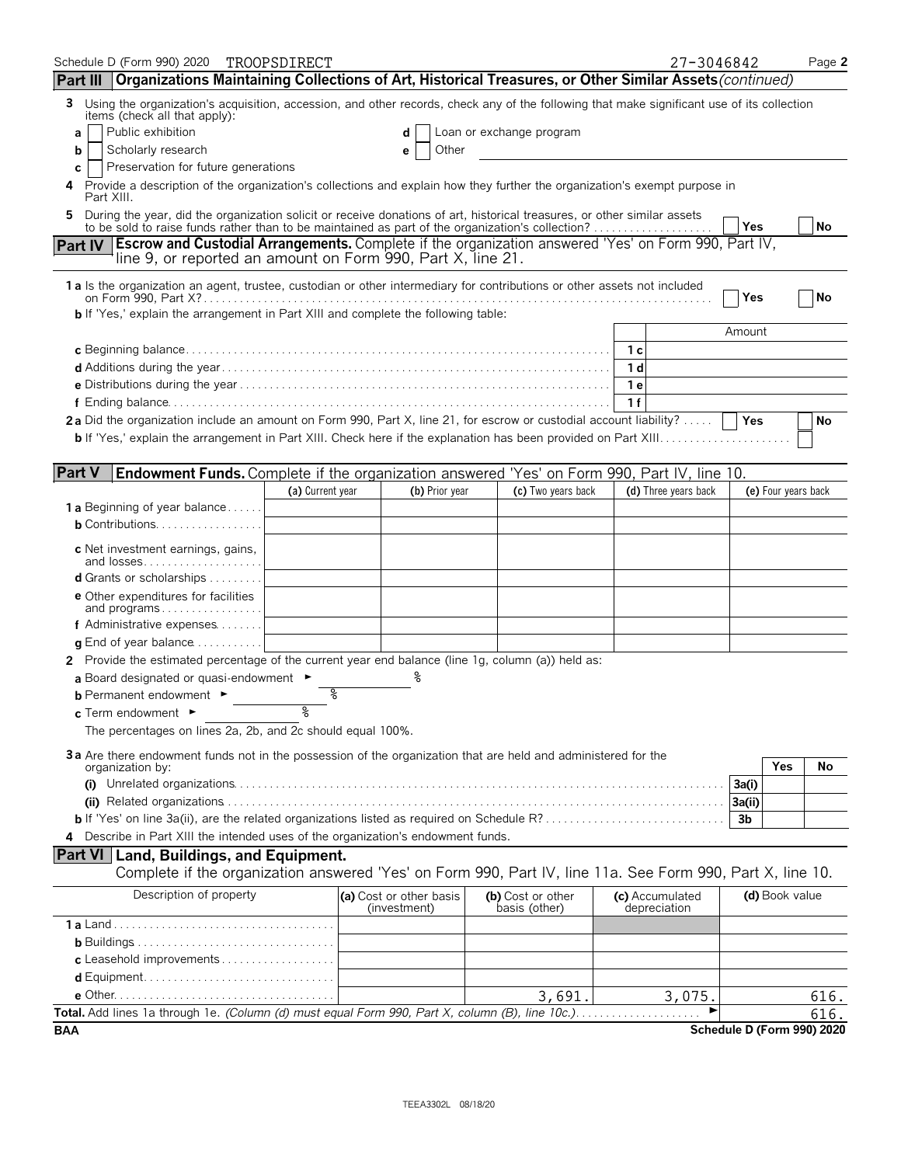| Schedule D (Form 990) 2020 TROOPSDIRECT<br>Organizations Maintaining Collections of Art, Historical Treasures, or Other Similar Assets (continued)<br>Part III                            |                  |                                         |                                    |                | 27-3046842                      |              |                     | Page 2                             |
|-------------------------------------------------------------------------------------------------------------------------------------------------------------------------------------------|------------------|-----------------------------------------|------------------------------------|----------------|---------------------------------|--------------|---------------------|------------------------------------|
| Using the organization's acquisition, accession, and other records, check any of the following that make significant use of its collection<br>3                                           |                  |                                         |                                    |                |                                 |              |                     |                                    |
| items (check all that apply):                                                                                                                                                             |                  |                                         |                                    |                |                                 |              |                     |                                    |
| Public exhibition<br>a                                                                                                                                                                    |                  | d                                       | Loan or exchange program           |                |                                 |              |                     |                                    |
| Scholarly research<br>b                                                                                                                                                                   |                  | Other<br>е                              |                                    |                |                                 |              |                     |                                    |
| Preservation for future generations<br>C.<br>Provide a description of the organization's collections and explain how they further the organization's exempt purpose in<br>4<br>Part XIII. |                  |                                         |                                    |                |                                 |              |                     |                                    |
| During the year, did the organization solicit or receive donations of art, historical treasures, or other similar assets<br>5                                                             |                  |                                         |                                    |                |                                 |              |                     |                                    |
| to be sold to raise funds rather than to be maintained as part of the organization's collection?                                                                                          |                  |                                         |                                    |                |                                 | <b>Yes</b>   |                     | No                                 |
| Part IV Escrow and Custodial Arrangements. Complete if the organization answered 'Yes' on Form 990, Part IV,<br>line 9, or reported an amount on Form 990, Part X, line 21.               |                  |                                         |                                    |                |                                 |              |                     |                                    |
| 1 a Is the organization an agent, trustee, custodian or other intermediary for contributions or other assets not included                                                                 |                  |                                         |                                    |                |                                 | Yes          |                     | No                                 |
| b If 'Yes,' explain the arrangement in Part XIII and complete the following table:                                                                                                        |                  |                                         |                                    |                |                                 |              |                     |                                    |
|                                                                                                                                                                                           |                  |                                         |                                    |                |                                 | Amount       |                     |                                    |
|                                                                                                                                                                                           |                  |                                         |                                    |                |                                 |              |                     |                                    |
|                                                                                                                                                                                           |                  |                                         |                                    | 1 <sub>d</sub> |                                 |              |                     |                                    |
|                                                                                                                                                                                           |                  |                                         |                                    | 1е             |                                 |              |                     |                                    |
|                                                                                                                                                                                           |                  |                                         |                                    | 1f             |                                 |              |                     |                                    |
| 2a Did the organization include an amount on Form 990, Part X, line 21, for escrow or custodial account liability?                                                                        |                  |                                         |                                    |                |                                 |              |                     | No                                 |
|                                                                                                                                                                                           |                  |                                         |                                    |                |                                 |              |                     |                                    |
| <b>Part V</b>                                                                                                                                                                             |                  |                                         |                                    |                |                                 |              |                     |                                    |
| <b>Endowment Funds.</b> Complete if the organization answered 'Yes' on Form 990, Part IV, line 10.                                                                                        | (a) Current year | (b) Prior year                          | (c) Two years back                 |                | (d) Three years back            |              | (e) Four years back |                                    |
| <b>1 a</b> Beginning of year balance                                                                                                                                                      |                  |                                         |                                    |                |                                 |              |                     |                                    |
| <b>b</b> Contributions. $\ldots \ldots \ldots \ldots \ldots$                                                                                                                              |                  |                                         |                                    |                |                                 |              |                     |                                    |
| <b>c</b> Net investment earnings, gains,                                                                                                                                                  |                  |                                         |                                    |                |                                 |              |                     |                                    |
| and losses                                                                                                                                                                                |                  |                                         |                                    |                |                                 |              |                     |                                    |
| d Grants or scholarships                                                                                                                                                                  |                  |                                         |                                    |                |                                 |              |                     |                                    |
| <b>e</b> Other expenditures for facilities<br>and programs                                                                                                                                |                  |                                         |                                    |                |                                 |              |                     |                                    |
| f Administrative expenses                                                                                                                                                                 |                  |                                         |                                    |                |                                 |              |                     |                                    |
| <b>q</b> End of year balance $\dots\dots\dots\dots$                                                                                                                                       |                  |                                         |                                    |                |                                 |              |                     |                                    |
| Provide the estimated percentage of the current year end balance (line 1g, column (a)) held as:                                                                                           |                  |                                         |                                    |                |                                 |              |                     |                                    |
| a Board designated or quasi-endowment $\blacktriangleright$                                                                                                                               |                  | ిం                                      |                                    |                |                                 |              |                     |                                    |
| <b>b</b> Permanent endowment ►                                                                                                                                                            | %                |                                         |                                    |                |                                 |              |                     |                                    |
| c Term endowment ►                                                                                                                                                                        | ٩                |                                         |                                    |                |                                 |              |                     |                                    |
| The percentages on lines 2a, 2b, and 2c should equal 100%.                                                                                                                                |                  |                                         |                                    |                |                                 |              |                     |                                    |
| 3a Are there endowment funds not in the possession of the organization that are held and administered for the                                                                             |                  |                                         |                                    |                |                                 |              |                     |                                    |
| organization by:                                                                                                                                                                          |                  |                                         |                                    |                |                                 |              | Yes                 | No                                 |
|                                                                                                                                                                                           |                  |                                         |                                    |                |                                 | 3a(i)        |                     |                                    |
|                                                                                                                                                                                           |                  |                                         |                                    |                |                                 | 3a(ii)<br>3b |                     |                                    |
| 4 Describe in Part XIII the intended uses of the organization's endowment funds.                                                                                                          |                  |                                         |                                    |                |                                 |              |                     |                                    |
| <b>Part VI   Land, Buildings, and Equipment.</b>                                                                                                                                          |                  |                                         |                                    |                |                                 |              |                     |                                    |
| Complete if the organization answered 'Yes' on Form 990, Part IV, line 11a. See Form 990, Part X, line 10.                                                                                |                  |                                         |                                    |                |                                 |              |                     |                                    |
| Description of property                                                                                                                                                                   |                  | (a) Cost or other basis<br>(investment) | (b) Cost or other<br>basis (other) |                | (c) Accumulated<br>depreciation |              | (d) Book value      |                                    |
|                                                                                                                                                                                           |                  |                                         |                                    |                |                                 |              |                     |                                    |
|                                                                                                                                                                                           |                  |                                         |                                    |                |                                 |              |                     |                                    |
| c Leasehold improvements                                                                                                                                                                  |                  |                                         |                                    |                |                                 |              |                     |                                    |
|                                                                                                                                                                                           |                  |                                         |                                    |                |                                 |              |                     |                                    |
|                                                                                                                                                                                           |                  |                                         | 3,691.                             |                | 3,075.                          |              |                     | 616.                               |
| Total. Add lines 1a through 1e. (Column (d) must equal Form 990, Part X, column (B), line 10c.)<br>BAA                                                                                    |                  |                                         |                                    |                |                                 |              |                     | 616.<br>Schedule D (Form 990) 2020 |
|                                                                                                                                                                                           |                  |                                         |                                    |                |                                 |              |                     |                                    |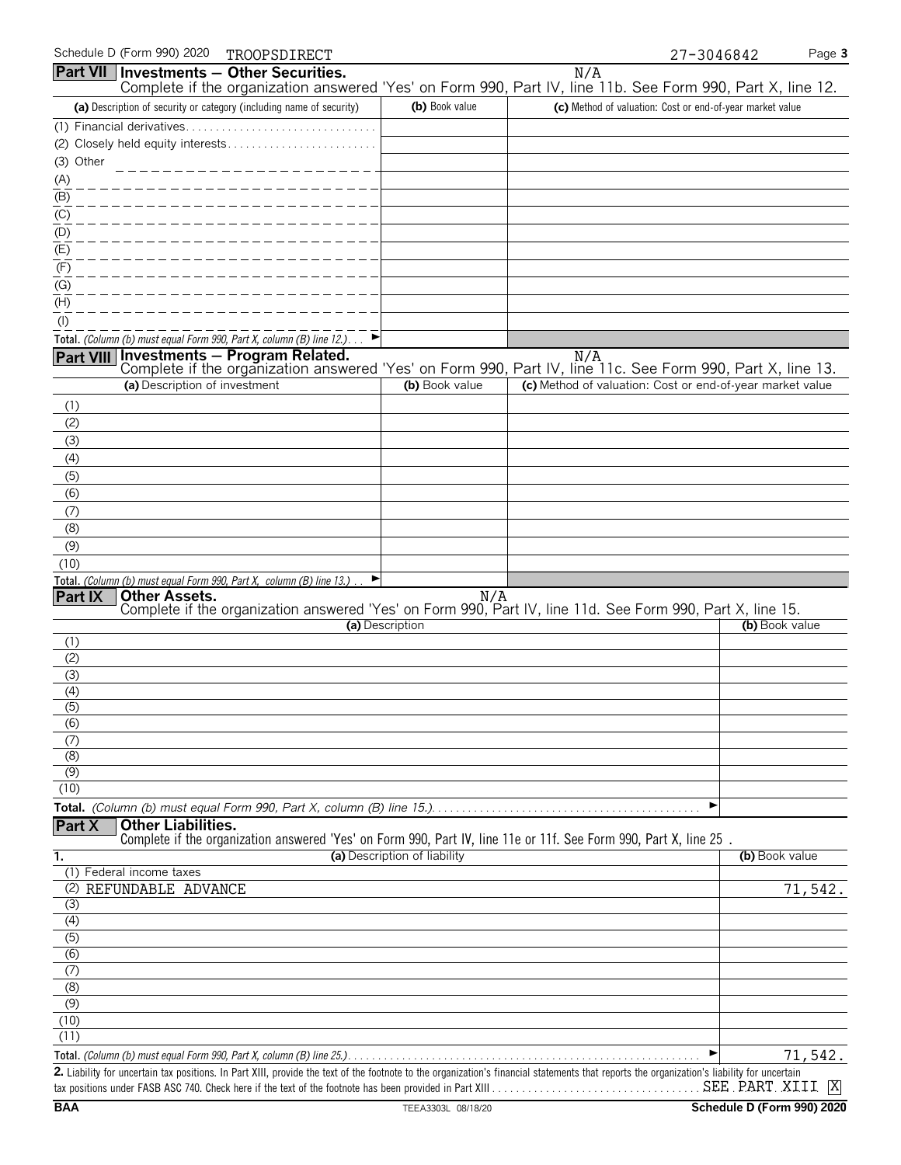|                           | Schedule D (Form 990) 2020    | TROOPSDIRECT                                                                                                                                                                                |                              |     | 27-3046842                                                | Page 3  |
|---------------------------|-------------------------------|---------------------------------------------------------------------------------------------------------------------------------------------------------------------------------------------|------------------------------|-----|-----------------------------------------------------------|---------|
|                           |                               | Part VII Investments - Other Securities.<br>Complete if the organization answered 'Yes' on Form 990, Part IV, line 11b. See Form 990, Part X, line 12.                                      |                              | N/A |                                                           |         |
|                           |                               | (a) Description of security or category (including name of security)                                                                                                                        | (b) Book value               |     | (c) Method of valuation: Cost or end-of-year market value |         |
|                           |                               | (1) Financial derivatives                                                                                                                                                                   |                              |     |                                                           |         |
|                           |                               |                                                                                                                                                                                             |                              |     |                                                           |         |
| (3) Other                 |                               |                                                                                                                                                                                             |                              |     |                                                           |         |
| (A)                       |                               |                                                                                                                                                                                             |                              |     |                                                           |         |
| (B)                       |                               |                                                                                                                                                                                             |                              |     |                                                           |         |
| $\overline{(\mathsf{C})}$ |                               |                                                                                                                                                                                             |                              |     |                                                           |         |
| (D)<br>(E)                |                               |                                                                                                                                                                                             |                              |     |                                                           |         |
| (F)                       |                               |                                                                                                                                                                                             |                              |     |                                                           |         |
| (G)                       |                               |                                                                                                                                                                                             |                              |     |                                                           |         |
| (H)                       |                               |                                                                                                                                                                                             |                              |     |                                                           |         |
| (1)                       |                               |                                                                                                                                                                                             |                              |     |                                                           |         |
|                           |                               | Total. (Column (b) must equal Form 990, Part X, column (B) line 12.)                                                                                                                        |                              |     |                                                           |         |
| Part VIII                 |                               | <b>Investments - Program Related.</b><br>Complete if the organization answered 'Yes' on Form 990, Part IV, line 11c. See Form 990, Part X, line 13.                                         |                              | N/A |                                                           |         |
|                           | (a) Description of investment |                                                                                                                                                                                             | (b) Book value               |     | (c) Method of valuation: Cost or end-of-year market value |         |
| (1)                       |                               |                                                                                                                                                                                             |                              |     |                                                           |         |
| (2)                       |                               |                                                                                                                                                                                             |                              |     |                                                           |         |
| (3)<br>(4)                |                               |                                                                                                                                                                                             |                              |     |                                                           |         |
| (5)                       |                               |                                                                                                                                                                                             |                              |     |                                                           |         |
| (6)                       |                               |                                                                                                                                                                                             |                              |     |                                                           |         |
| (7)                       |                               |                                                                                                                                                                                             |                              |     |                                                           |         |
| (8)                       |                               |                                                                                                                                                                                             |                              |     |                                                           |         |
| (9)                       |                               |                                                                                                                                                                                             |                              |     |                                                           |         |
| (10)                      |                               |                                                                                                                                                                                             |                              |     |                                                           |         |
|                           |                               | Total. (Column (b) must equal Form 990, Part X, column (B) line 13.)                                                                                                                        |                              |     |                                                           |         |
| <b>Part IX</b>            | <b>Other Assets.</b>          | Complete if the organization answered 'Yes' on Form 990, Part IV, line 11d. See Form 990, Part X, line 15.                                                                                  | N/A                          |     |                                                           |         |
|                           |                               |                                                                                                                                                                                             | (a) Description              |     | (b) Book value                                            |         |
| (1)                       |                               |                                                                                                                                                                                             |                              |     |                                                           |         |
| (2)                       |                               |                                                                                                                                                                                             |                              |     |                                                           |         |
| (3)<br>(4)                |                               |                                                                                                                                                                                             |                              |     |                                                           |         |
| (5)                       |                               |                                                                                                                                                                                             |                              |     |                                                           |         |
| (6)                       |                               |                                                                                                                                                                                             |                              |     |                                                           |         |
| (7)                       |                               |                                                                                                                                                                                             |                              |     |                                                           |         |
| (8)<br>(9)                |                               |                                                                                                                                                                                             |                              |     |                                                           |         |
| (10)                      |                               |                                                                                                                                                                                             |                              |     |                                                           |         |
|                           |                               |                                                                                                                                                                                             |                              |     | ▶                                                         |         |
| <b>Part X</b>             | <b>Other Liabilities.</b>     |                                                                                                                                                                                             |                              |     |                                                           |         |
|                           |                               | Complete if the organization answered 'Yes' on Form 990, Part IV, line 11e or 11f. See Form 990, Part X, line 25.                                                                           |                              |     |                                                           |         |
| 1.                        |                               |                                                                                                                                                                                             | (a) Description of liability |     | (b) Book value                                            |         |
|                           | (1) Federal income taxes      |                                                                                                                                                                                             |                              |     |                                                           |         |
| (3)                       | (2) REFUNDABLE ADVANCE        |                                                                                                                                                                                             |                              |     |                                                           | 71,542. |
| (4)                       |                               |                                                                                                                                                                                             |                              |     |                                                           |         |
| (5)                       |                               |                                                                                                                                                                                             |                              |     |                                                           |         |
| (6)                       |                               |                                                                                                                                                                                             |                              |     |                                                           |         |
| (7)                       |                               |                                                                                                                                                                                             |                              |     |                                                           |         |
| (8)                       |                               |                                                                                                                                                                                             |                              |     |                                                           |         |
| (9)<br>(10)               |                               |                                                                                                                                                                                             |                              |     |                                                           |         |
| (11)                      |                               |                                                                                                                                                                                             |                              |     |                                                           |         |
|                           |                               |                                                                                                                                                                                             |                              |     |                                                           | 71,542. |
|                           |                               | 2. Liability for uncertain tax positions. In Part XIII, provide the text of the footnote to the organization's financial statements that reports the organization's liability for uncertain |                              |     |                                                           |         |
|                           |                               |                                                                                                                                                                                             |                              |     |                                                           |         |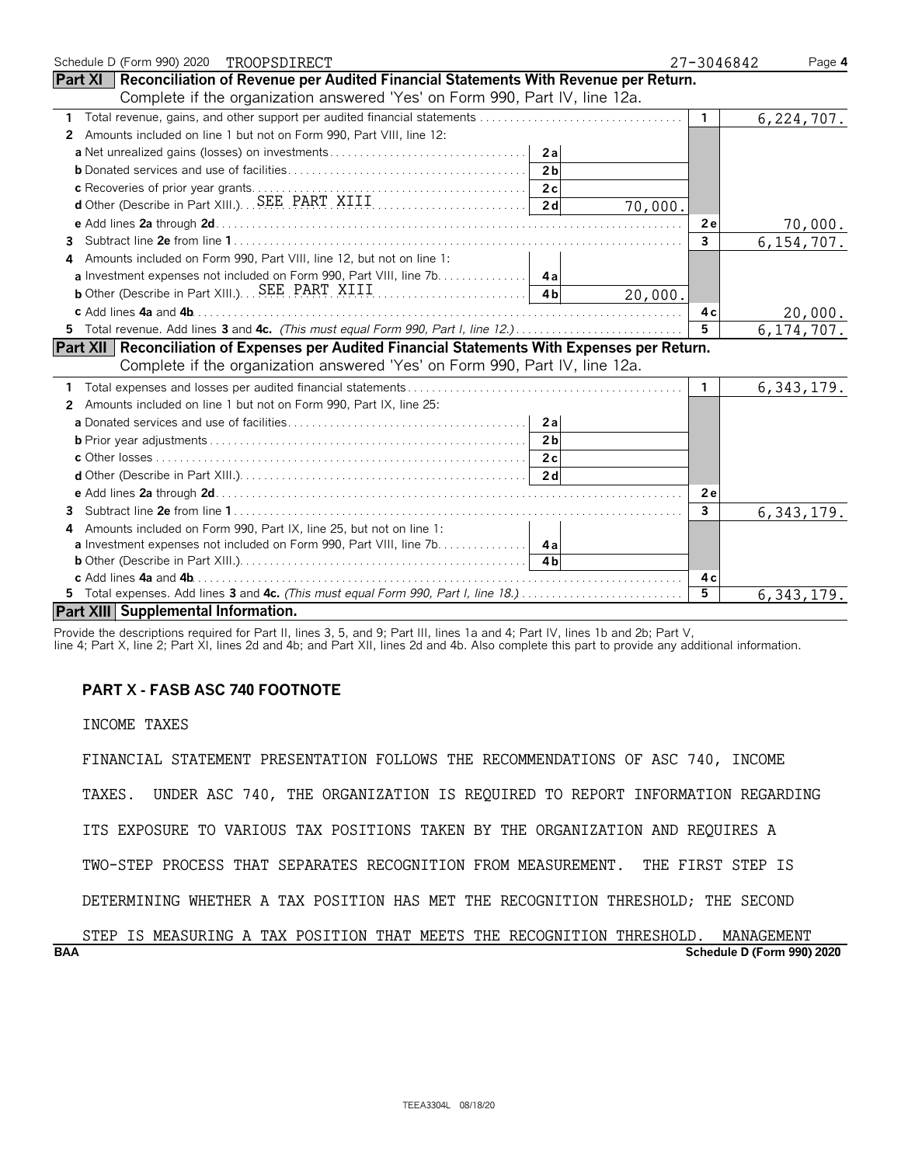| Schedule D (Form 990) 2020 TROOPSDIRECT                                                                 | 27-3046842     | Page 4       |
|---------------------------------------------------------------------------------------------------------|----------------|--------------|
| <b>Part XI</b>   Reconciliation of Revenue per Audited Financial Statements With Revenue per Return.    |                |              |
| Complete if the organization answered 'Yes' on Form 990, Part IV, line 12a.                             |                |              |
| 1                                                                                                       | $\overline{1}$ | 6, 224, 707. |
| Amounts included on line 1 but not on Form 990, Part VIII, line 12:<br>2                                |                |              |
|                                                                                                         |                |              |
| 2 <sub>b</sub>                                                                                          |                |              |
|                                                                                                         |                |              |
| 70,000.                                                                                                 |                |              |
|                                                                                                         | 2e             | 70,000.      |
| 3                                                                                                       | $\overline{3}$ | 6, 154, 707. |
| Amounts included on Form 990, Part VIII, line 12, but not on line 1:                                    |                |              |
| a Investment expenses not included on Form 990, Part VIII, line 7b. 4a                                  |                |              |
| <b>b</b> Other (Describe in Part XIII.). SEE PART XIII<br>4 <sub>h</sub><br>20,000.                     |                |              |
|                                                                                                         | 4 c            | 20,000.      |
| 5 Total revenue. Add lines 3 and 4c. (This must equal Form 990, Part I, line 12.)                       | 5              | 6, 174, 707. |
| <b>Part XII   Reconciliation of Expenses per Audited Financial Statements With Expenses per Return.</b> |                |              |
| Complete if the organization answered 'Yes' on Form 990, Part IV, line 12a.                             |                |              |
|                                                                                                         | $\mathbf{1}$   | 6, 343, 179. |
| Amounts included on line 1 but not on Form 990, Part IX, line 25:<br>2                                  |                |              |
| 2a                                                                                                      |                |              |
| 2 <sub>b</sub>                                                                                          |                |              |
|                                                                                                         |                |              |
|                                                                                                         |                |              |
|                                                                                                         | <b>2e</b>      |              |
| 3                                                                                                       | 3              | 6, 343, 179. |
| Amounts included on Form 990, Part IX, line 25, but not on line 1:<br>4                                 |                |              |
| a Investment expenses not included on Form 990, Part VIII, line 7b. 4a                                  |                |              |
|                                                                                                         |                |              |
|                                                                                                         | 4 c            |              |
| 5 Total expenses. Add lines 3 and 4c. (This must equal Form 990, Part I, line 18.)                      | 5              | 6, 343, 179. |
| <b>Part XIII Supplemental Information.</b>                                                              |                |              |

Provide the descriptions required for Part II, lines 3, 5, and 9; Part III, lines 1a and 4; Part IV, lines 1b and 2b; Part V,

line 4; Part X, line 2; Part XI, lines 2d and 4b; and Part XII, lines 2d and 4b. Also complete this part to provide any additional information.

## **PART X - FASB ASC 740 FOOTNOTE**

INCOME TAXES

FINANCIAL STATEMENT PRESENTATION FOLLOWS THE RECOMMENDATIONS OF ASC 740, INCOME TAXES. UNDER ASC 740, THE ORGANIZATION IS REQUIRED TO REPORT INFORMATION REGARDING ITS EXPOSURE TO VARIOUS TAX POSITIONS TAKEN BY THE ORGANIZATION AND REQUIRES A TWO-STEP PROCESS THAT SEPARATES RECOGNITION FROM MEASUREMENT. THE FIRST STEP IS DETERMINING WHETHER A TAX POSITION HAS MET THE RECOGNITION THRESHOLD; THE SECOND

**BAA Schedule D (Form 990) 2020** STEP IS MEASURING A TAX POSITION THAT MEETS THE RECOGNITION THRESHOLD. MANAGEMENT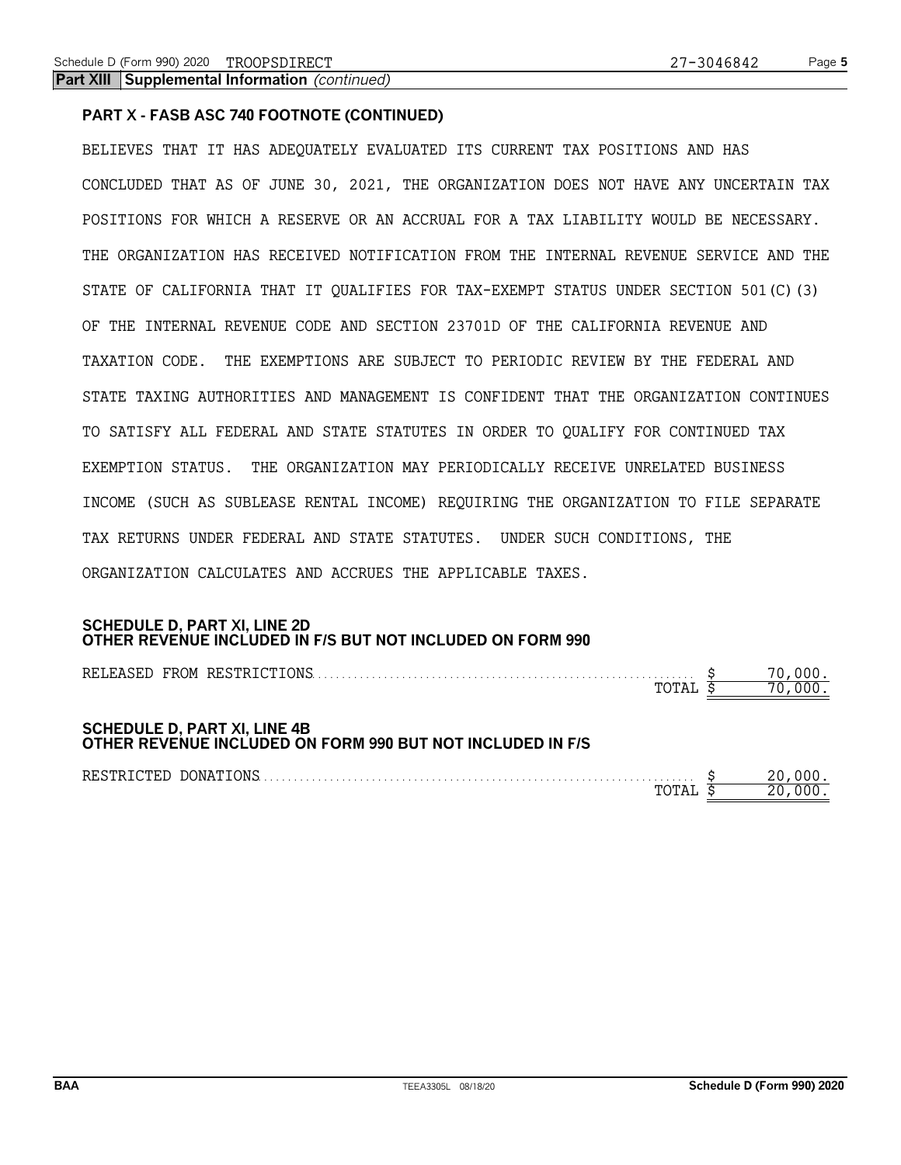#### **PART X - FASB ASC 740 FOOTNOTE (CONTINUED)**

BELIEVES THAT IT HAS ADEQUATELY EVALUATED ITS CURRENT TAX POSITIONS AND HAS CONCLUDED THAT AS OF JUNE 30, 2021, THE ORGANIZATION DOES NOT HAVE ANY UNCERTAIN TAX POSITIONS FOR WHICH A RESERVE OR AN ACCRUAL FOR A TAX LIABILITY WOULD BE NECESSARY. THE ORGANIZATION HAS RECEIVED NOTIFICATION FROM THE INTERNAL REVENUE SERVICE AND THE STATE OF CALIFORNIA THAT IT QUALIFIES FOR TAX-EXEMPT STATUS UNDER SECTION 501(C)(3) OF THE INTERNAL REVENUE CODE AND SECTION 23701D OF THE CALIFORNIA REVENUE AND TAXATION CODE. THE EXEMPTIONS ARE SUBJECT TO PERIODIC REVIEW BY THE FEDERAL AND STATE TAXING AUTHORITIES AND MANAGEMENT IS CONFIDENT THAT THE ORGANIZATION CONTINUES TO SATISFY ALL FEDERAL AND STATE STATUTES IN ORDER TO QUALIFY FOR CONTINUED TAX EXEMPTION STATUS. THE ORGANIZATION MAY PERIODICALLY RECEIVE UNRELATED BUSINESS INCOME (SUCH AS SUBLEASE RENTAL INCOME) REQUIRING THE ORGANIZATION TO FILE SEPARATE TAX RETURNS UNDER FEDERAL AND STATE STATUTES. UNDER SUCH CONDITIONS, THE ORGANIZATION CALCULATES AND ACCRUES THE APPLICABLE TAXES.

#### **SCHEDULE D, PART XI, LINE 2D OTHER REVENUE INCLUDED IN F/S BUT NOT INCLUDED ON FORM 990**

| TOTAL                                                                                             |  |        |
|---------------------------------------------------------------------------------------------------|--|--------|
| <b>SCHEDULE D, PART XI, LINE 4B</b><br>OTHER REVENUE INCLUDED ON FORM 990 BUT NOT INCLUDED IN F/S |  |        |
| RESTRICTED DONATIONS<br>TOTAL                                                                     |  | 20,000 |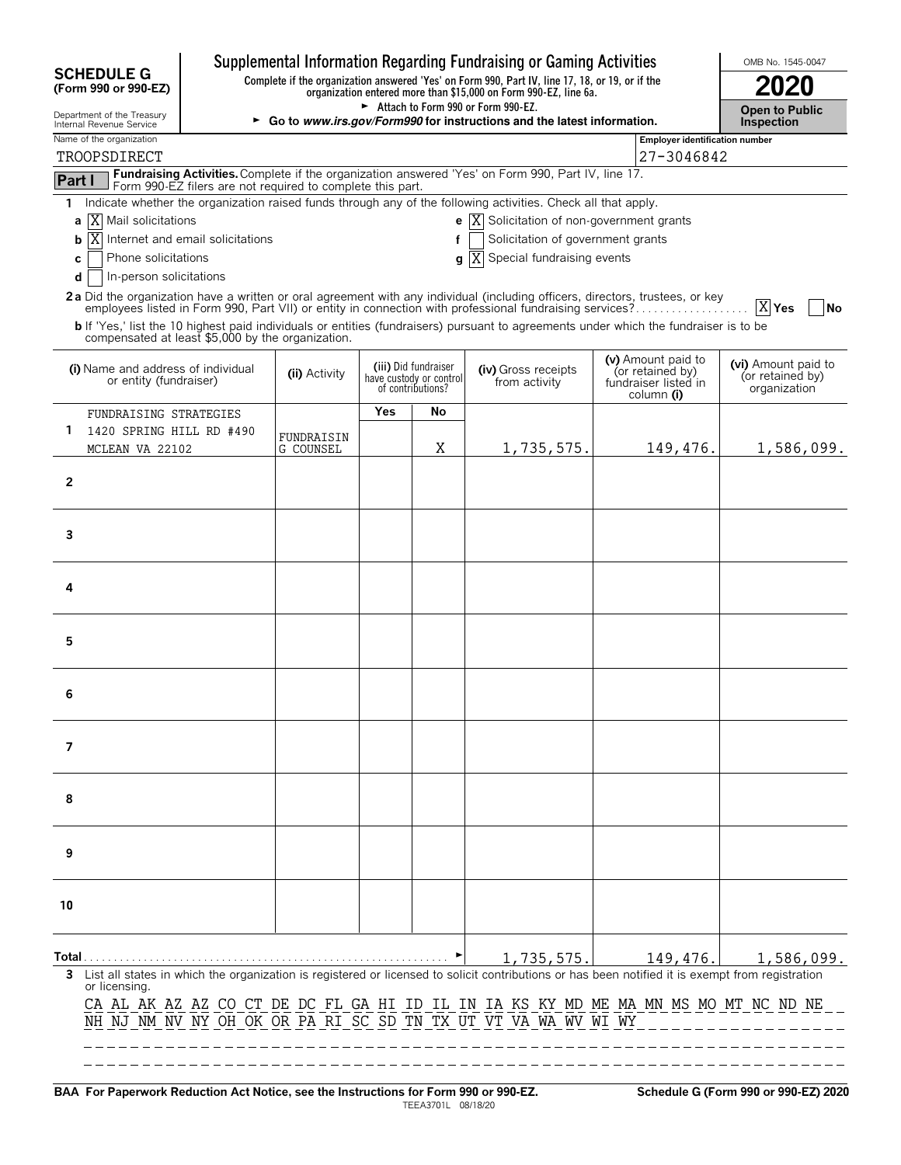| <b>SCHEDULE G</b>                                                                                                |                                                            |                                                                                                                |     |                                                                      | Supplemental Information Regarding Fundraising or Gaming Activities<br>Complete if the organization answered 'Yes' on Form 990, Part IV, line 17, 18, or 19, or if the                                                                   |                                                                              | OMB No. 1545-0047                                       |
|------------------------------------------------------------------------------------------------------------------|------------------------------------------------------------|----------------------------------------------------------------------------------------------------------------|-----|----------------------------------------------------------------------|------------------------------------------------------------------------------------------------------------------------------------------------------------------------------------------------------------------------------------------|------------------------------------------------------------------------------|---------------------------------------------------------|
| (Form 990 or 990-EZ)                                                                                             |                                                            | 2020<br><b>Open to Public</b>                                                                                  |     |                                                                      |                                                                                                                                                                                                                                          |                                                                              |                                                         |
| Department of the Treasury<br>Internal Revenue Service                                                           |                                                            | Attach to Form 990 or Form 990-EZ.<br>► Go to www.irs.gov/Form990 for instructions and the latest information. |     |                                                                      |                                                                                                                                                                                                                                          |                                                                              |                                                         |
| Name of the organization<br>TROOPSDIRECT                                                                         |                                                            |                                                                                                                |     |                                                                      |                                                                                                                                                                                                                                          | <b>Emplover identification number</b>                                        |                                                         |
|                                                                                                                  |                                                            |                                                                                                                |     |                                                                      | Fundraising Activities. Complete if the organization answered 'Yes' on Form 990, Part IV, line 17.                                                                                                                                       | 27-3046842                                                                   |                                                         |
| Part I<br>1.                                                                                                     | Form 990-EZ filers are not required to complete this part. |                                                                                                                |     |                                                                      | Indicate whether the organization raised funds through any of the following activities. Check all that apply,                                                                                                                            |                                                                              |                                                         |
| X Mail solicitations<br>a                                                                                        |                                                            |                                                                                                                |     |                                                                      | <b>e</b> $\overline{X}$ Solicitation of non-government grants                                                                                                                                                                            |                                                                              |                                                         |
| IX.<br>b                                                                                                         | Internet and email solicitations                           |                                                                                                                |     |                                                                      | Solicitation of government grants                                                                                                                                                                                                        |                                                                              |                                                         |
| Phone solicitations<br>C                                                                                         |                                                            |                                                                                                                |     |                                                                      | g X <br>Special fundraising events                                                                                                                                                                                                       |                                                                              |                                                         |
| In-person solicitations<br>d                                                                                     |                                                            |                                                                                                                |     |                                                                      |                                                                                                                                                                                                                                          |                                                                              |                                                         |
|                                                                                                                  |                                                            |                                                                                                                |     |                                                                      | 2a Did the organization have a written or oral agreement with any individual (including officers, directors, trustees, or key<br>employees listed in Form 990, Part VII) or entity in connection with professional fundraising services? |                                                                              | X Yes<br>  No                                           |
| compensated at least \$5,000 by the organization.                                                                |                                                            |                                                                                                                |     |                                                                      | b If 'Yes,' list the 10 highest paid individuals or entities (fundraisers) pursuant to agreements under which the fundraiser is to be                                                                                                    |                                                                              |                                                         |
| (i) Name and address of individual<br>or entity (fundraiser)                                                     |                                                            | (ii) Activity                                                                                                  |     | (iii) Did fundraiser<br>have custody or control<br>of contributions? | (iv) Gross receipts<br>from activity                                                                                                                                                                                                     | (v) Amount paid to<br>(or retained by)<br>fundraiser listed in<br>column (i) | (vi) Amount paid to<br>(or retained by)<br>organization |
| FUNDRAISING STRATEGIES                                                                                           |                                                            |                                                                                                                | Yes | No                                                                   |                                                                                                                                                                                                                                          |                                                                              |                                                         |
| 1.<br>1420 SPRING HILL RD #490<br>MCLEAN VA 22102                                                                |                                                            | FUNDRAISIN<br>G COUNSEL                                                                                        |     | X                                                                    | 1,735,575.                                                                                                                                                                                                                               | 149,476.                                                                     | 1,586,099.                                              |
|                                                                                                                  |                                                            |                                                                                                                |     |                                                                      |                                                                                                                                                                                                                                          |                                                                              |                                                         |
| $\overline{2}$                                                                                                   |                                                            |                                                                                                                |     |                                                                      |                                                                                                                                                                                                                                          |                                                                              |                                                         |
| 3                                                                                                                |                                                            |                                                                                                                |     |                                                                      |                                                                                                                                                                                                                                          |                                                                              |                                                         |
|                                                                                                                  |                                                            |                                                                                                                |     |                                                                      |                                                                                                                                                                                                                                          |                                                                              |                                                         |
| 4                                                                                                                |                                                            |                                                                                                                |     |                                                                      |                                                                                                                                                                                                                                          |                                                                              |                                                         |
| 5                                                                                                                |                                                            |                                                                                                                |     |                                                                      |                                                                                                                                                                                                                                          |                                                                              |                                                         |
| 6                                                                                                                |                                                            |                                                                                                                |     |                                                                      |                                                                                                                                                                                                                                          |                                                                              |                                                         |
| 7                                                                                                                |                                                            |                                                                                                                |     |                                                                      |                                                                                                                                                                                                                                          |                                                                              |                                                         |
|                                                                                                                  |                                                            |                                                                                                                |     |                                                                      |                                                                                                                                                                                                                                          |                                                                              |                                                         |
| 8                                                                                                                |                                                            |                                                                                                                |     |                                                                      |                                                                                                                                                                                                                                          |                                                                              |                                                         |
| 9                                                                                                                |                                                            |                                                                                                                |     |                                                                      |                                                                                                                                                                                                                                          |                                                                              |                                                         |
| 10                                                                                                               |                                                            |                                                                                                                |     |                                                                      |                                                                                                                                                                                                                                          |                                                                              |                                                         |
| $\mathsf{Total} \dots \dots \dots \dots \dots \dots \dots \dots \dots \dots \dots \dots \dots \dots \dots \dots$ |                                                            |                                                                                                                |     |                                                                      | 1,735,575.                                                                                                                                                                                                                               | 149,476.                                                                     | 1,586,099.                                              |
| 3<br>or licensing.                                                                                               |                                                            |                                                                                                                |     |                                                                      | List all states in which the organization is registered or licensed to solicit contributions or has been notified it is exempt from registration                                                                                         |                                                                              |                                                         |
|                                                                                                                  |                                                            |                                                                                                                |     |                                                                      | CA AL AK AZ AZ CO CT DE DC FL GA HI ID IL IN IA KS KY MD ME MA MN MS MO MT NC ND NE                                                                                                                                                      |                                                                              |                                                         |
|                                                                                                                  |                                                            |                                                                                                                |     |                                                                      | NH NJ NM NV NY OH OK OR PA RI SC SD TN TX UT VT VA WA WV WI WY                                                                                                                                                                           |                                                                              |                                                         |
|                                                                                                                  |                                                            |                                                                                                                |     |                                                                      |                                                                                                                                                                                                                                          |                                                                              |                                                         |
|                                                                                                                  |                                                            |                                                                                                                |     |                                                                      |                                                                                                                                                                                                                                          |                                                                              |                                                         |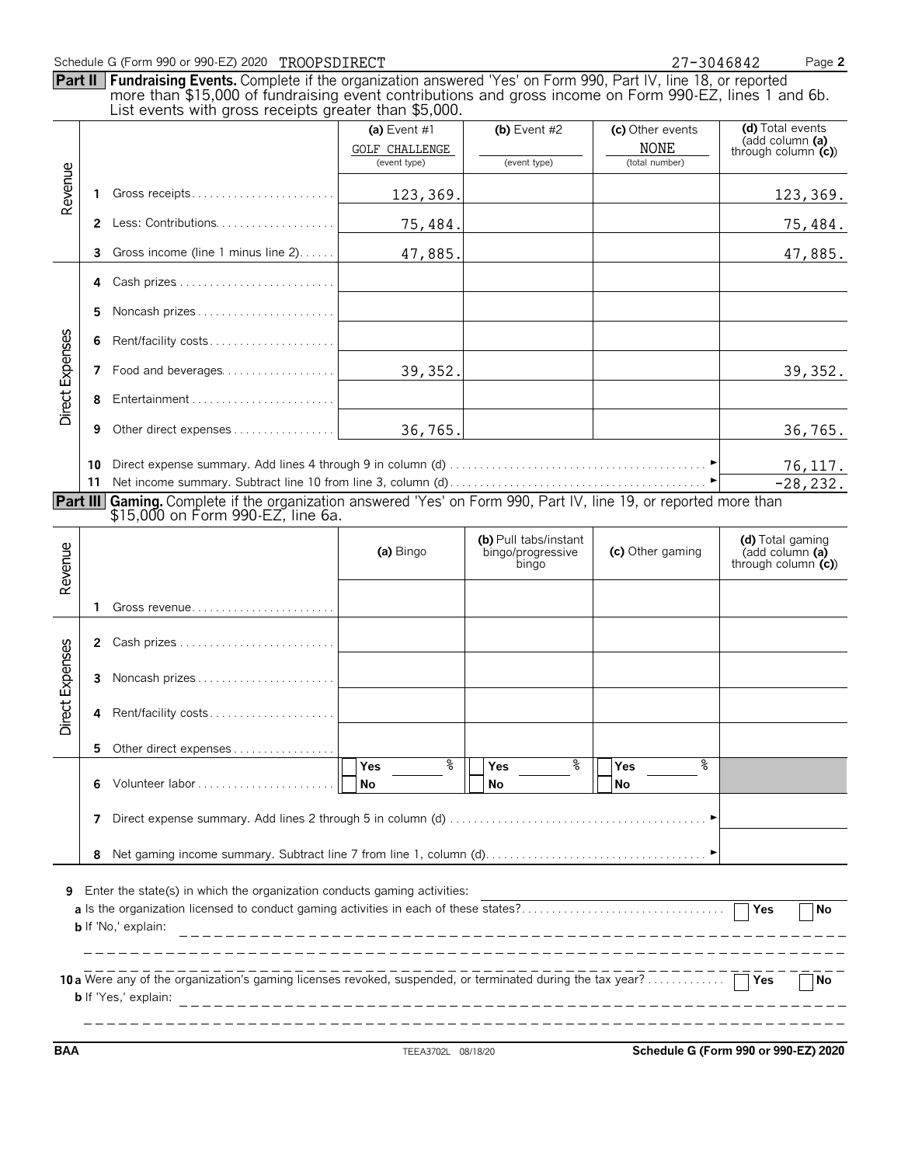#### Schedule G (Form 990 or 990-EZ) 2020 PROOPSDIRECT 27-3046842 Page 2

| 3046842 |
|---------|
|---------|

**Part II Fundraising Events.** Complete if the organization answered 'Yes' on Form 990, Part IV, line 18, or reported more than \$15,000 of fundraising event contributions and gross income on Form 990-EZ, lines 1 and 6b.

|                 |                                                                                                                                                                                                             | List events with gross receipts greater than \$5,000.                                                                    |                                       |                                                     |                                          |                                                             |  |  |
|-----------------|-------------------------------------------------------------------------------------------------------------------------------------------------------------------------------------------------------------|--------------------------------------------------------------------------------------------------------------------------|---------------------------------------|-----------------------------------------------------|------------------------------------------|-------------------------------------------------------------|--|--|
|                 |                                                                                                                                                                                                             |                                                                                                                          | (a) Event #1<br><b>GOLF CHALLENGE</b> | (b) Event $#2$                                      | (c) Other events<br><b>NONE</b>          | (d) Total events<br>(add column (a)<br>through column $(c)$ |  |  |
|                 |                                                                                                                                                                                                             |                                                                                                                          | (event type)                          | (event type)                                        | (total number)                           |                                                             |  |  |
| Revenue         | 1.                                                                                                                                                                                                          | Gross receipts                                                                                                           | 123,369.                              |                                                     |                                          | 123,369.                                                    |  |  |
|                 | 2                                                                                                                                                                                                           | Less: Contributions                                                                                                      | 75,484.                               |                                                     |                                          | 75,484.                                                     |  |  |
|                 | 3                                                                                                                                                                                                           | Gross income (line 1 minus line 2)                                                                                       | 47,885.                               |                                                     |                                          | 47,885.                                                     |  |  |
|                 | 4                                                                                                                                                                                                           |                                                                                                                          |                                       |                                                     |                                          |                                                             |  |  |
|                 | 5                                                                                                                                                                                                           | Noncash prizes                                                                                                           |                                       |                                                     |                                          |                                                             |  |  |
| Direct Expenses | 6                                                                                                                                                                                                           | Rent/facility costs                                                                                                      |                                       |                                                     |                                          |                                                             |  |  |
|                 | 7                                                                                                                                                                                                           | Food and beverages                                                                                                       | 39, 352.                              |                                                     |                                          | 39,352.                                                     |  |  |
|                 | 8                                                                                                                                                                                                           |                                                                                                                          |                                       |                                                     |                                          |                                                             |  |  |
|                 | 9                                                                                                                                                                                                           | Other direct expenses                                                                                                    | 36,765.                               |                                                     |                                          | 36,765.                                                     |  |  |
|                 | 10<br>11                                                                                                                                                                                                    |                                                                                                                          |                                       |                                                     |                                          | <u>76,117.</u><br>$-28, 232.$                               |  |  |
|                 |                                                                                                                                                                                                             | <b>Part III</b> Gaming. Complete if the organization answered 'Yes' on Form 990, Part IV, line 19, or reported more than |                                       |                                                     |                                          |                                                             |  |  |
|                 |                                                                                                                                                                                                             | \$15,000 on Form 990-EZ, line 6a.                                                                                        |                                       |                                                     |                                          |                                                             |  |  |
| Revenue         |                                                                                                                                                                                                             |                                                                                                                          | (a) Bingo                             | (b) Pull tabs/instant<br>bingo/progressive<br>bingo | (c) Other gaming                         | (d) Total gaming<br>(add column (a)<br>through column $(c)$ |  |  |
|                 | 1                                                                                                                                                                                                           |                                                                                                                          |                                       |                                                     |                                          |                                                             |  |  |
|                 | 2                                                                                                                                                                                                           |                                                                                                                          |                                       |                                                     |                                          |                                                             |  |  |
|                 | 3                                                                                                                                                                                                           | Noncash prizes                                                                                                           |                                       |                                                     |                                          |                                                             |  |  |
| Direct Expenses | 4                                                                                                                                                                                                           | Rent/facility costs                                                                                                      |                                       |                                                     |                                          |                                                             |  |  |
|                 | 5.                                                                                                                                                                                                          | Other direct expenses                                                                                                    |                                       |                                                     |                                          |                                                             |  |  |
|                 |                                                                                                                                                                                                             | Volunteer labor                                                                                                          | $\Box$ Yes<br>No                      | $\sqrt[8]{\frac{1}{8}}$       Yes<br>No             | $\sqrt{\frac{2}{1-\gamma}}$<br>್ಗಿ<br>No |                                                             |  |  |
|                 | 7                                                                                                                                                                                                           |                                                                                                                          |                                       |                                                     |                                          |                                                             |  |  |
|                 | 8                                                                                                                                                                                                           |                                                                                                                          |                                       |                                                     |                                          |                                                             |  |  |
| 9               | Enter the state(s) in which the organization conducts gaming activities:<br>a Is the organization licensed to conduct gaming activities in each of these states?<br>Yes<br>No<br><b>b</b> If 'No,' explain: |                                                                                                                          |                                       |                                                     |                                          |                                                             |  |  |
|                 | 10 a Were any of the organization's gaming licenses revoked, suspended, or terminated during the tax year?<br><b>No</b><br><b>b</b> If 'Yes,' explain:                                                      |                                                                                                                          |                                       |                                                     |                                          |                                                             |  |  |

**BAA** TEEA3702L 08/18/20 **Schedule G (Form 990 or 990-EZ) 2020**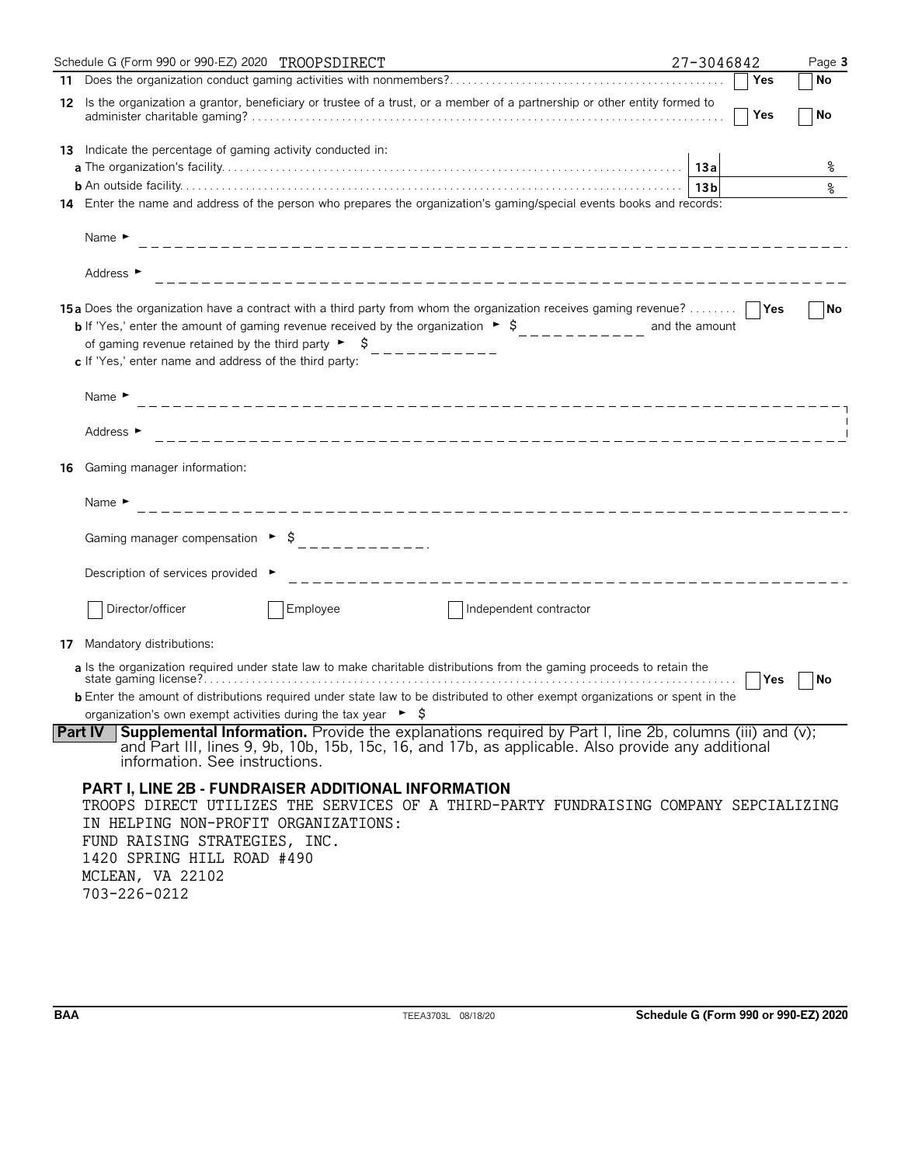|    | Schedule G (Form 990 or 990-EZ) 2020 TROOPSDIRECT                                                                                                                                                                                                                                                                                                                                                            | 27-3046842 |     | Page 3    |
|----|--------------------------------------------------------------------------------------------------------------------------------------------------------------------------------------------------------------------------------------------------------------------------------------------------------------------------------------------------------------------------------------------------------------|------------|-----|-----------|
|    |                                                                                                                                                                                                                                                                                                                                                                                                              |            | Yes | l No      |
|    | 12 Is the organization a grantor, beneficiary or trustee of a trust, or a member of a partnership or other entity formed to                                                                                                                                                                                                                                                                                  |            | Yes | <b>No</b> |
|    | 13 Indicate the percentage of gaming activity conducted in:                                                                                                                                                                                                                                                                                                                                                  |            |     |           |
|    |                                                                                                                                                                                                                                                                                                                                                                                                              |            |     | နွ        |
|    | 14 Enter the name and address of the person who prepares the organization's gaming/special events books and records:                                                                                                                                                                                                                                                                                         |            |     |           |
|    | Name $\blacktriangleright$                                                                                                                                                                                                                                                                                                                                                                                   |            |     |           |
|    | Address ►                                                                                                                                                                                                                                                                                                                                                                                                    |            |     |           |
|    | 15a Does the organization have a contract with a third party from whom the organization receives gaming revenue?      Yes<br><b>b</b> If 'Yes,' enter the amount of gaming revenue received by the organization $\rightarrow$ \$__________ and the amount<br>of gaming revenue retained by the third party $\begin{bmatrix} 5 \\ -2 \end{bmatrix}$<br>c If 'Yes,' enter name and address of the third party: |            |     | No        |
|    | Name $\blacktriangleright$                                                                                                                                                                                                                                                                                                                                                                                   |            |     |           |
|    | Address ►                                                                                                                                                                                                                                                                                                                                                                                                    |            |     |           |
| 16 | Gaming manager information:                                                                                                                                                                                                                                                                                                                                                                                  |            |     |           |
|    | Name $\blacktriangleright$                                                                                                                                                                                                                                                                                                                                                                                   |            |     |           |
|    |                                                                                                                                                                                                                                                                                                                                                                                                              |            |     |           |
|    | Description of services provided                                                                                                                                                                                                                                                                                                                                                                             |            |     |           |
|    | Director/officer<br>Employee<br>Independent contractor                                                                                                                                                                                                                                                                                                                                                       |            |     |           |
| 17 | Mandatory distributions:                                                                                                                                                                                                                                                                                                                                                                                     |            |     |           |
|    | a Is the organization required under state law to make charitable distributions from the gaming proceeds to retain the                                                                                                                                                                                                                                                                                       |            | Yes | No        |
|    | <b>b</b> Enter the amount of distributions required under state law to be distributed to other exempt organizations or spent in the                                                                                                                                                                                                                                                                          |            |     |           |
|    | organization's own exempt activities during the tax year $\triangleright$ $\sharp$                                                                                                                                                                                                                                                                                                                           |            |     |           |
|    | Supplemental Information. Provide the explanations required by Part I, line 2b, columns (iii) and (v);<br><b>Part IV</b><br>and Part III, lines 9, 9b, 10b, 15b, 15c, 16, and 17b, as applicable. Also provide any additional<br>information. See instructions.                                                                                                                                              |            |     |           |
|    | <b>PART I, LINE 2B - FUNDRAISER ADDITIONAL INFORMATION</b><br>TROOPS DIRECT UTILIZES THE SERVICES OF A THIRD-PARTY FUNDRAISING COMPANY SEPCIALIZING<br>IN HELPING NON-PROFIT ORGANIZATIONS:<br>FUND RAISING STRATEGIES, INC.<br>1420 SPRING HILL ROAD #490<br>MCLEAN, VA 22102<br>703-226-0212                                                                                                               |            |     |           |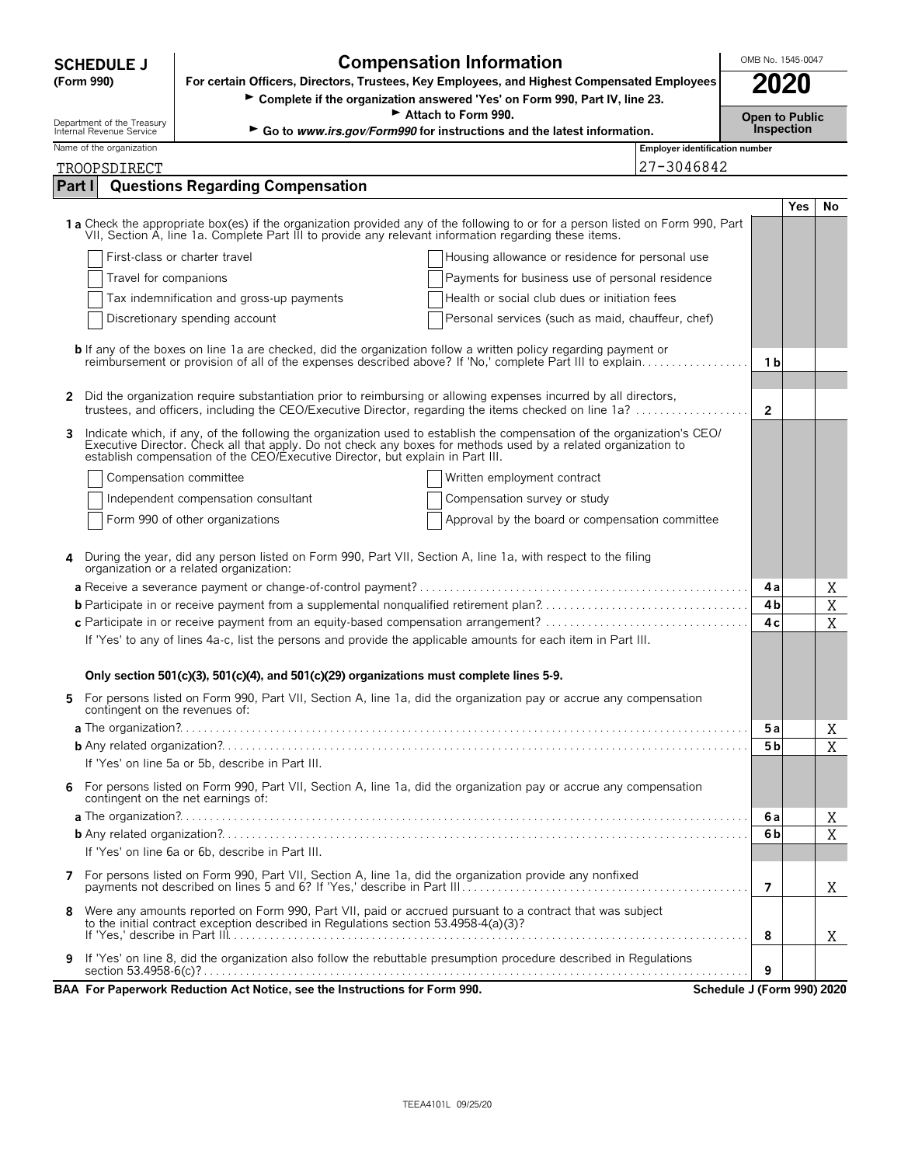| <b>SCHEDULE J</b>                                      |                                                                                                                                                                                                                                                                                                                             | OMB No. 1545-0047                     |                       |                  |  |  |
|--------------------------------------------------------|-----------------------------------------------------------------------------------------------------------------------------------------------------------------------------------------------------------------------------------------------------------------------------------------------------------------------------|---------------------------------------|-----------------------|------------------|--|--|
| (Form 990)                                             | For certain Officers, Directors, Trustees, Key Employees, and Highest Compensated Employees<br>Complete if the organization answered 'Yes' on Form 990, Part IV, line 23.                                                                                                                                                   |                                       |                       |                  |  |  |
|                                                        | Attach to Form 990.                                                                                                                                                                                                                                                                                                         |                                       | <b>Open to Public</b> |                  |  |  |
| Department of the Treasury<br>Internal Revenue Service | Go to www.irs.gov/Form990 for instructions and the latest information.                                                                                                                                                                                                                                                      |                                       | Inspection            |                  |  |  |
| Name of the organization                               |                                                                                                                                                                                                                                                                                                                             | <b>Employer identification number</b> |                       |                  |  |  |
| TROOPSDIRECT                                           | 27-3046842                                                                                                                                                                                                                                                                                                                  |                                       |                       |                  |  |  |
| Part I                                                 | <b>Questions Regarding Compensation</b>                                                                                                                                                                                                                                                                                     |                                       |                       |                  |  |  |
|                                                        |                                                                                                                                                                                                                                                                                                                             |                                       |                       | <b>Yes</b><br>No |  |  |
|                                                        | 1a Check the appropriate box(es) if the organization provided any of the following to or for a person listed on Form 990, Part<br>VII, Section A, line 1a. Complete Part III to provide any relevant information regarding these items.                                                                                     |                                       |                       |                  |  |  |
|                                                        | First-class or charter travel<br>Housing allowance or residence for personal use                                                                                                                                                                                                                                            |                                       |                       |                  |  |  |
| Travel for companions                                  | Payments for business use of personal residence                                                                                                                                                                                                                                                                             |                                       |                       |                  |  |  |
|                                                        | Tax indemnification and gross-up payments<br>Health or social club dues or initiation fees                                                                                                                                                                                                                                  |                                       |                       |                  |  |  |
|                                                        | Discretionary spending account<br>Personal services (such as maid, chauffeur, chef)                                                                                                                                                                                                                                         |                                       |                       |                  |  |  |
|                                                        | <b>b</b> If any of the boxes on line 1a are checked, did the organization follow a written policy regarding payment or<br>reimbursement or provision of all of the expenses described above? If 'No,' complete Part III to explain                                                                                          |                                       | 1 b                   |                  |  |  |
| 2                                                      | Did the organization require substantiation prior to reimbursing or allowing expenses incurred by all directors,                                                                                                                                                                                                            |                                       | $\overline{2}$        |                  |  |  |
| 3                                                      | Indicate which, if any, of the following the organization used to establish the compensation of the organization's CEO/<br>Executive Director. Check all that apply. Do not check any boxes for methods used by a related organization to<br>establish compensation of the CEO/Executive Director, but explain in Part III. |                                       |                       |                  |  |  |
|                                                        | Compensation committee<br>Written employment contract                                                                                                                                                                                                                                                                       |                                       |                       |                  |  |  |
|                                                        | Independent compensation consultant<br>Compensation survey or study                                                                                                                                                                                                                                                         |                                       |                       |                  |  |  |
|                                                        | Form 990 of other organizations<br>Approval by the board or compensation committee                                                                                                                                                                                                                                          |                                       |                       |                  |  |  |
|                                                        | During the year, did any person listed on Form 990, Part VII, Section A, line 1a, with respect to the filing<br>organization or a related organization:                                                                                                                                                                     |                                       |                       |                  |  |  |
|                                                        |                                                                                                                                                                                                                                                                                                                             |                                       | 4 a                   | Χ                |  |  |
|                                                        |                                                                                                                                                                                                                                                                                                                             |                                       | 4 <sub>b</sub>        | $\overline{X}$   |  |  |
|                                                        |                                                                                                                                                                                                                                                                                                                             |                                       | 4 c                   | X                |  |  |
|                                                        | If 'Yes' to any of lines 4a-c, list the persons and provide the applicable amounts for each item in Part III.                                                                                                                                                                                                               |                                       |                       |                  |  |  |
|                                                        | Only section 501(c)(3), 501(c)(4), and 501(c)(29) organizations must complete lines 5-9.                                                                                                                                                                                                                                    |                                       |                       |                  |  |  |
| contingent on the revenues of:                         | For persons listed on Form 990, Part VII, Section A, line 1a, did the organization pay or accrue any compensation                                                                                                                                                                                                           |                                       |                       |                  |  |  |
|                                                        |                                                                                                                                                                                                                                                                                                                             |                                       | 5a<br>5 b             | Χ<br>X           |  |  |
|                                                        | If 'Yes' on line 5a or 5b, describe in Part III.                                                                                                                                                                                                                                                                            |                                       |                       |                  |  |  |
| 6                                                      | For persons listed on Form 990, Part VII, Section A, line 1a, did the organization pay or accrue any compensation<br>contingent on the net earnings of:                                                                                                                                                                     |                                       |                       |                  |  |  |
|                                                        |                                                                                                                                                                                                                                                                                                                             |                                       | 6 a                   | Χ                |  |  |
|                                                        |                                                                                                                                                                                                                                                                                                                             |                                       | 6b                    | X                |  |  |
|                                                        | If 'Yes' on line 6a or 6b, describe in Part III.                                                                                                                                                                                                                                                                            |                                       |                       |                  |  |  |
|                                                        | 7 For persons listed on Form 990, Part VII, Section A, line 1a, did the organization provide any nonfixed                                                                                                                                                                                                                   |                                       | 7                     | X                |  |  |
| 8                                                      | Were any amounts reported on Form 990, Part VII, paid or accrued pursuant to a contract that was subject<br>to the initial contract exception described in Regulations section 53.4958-4(a)(3)?                                                                                                                             |                                       |                       |                  |  |  |
|                                                        |                                                                                                                                                                                                                                                                                                                             |                                       | 8                     | X                |  |  |
| 9                                                      | If 'Yes' on line 8, did the organization also follow the rebuttable presumption procedure described in Requlations                                                                                                                                                                                                          |                                       | 9                     |                  |  |  |
|                                                        | BAA For Paperwork Reduction Act Notice, see the Instructions for Form 990.                                                                                                                                                                                                                                                  | Schedule J (Form 990) 2020            |                       |                  |  |  |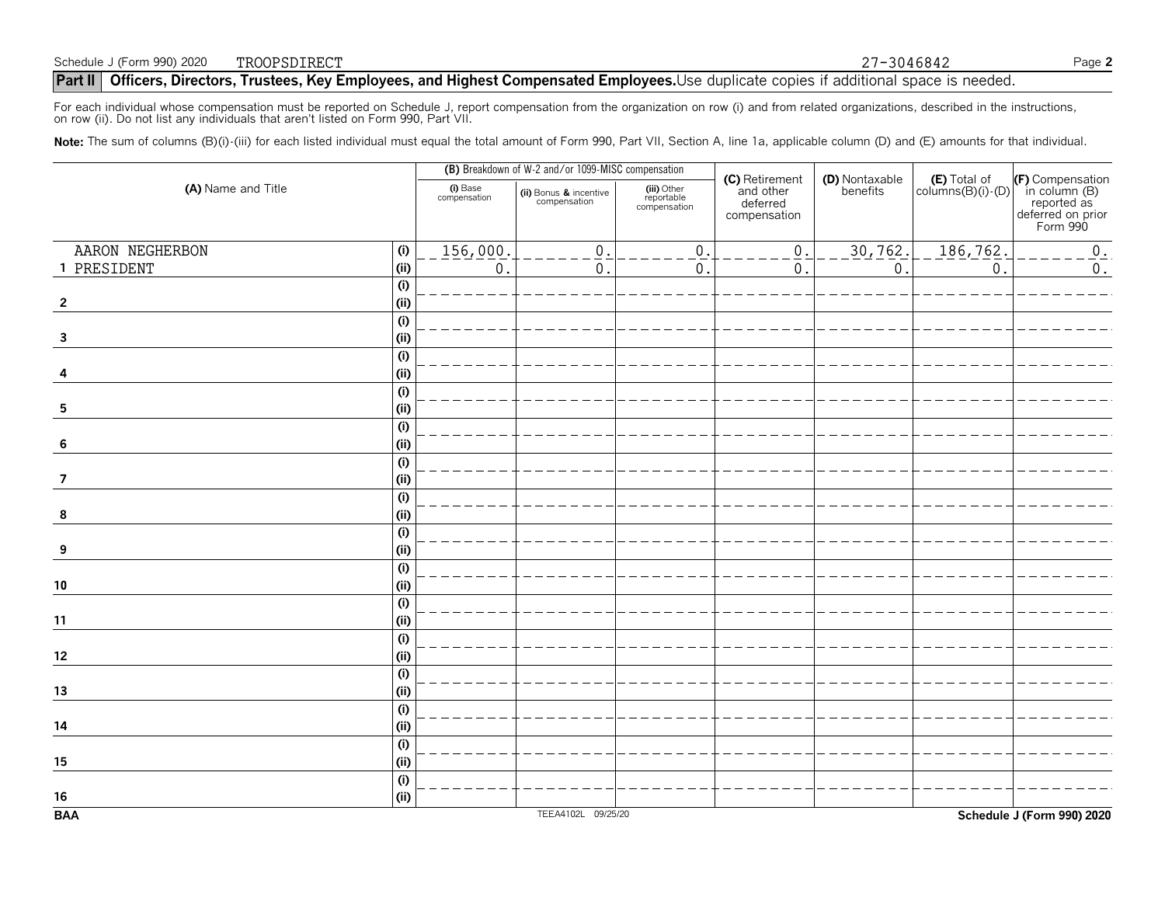## **Part II Officers, Directors, Trustees, Key Employees, and Highest Compensated Employees.** Use duplicate copies if additional space is needed.  $\frac{T}{T}$  27-3046842

For each individual whose compensation must be reported on Schedule J, report compensation from the organization on row (i) and from related organizations, described in the instructions,<br>on row (ii). Do not list any indivi

Note: The sum of columns (B)(i)-(iii) for each listed individual must equal the total amount of Form 990, Part VII, Section A, line 1a, applicable column (D) and (E) amounts for that individual.

| (A) Name and Title |                           |                          | (B) Breakdown of W-2 and/or 1099-MISC compensation |                                           |                                                         |                            |                                                                 |                                                                                   |
|--------------------|---------------------------|--------------------------|----------------------------------------------------|-------------------------------------------|---------------------------------------------------------|----------------------------|-----------------------------------------------------------------|-----------------------------------------------------------------------------------|
|                    |                           | (i) Base<br>compensation | (ii) Bonus & incentive<br>compensation             | (iii) Other<br>reportable<br>compensation | (C) Retirement<br>and other<br>deferred<br>compensation | (D) Nontaxable<br>benefits | $\begin{pmatrix} E \end{pmatrix}$ Total of<br>columns(B)(i)-(D) | (F) Compensation<br>in column (B)<br>reported as<br>deferred on prior<br>Form 990 |
| AARON NEGHERBON    | (i)                       | 156,000                  | $\mathbf 0$                                        | $0$ .                                     | $\mathbf{0}$                                            | 30,762.                    | 186, 762.                                                       | $0_{.}$                                                                           |
| 1 PRESIDENT        | (i)                       | 0                        | $\mathbf 0$                                        | 0.                                        | $\mathsf{O}$                                            | 0.                         | $\mathbf 0$                                                     | $\boldsymbol{0}$ .                                                                |
|                    | (i)                       |                          |                                                    |                                           |                                                         |                            |                                                                 |                                                                                   |
| $\mathbf{2}$       | (i)                       |                          |                                                    |                                           |                                                         |                            |                                                                 |                                                                                   |
|                    | (i)                       |                          |                                                    |                                           |                                                         |                            |                                                                 |                                                                                   |
| $\mathbf{3}$       | (i)                       |                          |                                                    |                                           |                                                         |                            |                                                                 |                                                                                   |
|                    | (i)                       |                          |                                                    |                                           |                                                         |                            |                                                                 |                                                                                   |
| 4                  | (i)                       |                          |                                                    |                                           |                                                         |                            |                                                                 |                                                                                   |
|                    | $\overline{(\mathsf{i})}$ |                          |                                                    |                                           |                                                         |                            |                                                                 |                                                                                   |
| $\sqrt{5}$         | (i)                       |                          |                                                    |                                           |                                                         |                            |                                                                 |                                                                                   |
|                    | (i)                       |                          |                                                    |                                           |                                                         |                            |                                                                 |                                                                                   |
| $\bf 6$            | (i)                       |                          |                                                    |                                           |                                                         |                            |                                                                 |                                                                                   |
|                    | (i)                       |                          |                                                    |                                           |                                                         |                            |                                                                 |                                                                                   |
| $\overline{7}$     | (i)                       |                          |                                                    |                                           |                                                         |                            |                                                                 |                                                                                   |
|                    | $\overline{(\mathsf{i})}$ |                          |                                                    |                                           |                                                         |                            |                                                                 |                                                                                   |
| 8                  | (i)                       |                          |                                                    |                                           |                                                         |                            |                                                                 |                                                                                   |
|                    | $\overline{(\mathsf{i})}$ |                          |                                                    |                                           |                                                         |                            |                                                                 |                                                                                   |
| 9                  | (i)                       |                          |                                                    |                                           |                                                         |                            |                                                                 |                                                                                   |
|                    | (i)                       |                          |                                                    |                                           |                                                         |                            |                                                                 |                                                                                   |
| 10                 | (i)                       |                          |                                                    |                                           |                                                         |                            |                                                                 |                                                                                   |
|                    | (i)                       |                          |                                                    |                                           |                                                         |                            |                                                                 |                                                                                   |
| 11                 | (i)                       |                          |                                                    |                                           |                                                         |                            |                                                                 |                                                                                   |
|                    | (i)                       |                          |                                                    |                                           |                                                         |                            |                                                                 |                                                                                   |
| 12                 | (i)                       |                          |                                                    |                                           |                                                         |                            |                                                                 |                                                                                   |
|                    | (i)                       |                          |                                                    |                                           |                                                         |                            |                                                                 |                                                                                   |
| 13                 | (i)                       |                          |                                                    |                                           |                                                         |                            |                                                                 |                                                                                   |
|                    | (i)                       |                          |                                                    |                                           |                                                         |                            |                                                                 |                                                                                   |
| 14                 | (ii)                      |                          |                                                    |                                           |                                                         |                            |                                                                 |                                                                                   |
|                    | (i)                       |                          |                                                    |                                           |                                                         |                            |                                                                 |                                                                                   |
| 15                 | (ii)                      |                          |                                                    |                                           |                                                         |                            |                                                                 |                                                                                   |
|                    | (i)                       |                          |                                                    |                                           |                                                         |                            |                                                                 |                                                                                   |
| $16\,$             | (i)                       |                          |                                                    |                                           |                                                         |                            |                                                                 |                                                                                   |
| <b>BAA</b>         |                           |                          | TEEA4102L 09/25/20                                 |                                           |                                                         |                            |                                                                 | Schedule J (Form 990) 2020                                                        |
|                    |                           |                          |                                                    |                                           |                                                         |                            |                                                                 |                                                                                   |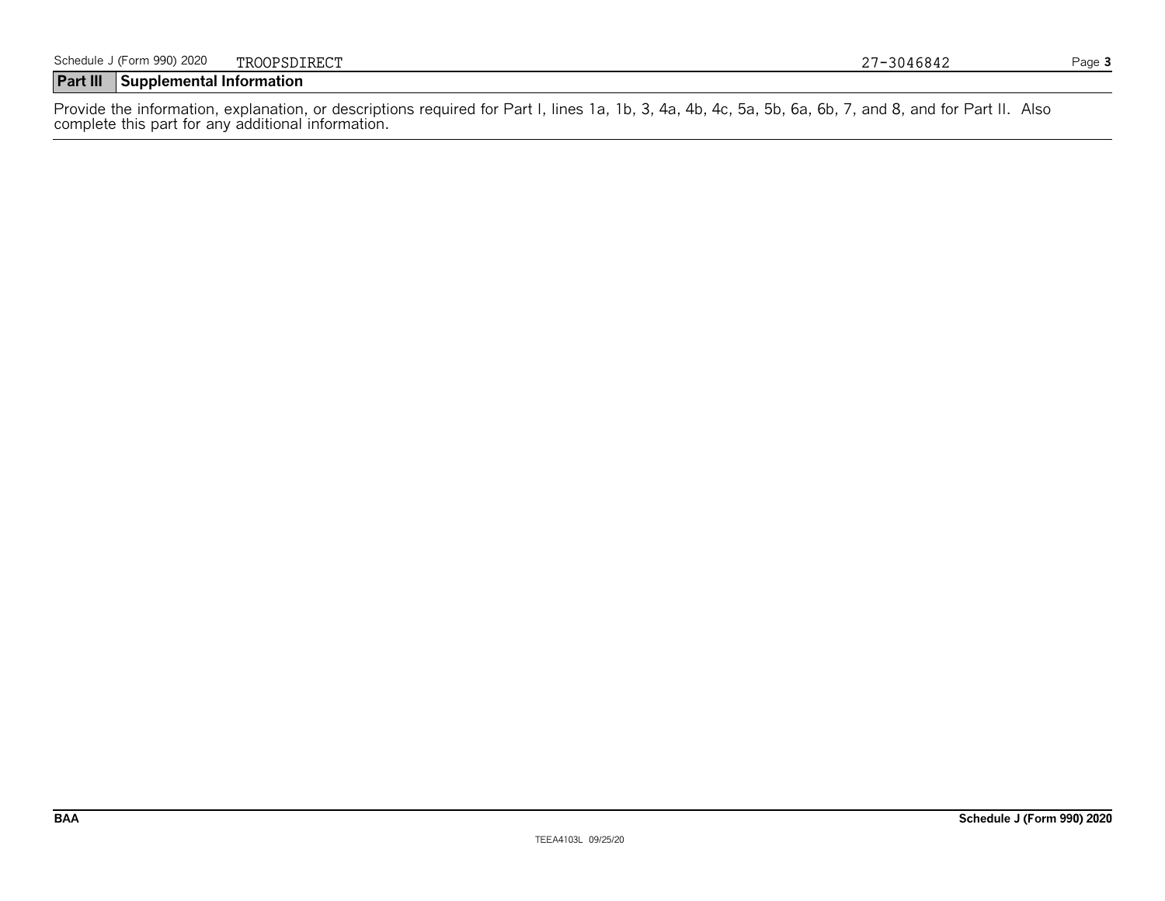Provide the information, explanation, or descriptions required for Part I, lines 1a, 1b, 3, 4a, 4b, 4c, 5a, 5b, 6a, 6b, 7, and 8, and for Part II. Also complete this part for any additional information.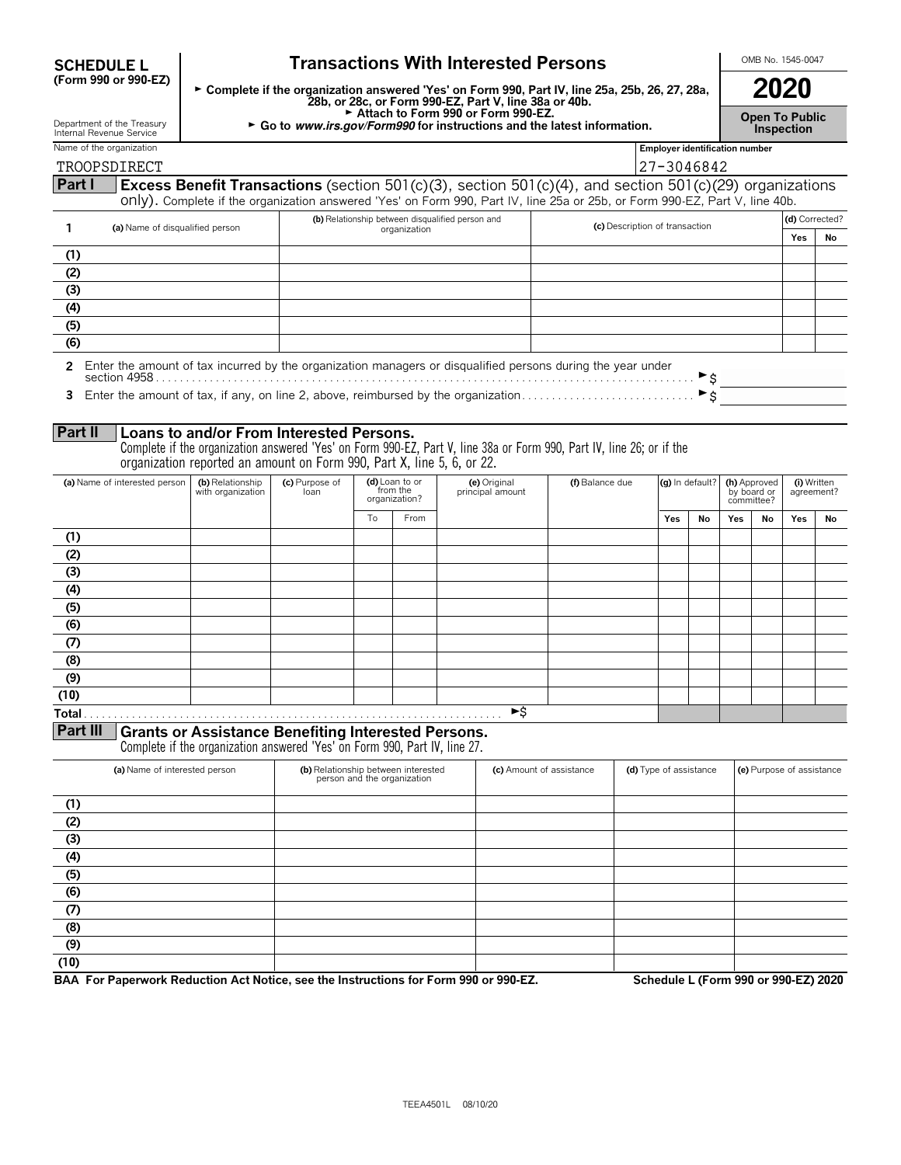| <b>SCHEDULE L</b>    |  |  |
|----------------------|--|--|
| (Form 990 or 990-EZ) |  |  |

# **Transactions With Interested Persons**  $\begin{bmatrix} \text{OMB NO. } 1545-0047 \end{bmatrix}$

<sup>G</sup> **Complete if the organization answered 'Yes' on Form 990, Part IV, line 25a, 25b, 26, 27, 28a, 2020 28b, or 28c, or Form 990-EZ, Part V, line 38a or 40b.** Department of the Treasury **Control of the Treasury Control of the Treasury Control of the Treasury Control of the Treasury Control of the Treasury <b>Control of the Treasury Control of the Treasury Control of the Treasury C** 

| ----                                                       |  |
|------------------------------------------------------------|--|
| <b>Open To Publi</b><br>المستحدث والقامس والمستحدث والمسار |  |

Name of the organization **Employer identification number Employer identification number** 

| Name of the organization | i Employer Igentification |
|--------------------------|---------------------------|
| TROOPSDIRECT             | 27-3046842                |

| ------------ |                                                                                                                             |  |
|--------------|-----------------------------------------------------------------------------------------------------------------------------|--|
|              | <b>Part I</b>   Excess Benefit Transactions (section 501(c)(3), section 501(c)(4), and section 501(c)(29) organizations     |  |
|              | only). Complete if the organization answered 'Yes' on Form 990, Part IV, line 25a or 25b, or Form 990-EZ, Part V, line 40b. |  |

|  | (a) Name of disqualified person | (b) Relationship between disqualified person and                                                                       | (c) Description of transaction | (d) Corrected? |    |
|--|---------------------------------|------------------------------------------------------------------------------------------------------------------------|--------------------------------|----------------|----|
|  |                                 | organization                                                                                                           |                                | Yes            | No |
|  |                                 |                                                                                                                        |                                |                |    |
|  | (2)                             |                                                                                                                        |                                |                |    |
|  | (3)                             |                                                                                                                        |                                |                |    |
|  | (4)                             |                                                                                                                        |                                |                |    |
|  | (5)                             |                                                                                                                        |                                |                |    |
|  | (6)                             |                                                                                                                        |                                |                |    |
|  |                                 | 0 Takes the care and of the increased building conceitables are accepted as discussioning analysis and the conceitable |                                |                |    |

**2** Enter the amount of tax incurred by the organization managers or disqualified persons during the year under section 4958. . . . . . . . . . . . . . . . . . . . . . . . . . . . . . . . . . . . . . . . . . . . . . . . . . . . . . . . . . . . . . . . . . . . . . . . . . . . . . . . . . . . . . . . . . . G\$

**<sup>3</sup>** Enter the amount of tax, if any, on line 2, above, reimbursed by the organization. . . . . . . . . . . . . . . . . . . . . . . . . . . . . G\$

#### **Part II Loans to and/or From Interested Persons.**

Complete if the organization answered 'Yes' on Form 990-EZ, Part V, line 38a or Form 990, Part IV, line 26; or if the organization reported an amount on Form 990, Part X, line 5, 6, or 22.

| (a) Name of interested person | (b) Relationship<br>with organization<br>(c) Purpose of<br>loan |  |    | (d) Loan to or<br>(e) Original<br>principal amount<br>from the<br>organization? |     | (f) Balance due | (g) In default? |    | (h) Approved<br>by board or<br>committee? |    |     | (i) Written<br>agreement? |  |
|-------------------------------|-----------------------------------------------------------------|--|----|---------------------------------------------------------------------------------|-----|-----------------|-----------------|----|-------------------------------------------|----|-----|---------------------------|--|
|                               |                                                                 |  | To | From                                                                            |     |                 | Yes             | No | Yes                                       | No | Yes | No                        |  |
| (1)                           |                                                                 |  |    |                                                                                 |     |                 |                 |    |                                           |    |     |                           |  |
| (2)                           |                                                                 |  |    |                                                                                 |     |                 |                 |    |                                           |    |     |                           |  |
| (3)                           |                                                                 |  |    |                                                                                 |     |                 |                 |    |                                           |    |     |                           |  |
| (4)                           |                                                                 |  |    |                                                                                 |     |                 |                 |    |                                           |    |     |                           |  |
| (5)                           |                                                                 |  |    |                                                                                 |     |                 |                 |    |                                           |    |     |                           |  |
| (6)                           |                                                                 |  |    |                                                                                 |     |                 |                 |    |                                           |    |     |                           |  |
| (7)                           |                                                                 |  |    |                                                                                 |     |                 |                 |    |                                           |    |     |                           |  |
| (8)                           |                                                                 |  |    |                                                                                 |     |                 |                 |    |                                           |    |     |                           |  |
| (9)                           |                                                                 |  |    |                                                                                 |     |                 |                 |    |                                           |    |     |                           |  |
| (10)                          |                                                                 |  |    |                                                                                 |     |                 |                 |    |                                           |    |     |                           |  |
| Total                         |                                                                 |  |    |                                                                                 | ►\$ |                 |                 |    |                                           |    |     |                           |  |

**Part III** Grants or Assistance Benefiting Interested Persons. Complete if the organization answered 'Yes' on Form 990, Part IV, line 27.

|      | (a) Name of interested person | (b) Relationship between interested<br>person and the organization | (c) Amount of assistance | (d) Type of assistance | (e) Purpose of assistance |
|------|-------------------------------|--------------------------------------------------------------------|--------------------------|------------------------|---------------------------|
| (1)  |                               |                                                                    |                          |                        |                           |
| (2)  |                               |                                                                    |                          |                        |                           |
| (3)  |                               |                                                                    |                          |                        |                           |
| (4)  |                               |                                                                    |                          |                        |                           |
| (5)  |                               |                                                                    |                          |                        |                           |
| (6)  |                               |                                                                    |                          |                        |                           |
| (7)  |                               |                                                                    |                          |                        |                           |
| (8)  |                               |                                                                    |                          |                        |                           |
| (9)  |                               |                                                                    |                          |                        |                           |
| (10) |                               |                                                                    |                          |                        |                           |

**BAA For Paperwork Reduction Act Notice, see the Instructions for Form 990 or 990-EZ. Schedule L (Form 990 or 990-EZ) 2020**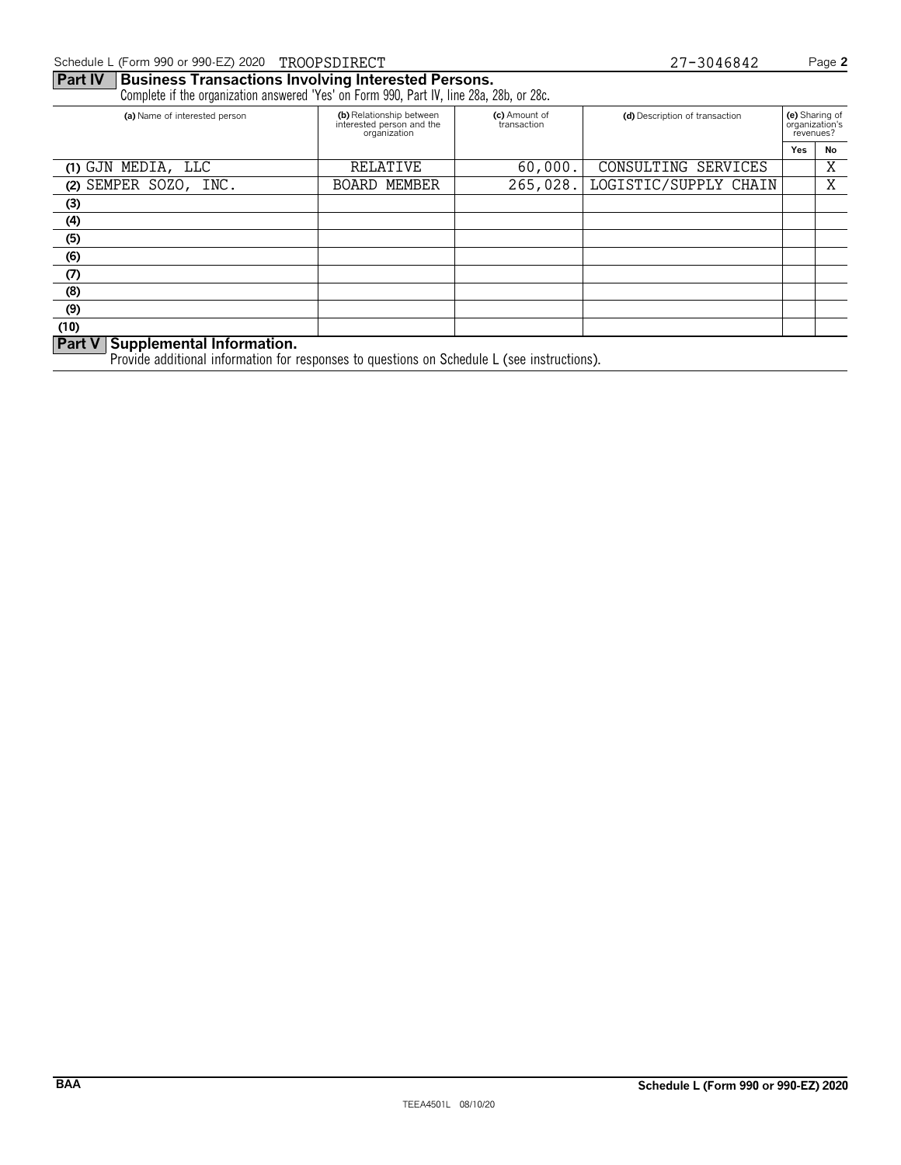#### **Part IV | Business Transactions Involving Interested Persons.**

Complete if the organization answered 'Yes' on Form 990, Part IV, line 28a, 28b, or 28c.

| (a) Name of interested person                       | (b) Relationship between<br>interested person and the<br>organization | (c) Amount of<br>transaction | (d) Description of transaction | (e) Sharing of<br>organization's<br>revenues? |    |
|-----------------------------------------------------|-----------------------------------------------------------------------|------------------------------|--------------------------------|-----------------------------------------------|----|
|                                                     |                                                                       |                              |                                | Yes                                           | No |
| (1) GJN MEDIA, LLC                                  | <b>RELATIVE</b>                                                       | 60,000.                      | CONSULTING SERVICES            |                                               | X  |
| $(2)$ SEMPER $\overline{SOZO}$ , $\overline{INC}$ . | BOARD MEMBER                                                          |                              | 265,028. LOGISTIC/SUPPLY CHAIN |                                               | Χ  |
| (3)                                                 |                                                                       |                              |                                |                                               |    |
| (4)                                                 |                                                                       |                              |                                |                                               |    |
| (5)                                                 |                                                                       |                              |                                |                                               |    |
| (6)                                                 |                                                                       |                              |                                |                                               |    |
| (7)                                                 |                                                                       |                              |                                |                                               |    |
| (8)                                                 |                                                                       |                              |                                |                                               |    |
| (9)                                                 |                                                                       |                              |                                |                                               |    |
| (10)                                                |                                                                       |                              |                                |                                               |    |
| Part V Supplemental Information.                    |                                                                       |                              |                                |                                               |    |

Provide additional information for responses to questions on Schedule L (see instructions).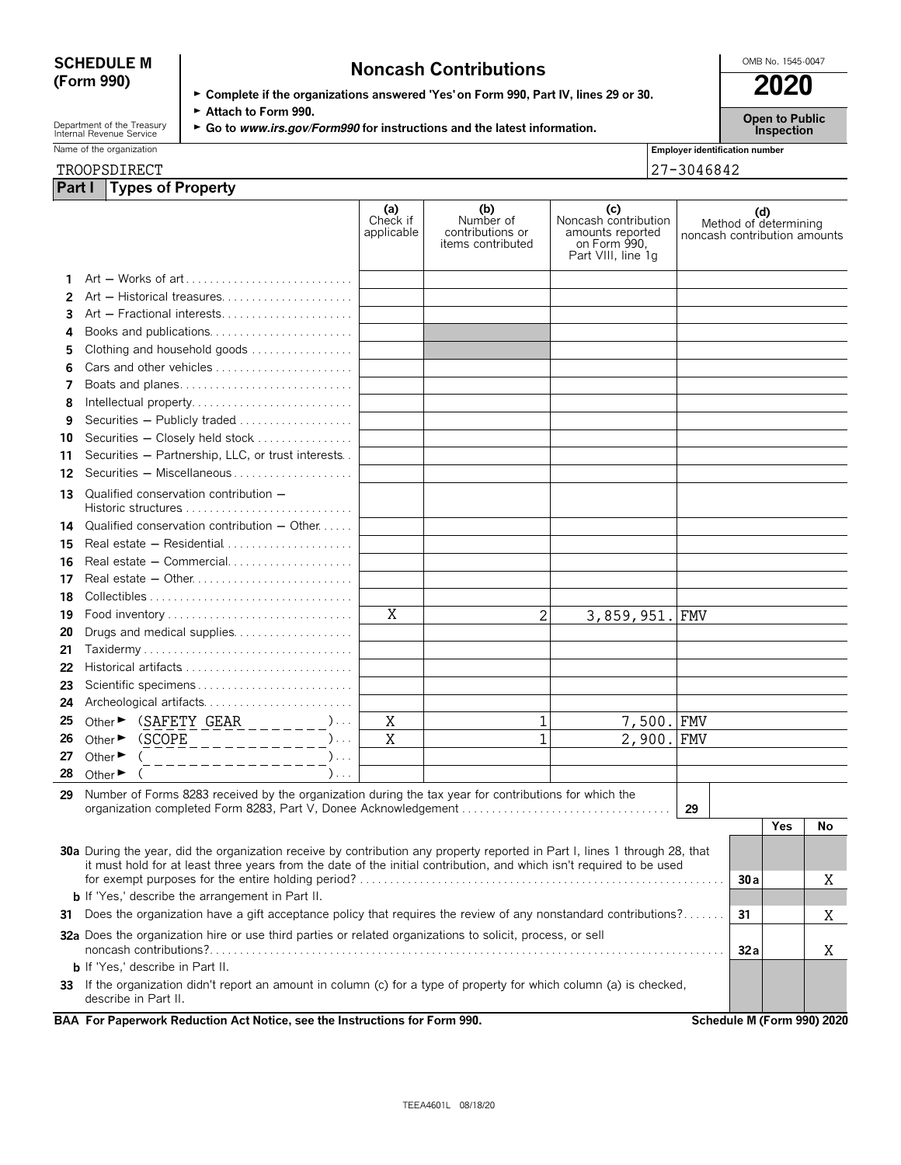| <b>SCHEDULE M</b> | <b>Noncash Contributions</b>                                                         | OMB No. 1545-0047 |
|-------------------|--------------------------------------------------------------------------------------|-------------------|
| (Form 990)        | ► Complete if the organizations answered 'Yes' on Form 990, Part IV, lines 29 or 30. | 2020              |
|                   | $\mathbf{A}$ Attack to Four 000                                                      |                   |

Department of the Treasury **Cause 1 Command Command Command Constructions and the latest information.<br>Internal Revenue Service <b>Inspection**<br>Inspection

| . .<br>Name<br>the<br>organization<br>. | <br>Employer identification<br>number |
|-----------------------------------------|---------------------------------------|
|                                         |                                       |

| TIMOT DRIIMOT |                          |  |  |  |  |  |
|---------------|--------------------------|--|--|--|--|--|
|               | Part I Types of Property |  |  |  |  |  |

|                             | TROOPSDIRECT<br>27-3046842                                                                                                                                               |                               |                                                           |                                                                                       |                              |                              |     |    |
|-----------------------------|--------------------------------------------------------------------------------------------------------------------------------------------------------------------------|-------------------------------|-----------------------------------------------------------|---------------------------------------------------------------------------------------|------------------------------|------------------------------|-----|----|
| Types of Property<br>Part I |                                                                                                                                                                          |                               |                                                           |                                                                                       |                              |                              |     |    |
|                             |                                                                                                                                                                          | (a)<br>Check if<br>applicable | (b)<br>Number of<br>contributions or<br>items contributed | (c)<br>Noncash contribution<br>amounts reported<br>on Form 990.<br>Part VIII, line 1q | noncash contribution amounts | (d)<br>Method of determining |     |    |
| 1                           |                                                                                                                                                                          |                               |                                                           |                                                                                       |                              |                              |     |    |
| 2                           | Art - Historical treasures                                                                                                                                               |                               |                                                           |                                                                                       |                              |                              |     |    |
| 3                           | Art - Fractional interests                                                                                                                                               |                               |                                                           |                                                                                       |                              |                              |     |    |
| 4                           | Books and publications                                                                                                                                                   |                               |                                                           |                                                                                       |                              |                              |     |    |
| 5                           | Clothing and household goods                                                                                                                                             |                               |                                                           |                                                                                       |                              |                              |     |    |
| 6                           | Cars and other vehicles                                                                                                                                                  |                               |                                                           |                                                                                       |                              |                              |     |    |
| 7                           | Boats and planes                                                                                                                                                         |                               |                                                           |                                                                                       |                              |                              |     |    |
| 8                           |                                                                                                                                                                          |                               |                                                           |                                                                                       |                              |                              |     |    |
| 9                           | Securities - Publicly traded                                                                                                                                             |                               |                                                           |                                                                                       |                              |                              |     |    |
| 10                          | Securities - Closely held stock                                                                                                                                          |                               |                                                           |                                                                                       |                              |                              |     |    |
| 11                          | Securities - Partnership, LLC, or trust interests                                                                                                                        |                               |                                                           |                                                                                       |                              |                              |     |    |
| 12                          | Securities - Miscellaneous                                                                                                                                               |                               |                                                           |                                                                                       |                              |                              |     |    |
| 13                          | Qualified conservation contribution -                                                                                                                                    |                               |                                                           |                                                                                       |                              |                              |     |    |
| 14                          | Qualified conservation contribution $-$ Other $\dots$                                                                                                                    |                               |                                                           |                                                                                       |                              |                              |     |    |
| 15                          | Real estate - Residential                                                                                                                                                |                               |                                                           |                                                                                       |                              |                              |     |    |
| 16                          | Real estate - Commercial                                                                                                                                                 |                               |                                                           |                                                                                       |                              |                              |     |    |
| 17                          |                                                                                                                                                                          |                               |                                                           |                                                                                       |                              |                              |     |    |
| 18                          |                                                                                                                                                                          |                               |                                                           |                                                                                       |                              |                              |     |    |
| 19                          |                                                                                                                                                                          | $\overline{\text{X}}$         | 2                                                         | 3,859,951.                                                                            | <b>FMV</b>                   |                              |     |    |
| 20                          | Drugs and medical supplies                                                                                                                                               |                               |                                                           |                                                                                       |                              |                              |     |    |
| 21                          |                                                                                                                                                                          |                               |                                                           |                                                                                       |                              |                              |     |    |
| 22                          |                                                                                                                                                                          |                               |                                                           |                                                                                       |                              |                              |     |    |
| 23                          | Scientific specimens                                                                                                                                                     |                               |                                                           |                                                                                       |                              |                              |     |    |
| 24                          | Archeological artifacts                                                                                                                                                  |                               |                                                           |                                                                                       |                              |                              |     |    |
| 25                          | Other $\triangleright$ (SAFETY GEAR ________)                                                                                                                            | Χ                             | 1                                                         | 7,500.                                                                                | <b>FMV</b>                   |                              |     |    |
| 26                          |                                                                                                                                                                          | $\overline{X}$                | 1                                                         | 2,900.                                                                                | <b>FMV</b>                   |                              |     |    |
| 27                          | $)$<br>Other $\blacktriangleright$<br>$\left($<br>______________                                                                                                         |                               |                                                           |                                                                                       |                              |                              |     |    |
| 28                          | $) \ldots$<br>Other $\blacktriangleright$                                                                                                                                |                               |                                                           |                                                                                       |                              |                              |     |    |
| 29                          | Number of Forms 8283 received by the organization during the tax year for contributions for which the<br>organization completed Form 8283, Part V, Donee Acknowledgement |                               |                                                           |                                                                                       | 29                           |                              |     |    |
|                             |                                                                                                                                                                          |                               |                                                           |                                                                                       |                              |                              | Yes | No |
|                             | <b>30a</b> During the year, did the organization receive by contribution any property reported in Part I, lines 1 through 28, that                                       |                               |                                                           |                                                                                       |                              |                              |     |    |
|                             | it must hold for at least three years from the date of the initial contribution, and which isn't required to be used                                                     |                               |                                                           |                                                                                       |                              | 30a                          |     | Χ  |
|                             | <b>b</b> If 'Yes,' describe the arrangement in Part II.                                                                                                                  |                               |                                                           |                                                                                       |                              |                              |     |    |
|                             | 31 Does the organization have a gift acceptance policy that requires the review of any nonstandard contributions?                                                        |                               |                                                           |                                                                                       |                              |                              |     | X  |
|                             | <b>32a</b> Does the organization hire or use third parties or related organizations to solicit, process, or sell                                                         |                               |                                                           |                                                                                       |                              |                              |     | X  |
|                             | <b>b</b> If 'Yes,' describe in Part II.                                                                                                                                  |                               |                                                           |                                                                                       |                              |                              |     |    |
|                             | 33 If the organization didn't report an amount in column (c) for a type of property for which column (a) is checked,<br>describe in Part II.                             |                               |                                                           |                                                                                       |                              |                              |     |    |
|                             | BAA For Paperwork Reduction Act Notice, see the Instructions for Form 990.                                                                                               |                               |                                                           |                                                                                       | Schedule M (Form 990) 2020   |                              |     |    |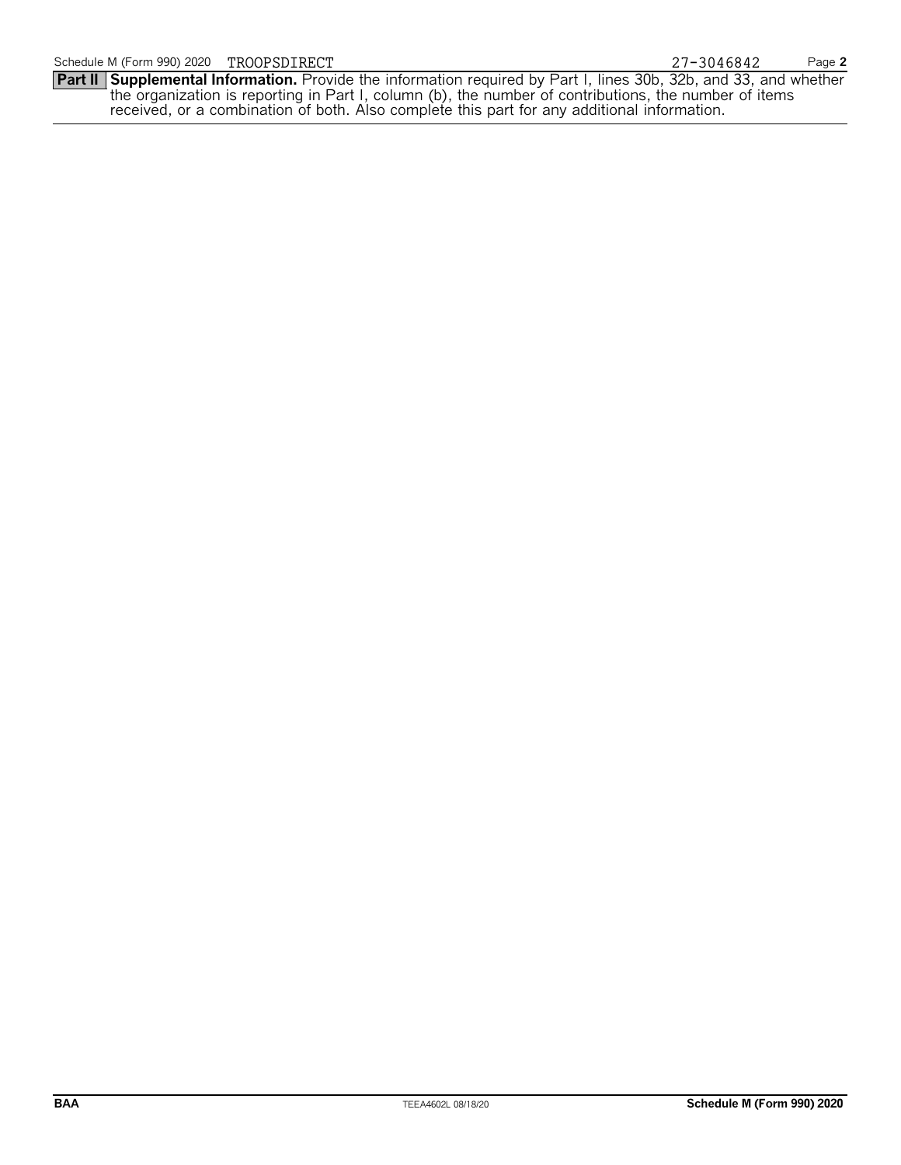**Part II Supplemental Information.** Provide the information required by Part I, lines 30b, 32b, and 33, and whether the organization is reporting in Part I, column (b), the number of contributions, the number of items received, or a combination of both. Also complete this part for any additional information.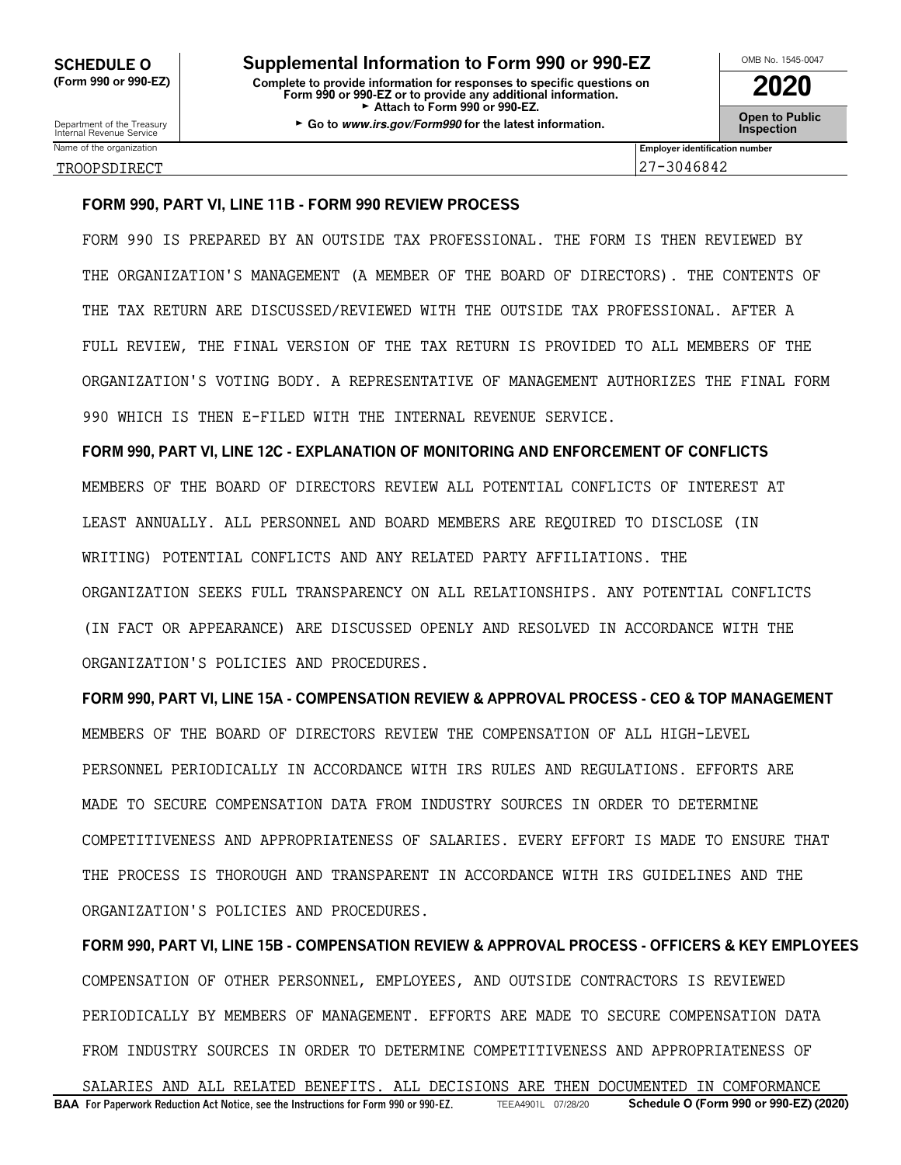SCHEDULE O **No. 25 Supplemental Information to Form 990 or 990-EZ (Form 990 or 990-EZ) Complete to provide information for responses to specific questions on Form 990 or 990-EZ or to provide any additional information. 2020** Attach to Form 990 or 990-EZ. Department of the Treasury **GGO to Sublic**<br>Internal Revenue Service **Inspection**<br>Internal Revenue Service

| OMB No. 1545-0047                    |  |  |  |  |
|--------------------------------------|--|--|--|--|
| 2020                                 |  |  |  |  |
| <b>Open to Public<br/>Inspection</b> |  |  |  |  |

Name of the organization **Employer identification number** TROOPSDIRECT 27-3046842

#### **FORM 990, PART VI, LINE 11B - FORM 990 REVIEW PROCESS**

FORM 990 IS PREPARED BY AN OUTSIDE TAX PROFESSIONAL. THE FORM IS THEN REVIEWED BY THE ORGANIZATION'S MANAGEMENT (A MEMBER OF THE BOARD OF DIRECTORS). THE CONTENTS OF THE TAX RETURN ARE DISCUSSED/REVIEWED WITH THE OUTSIDE TAX PROFESSIONAL. AFTER A FULL REVIEW, THE FINAL VERSION OF THE TAX RETURN IS PROVIDED TO ALL MEMBERS OF THE ORGANIZATION'S VOTING BODY. A REPRESENTATIVE OF MANAGEMENT AUTHORIZES THE FINAL FORM 990 WHICH IS THEN E-FILED WITH THE INTERNAL REVENUE SERVICE.

**FORM 990, PART VI, LINE 12C - EXPLANATION OF MONITORING AND ENFORCEMENT OF CONFLICTS** MEMBERS OF THE BOARD OF DIRECTORS REVIEW ALL POTENTIAL CONFLICTS OF INTEREST AT LEAST ANNUALLY. ALL PERSONNEL AND BOARD MEMBERS ARE REQUIRED TO DISCLOSE (IN WRITING) POTENTIAL CONFLICTS AND ANY RELATED PARTY AFFILIATIONS. THE ORGANIZATION SEEKS FULL TRANSPARENCY ON ALL RELATIONSHIPS. ANY POTENTIAL CONFLICTS (IN FACT OR APPEARANCE) ARE DISCUSSED OPENLY AND RESOLVED IN ACCORDANCE WITH THE ORGANIZATION'S POLICIES AND PROCEDURES.

**FORM 990, PART VI, LINE 15A - COMPENSATION REVIEW & APPROVAL PROCESS - CEO & TOP MANAGEMENT** MEMBERS OF THE BOARD OF DIRECTORS REVIEW THE COMPENSATION OF ALL HIGH-LEVEL PERSONNEL PERIODICALLY IN ACCORDANCE WITH IRS RULES AND REGULATIONS. EFFORTS ARE MADE TO SECURE COMPENSATION DATA FROM INDUSTRY SOURCES IN ORDER TO DETERMINE COMPETITIVENESS AND APPROPRIATENESS OF SALARIES. EVERY EFFORT IS MADE TO ENSURE THAT THE PROCESS IS THOROUGH AND TRANSPARENT IN ACCORDANCE WITH IRS GUIDELINES AND THE ORGANIZATION'S POLICIES AND PROCEDURES.

**FORM 990, PART VI, LINE 15B - COMPENSATION REVIEW & APPROVAL PROCESS - OFFICERS & KEY EMPLOYEES** COMPENSATION OF OTHER PERSONNEL, EMPLOYEES, AND OUTSIDE CONTRACTORS IS REVIEWED PERIODICALLY BY MEMBERS OF MANAGEMENT. EFFORTS ARE MADE TO SECURE COMPENSATION DATA FROM INDUSTRY SOURCES IN ORDER TO DETERMINE COMPETITIVENESS AND APPROPRIATENESS OF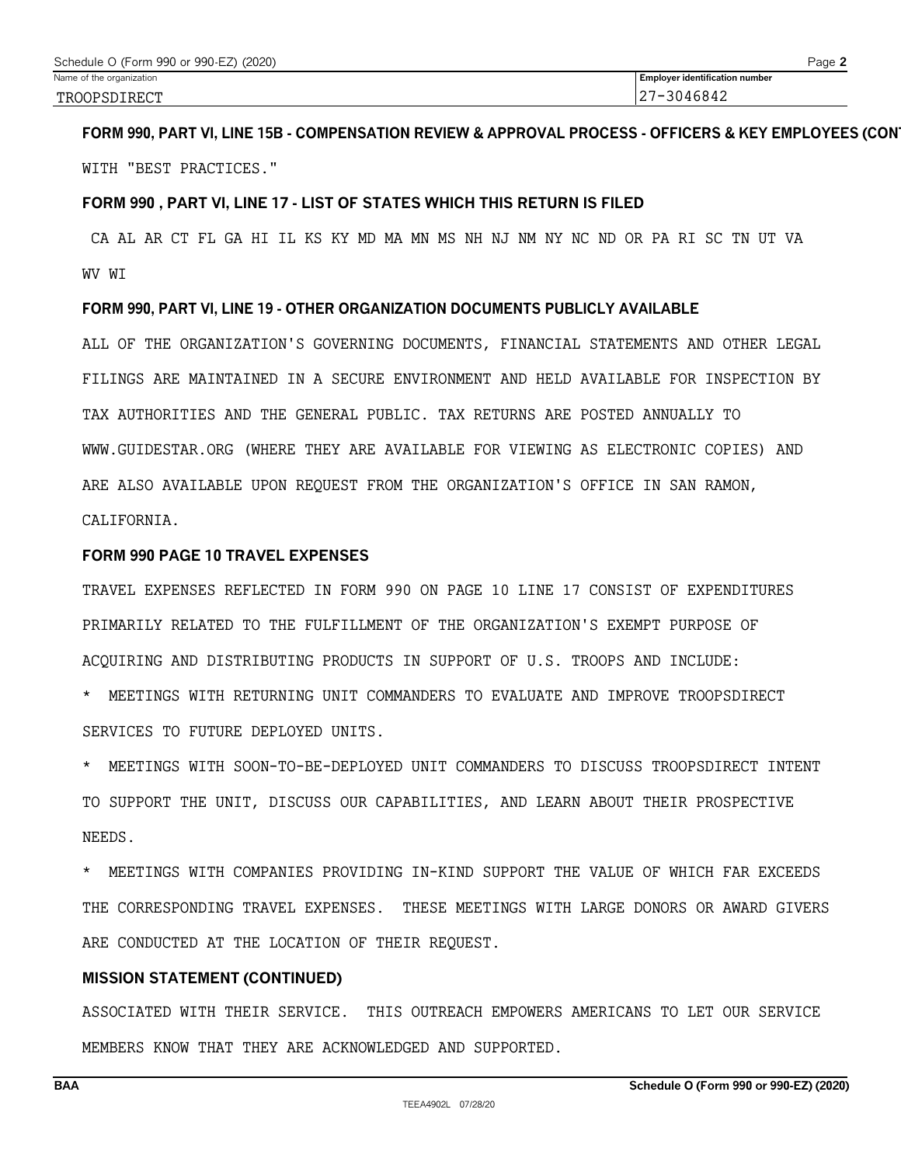FORM 990, PART VI, LINE 15B - COMPENSATION REVIEW & APPROVAL PROCESS - OFFICERS & KEY EMPLOYEES (CON WITH "BEST PRACTICES."

#### **FORM 990 , PART VI, LINE 17 - LIST OF STATES WHICH THIS RETURN IS FILED**

 CA AL AR CT FL GA HI IL KS KY MD MA MN MS NH NJ NM NY NC ND OR PA RI SC TN UT VA WV WI

#### **FORM 990, PART VI, LINE 19 - OTHER ORGANIZATION DOCUMENTS PUBLICLY AVAILABLE**

ALL OF THE ORGANIZATION'S GOVERNING DOCUMENTS, FINANCIAL STATEMENTS AND OTHER LEGAL FILINGS ARE MAINTAINED IN A SECURE ENVIRONMENT AND HELD AVAILABLE FOR INSPECTION BY TAX AUTHORITIES AND THE GENERAL PUBLIC. TAX RETURNS ARE POSTED ANNUALLY TO WWW.GUIDESTAR.ORG (WHERE THEY ARE AVAILABLE FOR VIEWING AS ELECTRONIC COPIES) AND ARE ALSO AVAILABLE UPON REQUEST FROM THE ORGANIZATION'S OFFICE IN SAN RAMON, CALIFORNIA.

#### **FORM 990 PAGE 10 TRAVEL EXPENSES**

TRAVEL EXPENSES REFLECTED IN FORM 990 ON PAGE 10 LINE 17 CONSIST OF EXPENDITURES PRIMARILY RELATED TO THE FULFILLMENT OF THE ORGANIZATION'S EXEMPT PURPOSE OF ACQUIRING AND DISTRIBUTING PRODUCTS IN SUPPORT OF U.S. TROOPS AND INCLUDE:

MEETINGS WITH RETURNING UNIT COMMANDERS TO EVALUATE AND IMPROVE TROOPSDIRECT SERVICES TO FUTURE DEPLOYED UNITS.

MEETINGS WITH SOON-TO-BE-DEPLOYED UNIT COMMANDERS TO DISCUSS TROOPSDIRECT INTENT TO SUPPORT THE UNIT, DISCUSS OUR CAPABILITIES, AND LEARN ABOUT THEIR PROSPECTIVE NEEDS.

\* MEETINGS WITH COMPANIES PROVIDING IN-KIND SUPPORT THE VALUE OF WHICH FAR EXCEEDS THE CORRESPONDING TRAVEL EXPENSES. THESE MEETINGS WITH LARGE DONORS OR AWARD GIVERS ARE CONDUCTED AT THE LOCATION OF THEIR REQUEST.

### **MISSION STATEMENT (CONTINUED)**

ASSOCIATED WITH THEIR SERVICE. THIS OUTREACH EMPOWERS AMERICANS TO LET OUR SERVICE MEMBERS KNOW THAT THEY ARE ACKNOWLEDGED AND SUPPORTED.